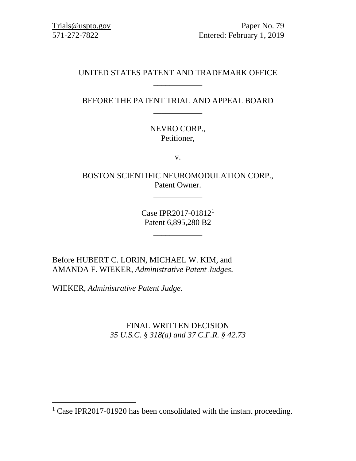[Trials@uspto.gov](mailto:Trials@uspto.gov) Paper No. 79 571-272-7822 Entered: February 1, 2019

# UNITED STATES PATENT AND TRADEMARK OFFICE \_\_\_\_\_\_\_\_\_\_\_\_

# BEFORE THE PATENT TRIAL AND APPEAL BOARD \_\_\_\_\_\_\_\_\_\_\_\_

# NEVRO CORP., Petitioner,

v.

BOSTON SCIENTIFIC NEUROMODULATION CORP., Patent Owner.

\_\_\_\_\_\_\_\_\_\_\_\_

Case IPR2017-01812[1](#page-0-0) Patent 6,895,280 B2

\_\_\_\_\_\_\_\_\_\_\_\_

Before HUBERT C. LORIN, MICHAEL W. KIM, and AMANDA F. WIEKER, *Administrative Patent Judges*.

WIEKER, *Administrative Patent Judge*.

FINAL WRITTEN DECISION *35 U.S.C. § 318(a) and 37 C.F.R. § 42.73*

<span id="page-0-0"></span><sup>&</sup>lt;sup>1</sup> Case IPR2017-01920 has been consolidated with the instant proceeding.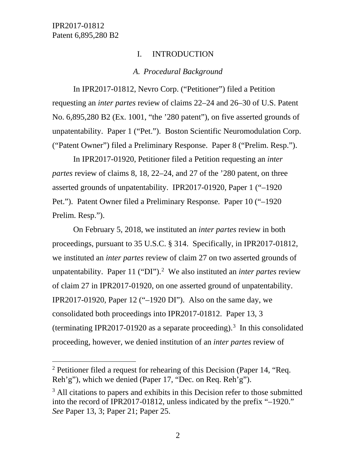## I. INTRODUCTION

## *A. Procedural Background*

In IPR2017-01812, Nevro Corp. ("Petitioner") filed a Petition requesting an *inter partes* review of claims 22–24 and 26–30 of U.S. Patent No. 6,895,280 B2 (Ex. 1001, "the '280 patent"), on five asserted grounds of unpatentability. Paper 1 ("Pet."). Boston Scientific Neuromodulation Corp. ("Patent Owner") filed a Preliminary Response. Paper 8 ("Prelim. Resp.").

In IPR2017-01920, Petitioner filed a Petition requesting an *inter partes* review of claims 8, 18, 22–24, and 27 of the '280 patent, on three asserted grounds of unpatentability. IPR2017-01920, Paper 1 ("–1920 Pet."). Patent Owner filed a Preliminary Response. Paper 10 ("–1920 Prelim. Resp.").

On February 5, 2018, we instituted an *inter partes* review in both proceedings, pursuant to 35 U.S.C. § 314. Specifically, in IPR2017-01812, we instituted an *inter partes* review of claim 27 on two asserted grounds of unpatentability. Paper 11 ("DI").[2](#page-1-0) We also instituted an *inter partes* review of claim 27 in IPR2017-01920, on one asserted ground of unpatentability. IPR2017-01920, Paper 12 ("–1920 DI"). Also on the same day, we consolidated both proceedings into IPR2017-01812. Paper 13, 3 (terminating IPR2017-01920 as a separate proceeding).<sup>[3](#page-1-1)</sup> In this consolidated proceeding, however, we denied institution of an *inter partes* review of

<span id="page-1-0"></span><sup>&</sup>lt;sup>2</sup> Petitioner filed a request for rehearing of this Decision (Paper 14, "Req. Reh'g"), which we denied (Paper 17, "Dec. on Req. Reh'g").

<span id="page-1-1"></span> $3$  All citations to papers and exhibits in this Decision refer to those submitted into the record of IPR2017-01812, unless indicated by the prefix "–1920." *See* Paper 13, 3; Paper 21; Paper 25.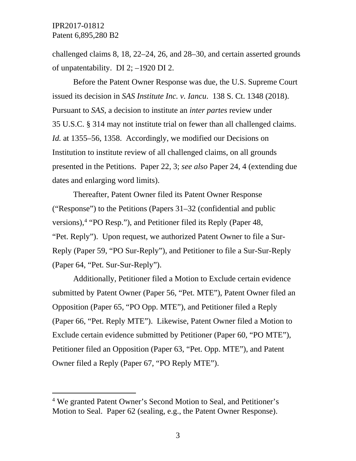challenged claims 8, 18, 22–24, 26, and 28–30, and certain asserted grounds of unpatentability. DI 2; –1920 DI 2.

Before the Patent Owner Response was due, the U.S. Supreme Court issued its decision in *SAS Institute Inc. v. Iancu*. 138 S. Ct. 1348 (2018). Pursuant to *SAS*, a decision to institute an *inter partes* review under 35 U.S.C. § 314 may not institute trial on fewer than all challenged claims. *Id.* at 1355–56, 1358. Accordingly, we modified our Decisions on Institution to institute review of all challenged claims, on all grounds presented in the Petitions. Paper 22, 3; *see also* Paper 24, 4 (extending due dates and enlarging word limits).

Thereafter, Patent Owner filed its Patent Owner Response ("Response") to the Petitions (Papers 31–32 (confidential and public versions), [4](#page-2-0) "PO Resp."), and Petitioner filed its Reply (Paper 48, "Pet. Reply"). Upon request, we authorized Patent Owner to file a Sur-Reply (Paper 59, "PO Sur-Reply"), and Petitioner to file a Sur-Sur-Reply (Paper 64, "Pet. Sur-Sur-Reply").

Additionally, Petitioner filed a Motion to Exclude certain evidence submitted by Patent Owner (Paper 56, "Pet. MTE"), Patent Owner filed an Opposition (Paper 65, "PO Opp. MTE"), and Petitioner filed a Reply (Paper 66, "Pet. Reply MTE"). Likewise, Patent Owner filed a Motion to Exclude certain evidence submitted by Petitioner (Paper 60, "PO MTE"), Petitioner filed an Opposition (Paper 63, "Pet. Opp. MTE"), and Patent Owner filed a Reply (Paper 67, "PO Reply MTE").

<span id="page-2-0"></span> <sup>4</sup> We granted Patent Owner's Second Motion to Seal, and Petitioner's Motion to Seal. Paper 62 (sealing, e.g., the Patent Owner Response).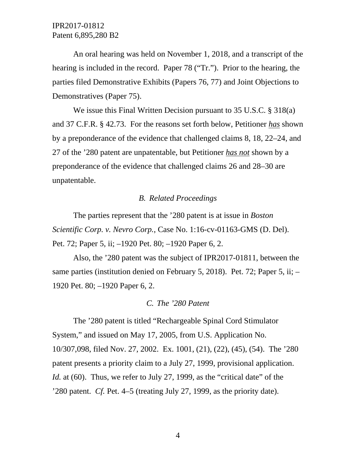An oral hearing was held on November 1, 2018, and a transcript of the hearing is included in the record. Paper 78 ("Tr."). Prior to the hearing, the parties filed Demonstrative Exhibits (Papers 76, 77) and Joint Objections to Demonstratives (Paper 75).

We issue this Final Written Decision pursuant to 35 U.S.C. § 318(a) and 37 C.F.R. § 42.73. For the reasons set forth below, Petitioner *has* shown by a preponderance of the evidence that challenged claims 8, 18, 22–24, and 27 of the '280 patent are unpatentable, but Petitioner *has not* shown by a preponderance of the evidence that challenged claims 26 and 28–30 are unpatentable.

#### *B. Related Proceedings*

The parties represent that the '280 patent is at issue in *Boston Scientific Corp. v. Nevro Corp.*, Case No. 1:16-cv-01163-GMS (D. Del). Pet. 72; Paper 5, ii; –1920 Pet. 80; –1920 Paper 6, 2.

Also, the '280 patent was the subject of IPR2017-01811, between the same parties (institution denied on February 5, 2018). Pet. 72; Paper 5, ii; – 1920 Pet. 80; –1920 Paper 6, 2.

#### *C. The '280 Patent*

The '280 patent is titled "Rechargeable Spinal Cord Stimulator System," and issued on May 17, 2005, from U.S. Application No. 10/307,098, filed Nov. 27, 2002. Ex. 1001, (21), (22), (45), (54). The '280 patent presents a priority claim to a July 27, 1999, provisional application. *Id.* at (60). Thus, we refer to July 27, 1999, as the "critical date" of the '280 patent. *Cf.* Pet. 4–5 (treating July 27, 1999, as the priority date).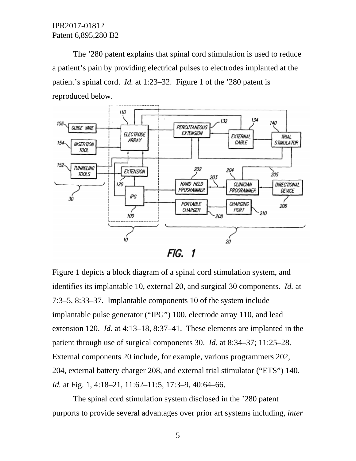The '280 patent explains that spinal cord stimulation is used to reduce a patient's pain by providing electrical pulses to electrodes implanted at the patient's spinal cord. *Id.* at 1:23–32. Figure 1 of the '280 patent is reproduced below.



Figure 1 depicts a block diagram of a spinal cord stimulation system, and identifies its implantable 10, external 20, and surgical 30 components. *Id.* at 7:3–5, 8:33–37. Implantable components 10 of the system include implantable pulse generator ("IPG") 100, electrode array 110, and lead extension 120. *Id.* at 4:13–18, 8:37–41. These elements are implanted in the patient through use of surgical components 30. *Id.* at 8:34–37; 11:25–28. External components 20 include, for example, various programmers 202, 204, external battery charger 208, and external trial stimulator ("ETS") 140. *Id.* at Fig. 1, 4:18–21, 11:62–11:5, 17:3–9, 40:64–66.

The spinal cord stimulation system disclosed in the '280 patent purports to provide several advantages over prior art systems including, *inter*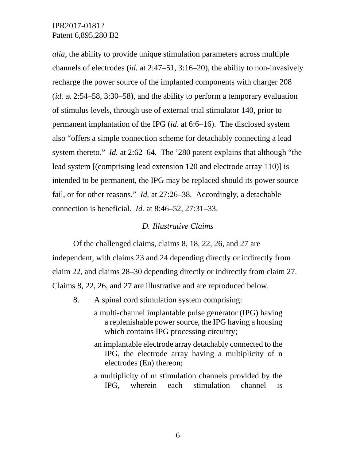*alia*, the ability to provide unique stimulation parameters across multiple channels of electrodes (*id.* at 2:47–51, 3:16–20), the ability to non-invasively recharge the power source of the implanted components with charger 208 (*id.* at 2:54–58, 3:30–58), and the ability to perform a temporary evaluation of stimulus levels, through use of external trial stimulator 140, prior to permanent implantation of the IPG (*id.* at 6:6–16). The disclosed system also "offers a simple connection scheme for detachably connecting a lead system thereto." *Id.* at 2:62–64. The '280 patent explains that although "the lead system [(comprising lead extension 120 and electrode array 110)] is intended to be permanent, the IPG may be replaced should its power source fail, or for other reasons." *Id.* at 27:26–38. Accordingly, a detachable connection is beneficial. *Id.* at 8:46–52, 27:31–33.

## *D. Illustrative Claims*

Of the challenged claims, claims 8, 18, 22, 26, and 27 are independent, with claims 23 and 24 depending directly or indirectly from claim 22, and claims 28–30 depending directly or indirectly from claim 27. Claims 8, 22, 26, and 27 are illustrative and are reproduced below.

- 8. A spinal cord stimulation system comprising:
	- a multi-channel implantable pulse generator (IPG) having a replenishable power source, the IPG having a housing which contains IPG processing circuitry;
	- an implantable electrode array detachably connected to the IPG, the electrode array having a multiplicity of n electrodes (En) thereon;
	- a multiplicity of m stimulation channels provided by the IPG, wherein each stimulation channel is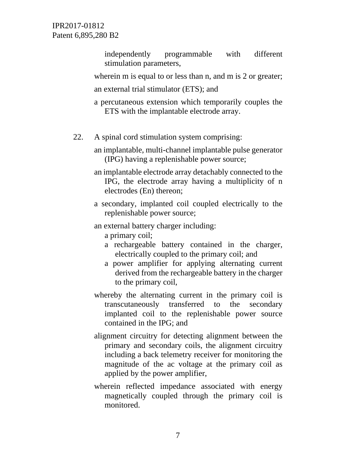> independently programmable with different stimulation parameters,

wherein m is equal to or less than n, and m is 2 or greater; an external trial stimulator (ETS); and

- a percutaneous extension which temporarily couples the ETS with the implantable electrode array.
- 22. A spinal cord stimulation system comprising:

an implantable, multi-channel implantable pulse generator (IPG) having a replenishable power source;

an implantable electrode array detachably connected to the IPG, the electrode array having a multiplicity of n electrodes (En) thereon;

- a secondary, implanted coil coupled electrically to the replenishable power source;
- an external battery charger including:
	- a primary coil;
	- a rechargeable battery contained in the charger, electrically coupled to the primary coil; and
	- a power amplifier for applying alternating current derived from the rechargeable battery in the charger to the primary coil,
- whereby the alternating current in the primary coil is transcutaneously transferred to the secondary implanted coil to the replenishable power source contained in the IPG; and
- alignment circuitry for detecting alignment between the primary and secondary coils, the alignment circuitry including a back telemetry receiver for monitoring the magnitude of the ac voltage at the primary coil as applied by the power amplifier,
- wherein reflected impedance associated with energy magnetically coupled through the primary coil is monitored.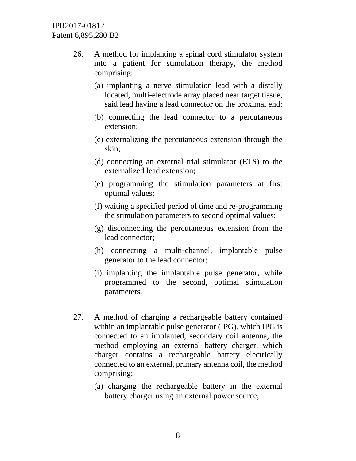- 26. A method for implanting a spinal cord stimulator system into a patient for stimulation therapy, the method comprising:
	- (a) implanting a nerve stimulation lead with a distally located, multi-electrode array placed near target tissue, said lead having a lead connector on the proximal end;
	- (b) connecting the lead connector to a percutaneous extension;
	- (c) externalizing the percutaneous extension through the skin;
	- (d) connecting an external trial stimulator (ETS) to the externalized lead extension;
	- (e) programming the stimulation parameters at first optimal values;
	- (f) waiting a specified period of time and re-programming the stimulation parameters to second optimal values;
	- (g) disconnecting the percutaneous extension from the lead connector;
	- (h) connecting a multi-channel, implantable pulse generator to the lead connector;
	- (i) implanting the implantable pulse generator, while programmed to the second, optimal stimulation parameters.
- 27. A method of charging a rechargeable battery contained within an implantable pulse generator (IPG), which IPG is connected to an implanted, secondary coil antenna, the method employing an external battery charger, which charger contains a rechargeable battery electrically connected to an external, primary antenna coil, the method comprising:
	- (a) charging the rechargeable battery in the external battery charger using an external power source;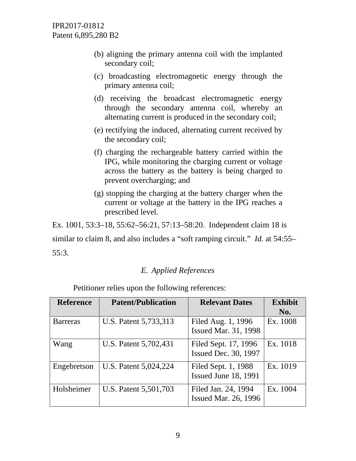- (b) aligning the primary antenna coil with the implanted secondary coil;
- (c) broadcasting electromagnetic energy through the primary antenna coil;
- (d) receiving the broadcast electromagnetic energy through the secondary antenna coil, whereby an alternating current is produced in the secondary coil;
- (e) rectifying the induced, alternating current received by the secondary coil;
- (f) charging the rechargeable battery carried within the IPG, while monitoring the charging current or voltage across the battery as the battery is being charged to prevent overcharging; and
- (g) stopping the charging at the battery charger when the current or voltage at the battery in the IPG reaches a prescribed level.

Ex. 1001, 53:3–18, 55:62–56:21, 57:13–58:20. Independent claim 18 is

similar to claim 8, and also includes a "soft ramping circuit." *Id.* at 54:55– 55:3.

# *E. Applied References*

Petitioner relies upon the following references:

| <b>Reference</b> | <b>Patent/Publication</b> | <b>Relevant Dates</b>                               | <b>Exhibit</b><br>No. |
|------------------|---------------------------|-----------------------------------------------------|-----------------------|
| <b>Barreras</b>  | U.S. Patent 5,733,313     | Filed Aug. 1, 1996<br><b>Issued Mar. 31, 1998</b>   | Ex. 1008              |
| Wang             | U.S. Patent 5,702,431     | Filed Sept. 17, 1996<br><b>Issued Dec. 30, 1997</b> | Ex. 1018              |
| Engebretson      | U.S. Patent 5,024,224     | Filed Sept. 1, 1988<br><b>Issued June 18, 1991</b>  | Ex. 1019              |
| Holsheimer       | U.S. Patent 5,501,703     | Filed Jan. 24, 1994<br><b>Issued Mar. 26, 1996</b>  | Ex. 1004              |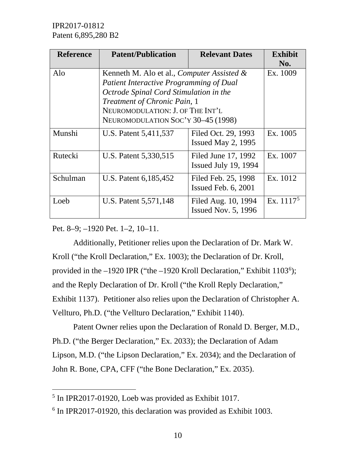| <b>Reference</b> | <b>Patent/Publication</b>                                                                                                                                                                                                                            | <b>Relevant Dates</b>                             | <b>Exhibit</b><br>No. |
|------------------|------------------------------------------------------------------------------------------------------------------------------------------------------------------------------------------------------------------------------------------------------|---------------------------------------------------|-----------------------|
| Alo              | Kenneth M. Alo et al., <i>Computer Assisted &amp;</i><br>Patient Interactive Programming of Dual<br>Octrode Spinal Cord Stimulation in the<br>Treatment of Chronic Pain, 1<br>NEUROMODULATION: J. OF THE INT'L<br>NEUROMODULATION SOC'Y 30-45 (1998) | Ex. 1009                                          |                       |
| Munshi           | U.S. Patent 5,411,537                                                                                                                                                                                                                                | Filed Oct. 29, 1993<br>Issued May 2, $1995$       | Ex. 1005              |
| Rutecki          | U.S. Patent 5,330,515                                                                                                                                                                                                                                | Filed June 17, 1992<br>Issued July 19, 1994       | Ex. 1007              |
| Schulman         | U.S. Patent 6, 185, 452                                                                                                                                                                                                                              | Filed Feb. 25, 1998<br>Issued Feb. $6, 2001$      | Ex. 1012              |
| Loeb             | U.S. Patent 5,571,148                                                                                                                                                                                                                                | Filed Aug. 10, 1994<br><b>Issued Nov. 5, 1996</b> | Ex. $1117^5$          |

Pet. 8–9; –1920 Pet. 1–2, 10–11.

Additionally, Petitioner relies upon the Declaration of Dr. Mark W. Kroll ("the Kroll Declaration," Ex. 1003); the Declaration of Dr. Kroll, provided in the  $-1920$  IPR ("the  $-1920$  Kroll Declaration," Exhibit  $1103^6$  $1103^6$ ); and the Reply Declaration of Dr. Kroll ("the Kroll Reply Declaration," Exhibit 1137). Petitioner also relies upon the Declaration of Christopher A. Vellturo, Ph.D. ("the Vellturo Declaration," Exhibit 1140).

Patent Owner relies upon the Declaration of Ronald D. Berger, M.D., Ph.D. ("the Berger Declaration," Ex. 2033); the Declaration of Adam Lipson, M.D. ("the Lipson Declaration," Ex. 2034); and the Declaration of John R. Bone, CPA, CFF ("the Bone Declaration," Ex. 2035).

<span id="page-9-0"></span> <sup>5</sup> In IPR2017-01920, Loeb was provided as Exhibit 1017.

<span id="page-9-1"></span><sup>6</sup> In IPR2017-01920, this declaration was provided as Exhibit 1003.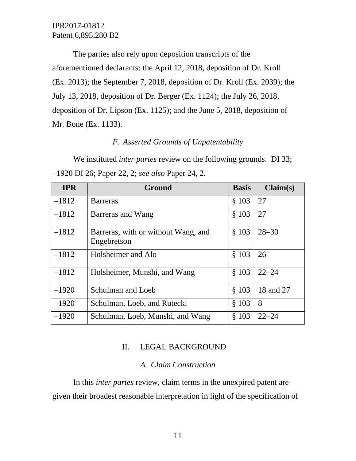The parties also rely upon deposition transcripts of the aforementioned declarants: the April 12, 2018, deposition of Dr. Kroll (Ex. 2013); the September 7, 2018, deposition of Dr. Kroll (Ex. 2039); the July 13, 2018, deposition of Dr. Berger (Ex. 1124); the July 26, 2018, deposition of Dr. Lipson (Ex. 1125); and the June 5, 2018, deposition of Mr. Bone (Ex. 1133).

# *F. Asserted Grounds of Unpatentability*

We instituted *inter partes* review on the following grounds. DI 33; –1920 DI 26; Paper 22, 2; *see also* Paper 24, 2.

| <b>IPR</b> | Ground                                             | <b>Basis</b> | Claim(s)  |
|------------|----------------------------------------------------|--------------|-----------|
| $-1812$    | <b>Barreras</b>                                    | \$103        | 27        |
| $-1812$    | Barreras and Wang                                  | \$103        | 27        |
| $-1812$    | Barreras, with or without Wang, and<br>Engebretson | § 103        | $28 - 30$ |
| $-1812$    | Holsheimer and Alo                                 | \$103        | 26        |
| $-1812$    | Holsheimer, Munshi, and Wang                       | § 103        | $22 - 24$ |
| $-1920$    | Schulman and Loeb                                  | \$103        | 18 and 27 |
| $-1920$    | Schulman, Loeb, and Rutecki                        | \$103        | 8         |
| $-1920$    | Schulman, Loeb, Munshi, and Wang                   | \$103        | $22 - 24$ |

## II. LEGAL BACKGROUND

#### *A. Claim Construction*

In this *inter partes* review, claim terms in the unexpired patent are given their broadest reasonable interpretation in light of the specification of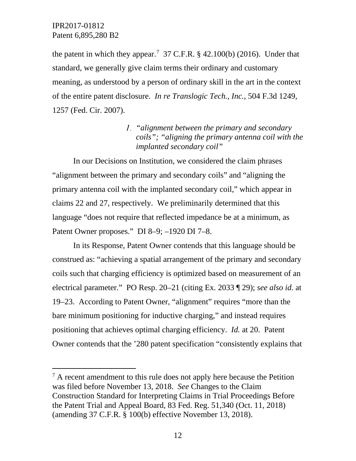the patent in which they appear.<sup>[7](#page-11-0)</sup> 37 C.F.R.  $\S$  42.100(b) (2016). Under that standard, we generally give claim terms their ordinary and customary meaning, as understood by a person of ordinary skill in the art in the context of the entire patent disclosure. *In re Translogic Tech., Inc.*, 504 F.3d 1249, 1257 (Fed. Cir. 2007).

# *"alignment between the primary and secondary coils"; "aligning the primary antenna coil with the implanted secondary coil"*

In our Decisions on Institution, we considered the claim phrases "alignment between the primary and secondary coils" and "aligning the primary antenna coil with the implanted secondary coil," which appear in claims 22 and 27, respectively. We preliminarily determined that this language "does not require that reflected impedance be at a minimum, as Patent Owner proposes." DI 8–9; –1920 DI 7–8.

In its Response, Patent Owner contends that this language should be construed as: "achieving a spatial arrangement of the primary and secondary coils such that charging efficiency is optimized based on measurement of an electrical parameter." PO Resp. 20–21 (citing Ex. 2033 ¶ 29); *see also id.* at 19–23. According to Patent Owner, "alignment" requires "more than the bare minimum positioning for inductive charging," and instead requires positioning that achieves optimal charging efficiency. *Id.* at 20. Patent Owner contends that the '280 patent specification "consistently explains that

<span id="page-11-0"></span> $<sup>7</sup>$  A recent amendment to this rule does not apply here because the Petition</sup> was filed before November 13, 2018. *See* Changes to the Claim Construction Standard for Interpreting Claims in Trial Proceedings Before the Patent Trial and Appeal Board, 83 Fed. Reg. 51,340 (Oct. 11, 2018) (amending 37 C.F.R. § 100(b) effective November 13, 2018).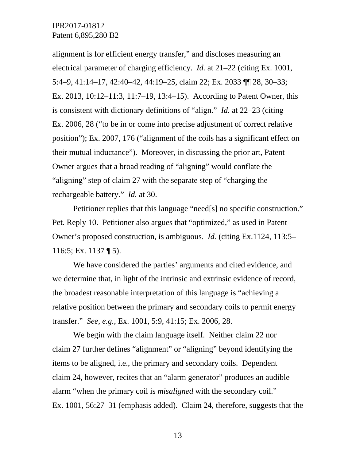alignment is for efficient energy transfer," and discloses measuring an electrical parameter of charging efficiency. *Id.* at 21–22 (citing Ex. 1001, 5:4–9, 41:14–17, 42:40–42, 44:19–25, claim 22; Ex. 2033 ¶¶ 28, 30–33; Ex. 2013, 10:12–11:3, 11:7–19, 13:4–15). According to Patent Owner, this is consistent with dictionary definitions of "align." *Id.* at 22–23 (citing Ex. 2006, 28 ("to be in or come into precise adjustment of correct relative position"); Ex. 2007, 176 ("alignment of the coils has a significant effect on their mutual inductance"). Moreover, in discussing the prior art, Patent Owner argues that a broad reading of "aligning" would conflate the "aligning" step of claim 27 with the separate step of "charging the rechargeable battery." *Id.* at 30.

Petitioner replies that this language "need[s] no specific construction." Pet. Reply 10. Petitioner also argues that "optimized," as used in Patent Owner's proposed construction, is ambiguous. *Id.* (citing Ex.1124, 113:5– 116:5; Ex. 1137 ¶ 5).

We have considered the parties' arguments and cited evidence, and we determine that, in light of the intrinsic and extrinsic evidence of record, the broadest reasonable interpretation of this language is "achieving a relative position between the primary and secondary coils to permit energy transfer." *See, e.g.*, Ex. 1001, 5:9, 41:15; Ex. 2006, 28.

We begin with the claim language itself. Neither claim 22 nor claim 27 further defines "alignment" or "aligning" beyond identifying the items to be aligned, i.e., the primary and secondary coils. Dependent claim 24, however, recites that an "alarm generator" produces an audible alarm "when the primary coil is *misaligned* with the secondary coil." Ex. 1001, 56:27–31 (emphasis added). Claim 24, therefore, suggests that the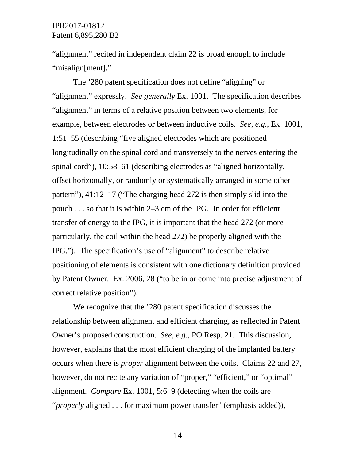"alignment" recited in independent claim 22 is broad enough to include "misalign[ment]."

The '280 patent specification does not define "aligning" or "alignment" expressly. *See generally* Ex. 1001. The specification describes "alignment" in terms of a relative position between two elements, for example, between electrodes or between inductive coils. *See, e.g.*, Ex. 1001, 1:51–55 (describing "five aligned electrodes which are positioned longitudinally on the spinal cord and transversely to the nerves entering the spinal cord"), 10:58–61 (describing electrodes as "aligned horizontally, offset horizontally, or randomly or systematically arranged in some other pattern"), 41:12–17 ("The charging head 272 is then simply slid into the pouch . . . so that it is within 2–3 cm of the IPG. In order for efficient transfer of energy to the IPG, it is important that the head 272 (or more particularly, the coil within the head 272) be properly aligned with the IPG."). The specification's use of "alignment" to describe relative positioning of elements is consistent with one dictionary definition provided by Patent Owner. Ex. 2006, 28 ("to be in or come into precise adjustment of correct relative position").

We recognize that the '280 patent specification discusses the relationship between alignment and efficient charging, as reflected in Patent Owner's proposed construction. *See, e.g.*, PO Resp. 21. This discussion, however, explains that the most efficient charging of the implanted battery occurs when there is *proper* alignment between the coils. Claims 22 and 27, however, do not recite any variation of "proper," "efficient," or "optimal" alignment. *Compare* Ex. 1001, 5:6–9 (detecting when the coils are "*properly* aligned . . . for maximum power transfer" (emphasis added)),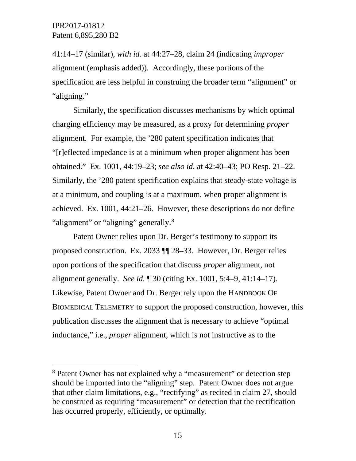41:14–17 (similar), *with id.* at 44:27–28, claim 24 (indicating *improper* alignment (emphasis added)). Accordingly, these portions of the specification are less helpful in construing the broader term "alignment" or "aligning."

Similarly, the specification discusses mechanisms by which optimal charging efficiency may be measured, as a proxy for determining *proper* alignment. For example, the '280 patent specification indicates that "[r]eflected impedance is at a minimum when proper alignment has been obtained." Ex. 1001, 44:19–23; *see also id.* at 42:40–43; PO Resp. 21–22. Similarly, the '280 patent specification explains that steady-state voltage is at a minimum, and coupling is at a maximum, when proper alignment is achieved. Ex. 1001, 44:21–26. However, these descriptions do not define "alignment" or "aligning" generally.<sup>[8](#page-14-0)</sup>

Patent Owner relies upon Dr. Berger's testimony to support its proposed construction. Ex. 2033 ¶¶ 28**–**33. However, Dr. Berger relies upon portions of the specification that discuss *proper* alignment, not alignment generally. *See id.* ¶ 30 (citing Ex. 1001, 5:4–9, 41:14–17). Likewise, Patent Owner and Dr. Berger rely upon the HANDBOOK OF BIOMEDICAL TELEMETRY to support the proposed construction, however, this publication discusses the alignment that is necessary to achieve "optimal inductance," i.e., *proper* alignment, which is not instructive as to the

<span id="page-14-0"></span> <sup>8</sup> Patent Owner has not explained why a "measurement" or detection step should be imported into the "aligning" step. Patent Owner does not argue that other claim limitations, e.g., "rectifying" as recited in claim 27, should be construed as requiring "measurement" or detection that the rectification has occurred properly, efficiently, or optimally.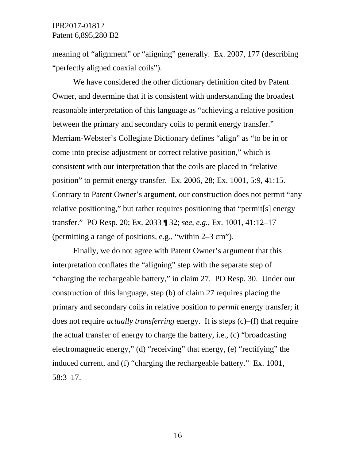meaning of "alignment" or "aligning" generally. Ex. 2007, 177 (describing "perfectly aligned coaxial coils").

We have considered the other dictionary definition cited by Patent Owner, and determine that it is consistent with understanding the broadest reasonable interpretation of this language as "achieving a relative position between the primary and secondary coils to permit energy transfer." Merriam-Webster's Collegiate Dictionary defines "align" as "to be in or come into precise adjustment or correct relative position," which is consistent with our interpretation that the coils are placed in "relative position" to permit energy transfer. Ex. 2006, 28; Ex. 1001, 5:9, 41:15. Contrary to Patent Owner's argument, our construction does not permit "any relative positioning," but rather requires positioning that "permit[s] energy transfer." PO Resp. 20; Ex. 2033 ¶ 32; *see, e.g.*, Ex. 1001, 41:12–17 (permitting a range of positions, e.g., "within 2–3 cm").

Finally, we do not agree with Patent Owner's argument that this interpretation conflates the "aligning" step with the separate step of "charging the rechargeable battery," in claim 27. PO Resp. 30. Under our construction of this language, step (b) of claim 27 requires placing the primary and secondary coils in relative position *to permit* energy transfer; it does not require *actually transferring* energy. It is steps (c)–(f) that require the actual transfer of energy to charge the battery, i.e., (c) "broadcasting electromagnetic energy," (d) "receiving" that energy, (e) "rectifying" the induced current, and (f) "charging the rechargeable battery." Ex. 1001, 58:3–17.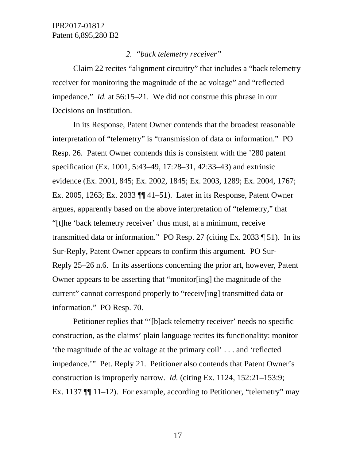## *"back telemetry receiver"*

Claim 22 recites "alignment circuitry" that includes a "back telemetry receiver for monitoring the magnitude of the ac voltage" and "reflected impedance." *Id.* at 56:15–21. We did not construe this phrase in our Decisions on Institution.

In its Response, Patent Owner contends that the broadest reasonable interpretation of "telemetry" is "transmission of data or information." PO Resp. 26. Patent Owner contends this is consistent with the '280 patent specification (Ex. 1001, 5:43–49, 17:28–31, 42:33–43) and extrinsic evidence (Ex. 2001, 845; Ex. 2002, 1845; Ex. 2003, 1289; Ex. 2004, 1767; Ex. 2005, 1263; Ex. 2033 ¶¶ 41–51). Later in its Response, Patent Owner argues, apparently based on the above interpretation of "telemetry," that "[t]he 'back telemetry receiver' thus must, at a minimum, receive transmitted data or information." PO Resp. 27 (citing Ex. 2033 ¶ 51). In its Sur-Reply, Patent Owner appears to confirm this argument*.* PO Sur-Reply 25–26 n.6. In its assertions concerning the prior art, however, Patent Owner appears to be asserting that "monitor[ing] the magnitude of the current" cannot correspond properly to "receiv[ing] transmitted data or information." PO Resp. 70.

Petitioner replies that "'[b]ack telemetry receiver' needs no specific construction, as the claims' plain language recites its functionality: monitor 'the magnitude of the ac voltage at the primary coil' . . . and 'reflected impedance.'" Pet. Reply 21. Petitioner also contends that Patent Owner's construction is improperly narrow. *Id.* (citing Ex. 1124, 152:21–153:9; Ex. 1137 ¶¶ 11–12). For example, according to Petitioner, "telemetry" may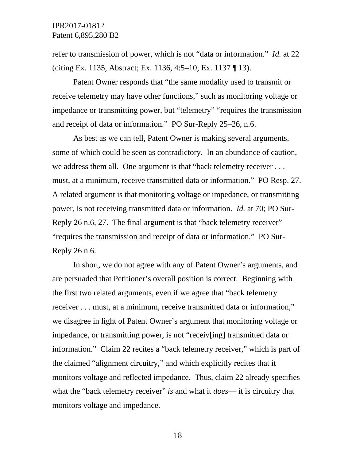refer to transmission of power, which is not "data or information." *Id.* at 22 (citing Ex. 1135, Abstract; Ex. 1136, 4:5–10; Ex. 1137 ¶ 13).

Patent Owner responds that "the same modality used to transmit or receive telemetry may have other functions," such as monitoring voltage or impedance or transmitting power, but "telemetry" "requires the transmission and receipt of data or information." PO Sur-Reply 25–26, n.6.

As best as we can tell, Patent Owner is making several arguments, some of which could be seen as contradictory. In an abundance of caution, we address them all. One argument is that "back telemetry receiver . . . must, at a minimum, receive transmitted data or information." PO Resp. 27. A related argument is that monitoring voltage or impedance, or transmitting power, is not receiving transmitted data or information. *Id.* at 70; PO Sur-Reply 26 n.6, 27. The final argument is that "back telemetry receiver" "requires the transmission and receipt of data or information." PO Sur-Reply 26 n.6.

In short, we do not agree with any of Patent Owner's arguments, and are persuaded that Petitioner's overall position is correct. Beginning with the first two related arguments, even if we agree that "back telemetry receiver . . . must, at a minimum, receive transmitted data or information," we disagree in light of Patent Owner's argument that monitoring voltage or impedance, or transmitting power, is not "receiv[ing] transmitted data or information." Claim 22 recites a "back telemetry receiver," which is part of the claimed "alignment circuitry," and which explicitly recites that it monitors voltage and reflected impedance. Thus, claim 22 already specifies what the "back telemetry receiver" *is* and what it *does*— it is circuitry that monitors voltage and impedance.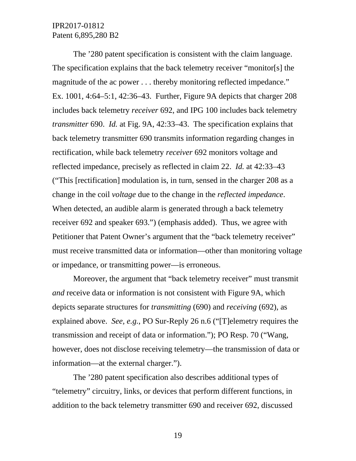The '280 patent specification is consistent with the claim language. The specification explains that the back telemetry receiver "monitor[s] the magnitude of the ac power . . . thereby monitoring reflected impedance." Ex. 1001, 4:64–5:1, 42:36–43. Further, Figure 9A depicts that charger 208 includes back telemetry *receiver* 692, and IPG 100 includes back telemetry *transmitter* 690. *Id.* at Fig. 9A, 42:33–43. The specification explains that back telemetry transmitter 690 transmits information regarding changes in rectification, while back telemetry *receiver* 692 monitors voltage and reflected impedance, precisely as reflected in claim 22. *Id.* at 42:33–43 ("This [rectification] modulation is, in turn, sensed in the charger 208 as a change in the coil *voltage* due to the change in the *reflected impedance*. When detected, an audible alarm is generated through a back telemetry receiver 692 and speaker 693.") (emphasis added). Thus, we agree with Petitioner that Patent Owner's argument that the "back telemetry receiver" must receive transmitted data or information—other than monitoring voltage or impedance, or transmitting power—is erroneous.

Moreover, the argument that "back telemetry receiver" must transmit *and* receive data or information is not consistent with Figure 9A, which depicts separate structures for *transmitting* (690) and *receiving* (692), as explained above. *See, e.g.*, PO Sur-Reply 26 n.6 ("[T]elemetry requires the transmission and receipt of data or information."); PO Resp. 70 ("Wang, however, does not disclose receiving telemetry—the transmission of data or information—at the external charger.").

The '280 patent specification also describes additional types of "telemetry" circuitry, links, or devices that perform different functions, in addition to the back telemetry transmitter 690 and receiver 692, discussed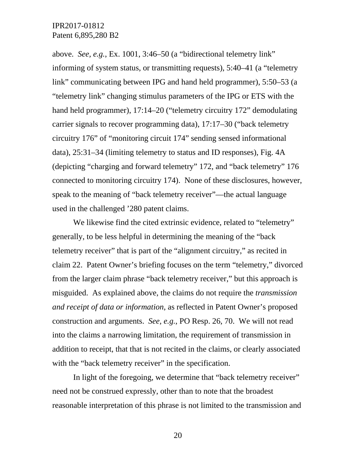above. *See, e.g.*, Ex. 1001, 3:46–50 (a "bidirectional telemetry link" informing of system status, or transmitting requests), 5:40–41 (a "telemetry link" communicating between IPG and hand held programmer), 5:50–53 (a "telemetry link" changing stimulus parameters of the IPG or ETS with the hand held programmer), 17:14–20 ("telemetry circuitry 172" demodulating carrier signals to recover programming data), 17:17–30 ("back telemetry circuitry 176" of "monitoring circuit 174" sending sensed informational data), 25:31–34 (limiting telemetry to status and ID responses), Fig. 4A (depicting "charging and forward telemetry" 172, and "back telemetry" 176 connected to monitoring circuitry 174). None of these disclosures, however, speak to the meaning of "back telemetry receiver"—the actual language used in the challenged '280 patent claims.

We likewise find the cited extrinsic evidence, related to "telemetry" generally, to be less helpful in determining the meaning of the "back telemetry receiver" that is part of the "alignment circuitry," as recited in claim 22. Patent Owner's briefing focuses on the term "telemetry," divorced from the larger claim phrase "back telemetry receiver," but this approach is misguided. As explained above, the claims do not require the *transmission and receipt of data or information*, as reflected in Patent Owner's proposed construction and arguments. *See, e.g.*, PO Resp. 26, 70. We will not read into the claims a narrowing limitation, the requirement of transmission in addition to receipt, that that is not recited in the claims, or clearly associated with the "back telemetry receiver" in the specification.

In light of the foregoing, we determine that "back telemetry receiver" need not be construed expressly, other than to note that the broadest reasonable interpretation of this phrase is not limited to the transmission and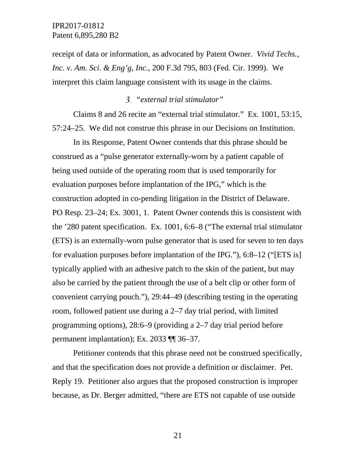receipt of data or information, as advocated by Patent Owner. *Vivid Techs., Inc. v. Am. Sci. & Eng'g, Inc.*, 200 F.3d 795, 803 (Fed. Cir. 1999). We interpret this claim language consistent with its usage in the claims.

## *"external trial stimulator"*

Claims 8 and 26 recite an "external trial stimulator." Ex. 1001, 53:15, 57:24–25. We did not construe this phrase in our Decisions on Institution.

In its Response, Patent Owner contends that this phrase should be construed as a "pulse generator externally-worn by a patient capable of being used outside of the operating room that is used temporarily for evaluation purposes before implantation of the IPG," which is the construction adopted in co-pending litigation in the District of Delaware. PO Resp. 23–24; Ex. 3001, 1. Patent Owner contends this is consistent with the '280 patent specification. Ex. 1001, 6:6–8 ("The external trial stimulator (ETS) is an externally-worn pulse generator that is used for seven to ten days for evaluation purposes before implantation of the IPG."), 6:8–12 ("[ETS is] typically applied with an adhesive patch to the skin of the patient, but may also be carried by the patient through the use of a belt clip or other form of convenient carrying pouch."), 29:44–49 (describing testing in the operating room, followed patient use during a 2–7 day trial period, with limited programming options), 28:6–9 (providing a 2–7 day trial period before permanent implantation); Ex. 2033 ¶¶ 36–37.

Petitioner contends that this phrase need not be construed specifically, and that the specification does not provide a definition or disclaimer. Pet. Reply 19. Petitioner also argues that the proposed construction is improper because, as Dr. Berger admitted, "there are ETS not capable of use outside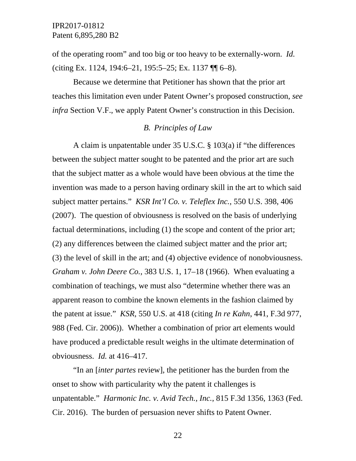of the operating room" and too big or too heavy to be externally-worn. *Id.* (citing Ex. 1124, 194:6–21, 195:5–25; Ex. 1137 ¶¶ 6–8).

Because we determine that Petitioner has shown that the prior art teaches this limitation even under Patent Owner's proposed construction, *see infra* Section V.F., we apply Patent Owner's construction in this Decision.

## *B. Principles of Law*

A claim is unpatentable under 35 U.S.C. § 103(a) if "the differences between the subject matter sought to be patented and the prior art are such that the subject matter as a whole would have been obvious at the time the invention was made to a person having ordinary skill in the art to which said subject matter pertains." *KSR Int'l Co. v. Teleflex Inc.*, 550 U.S. 398, 406 (2007). The question of obviousness is resolved on the basis of underlying factual determinations, including (1) the scope and content of the prior art; (2) any differences between the claimed subject matter and the prior art; (3) the level of skill in the art; and (4) objective evidence of nonobviousness. *Graham v. John Deere Co.*, 383 U.S. 1, 17–18 (1966). When evaluating a combination of teachings, we must also "determine whether there was an apparent reason to combine the known elements in the fashion claimed by the patent at issue." *KSR*, 550 U.S. at 418 (citing *In re Kahn*, 441, F.3d 977, 988 (Fed. Cir. 2006)). Whether a combination of prior art elements would have produced a predictable result weighs in the ultimate determination of obviousness. *Id.* at 416–417.

"In an [*inter partes* review], the petitioner has the burden from the onset to show with particularity why the patent it challenges is unpatentable." *Harmonic Inc. v. Avid Tech., Inc.*, 815 F.3d 1356, 1363 (Fed. Cir. 2016). The burden of persuasion never shifts to Patent Owner.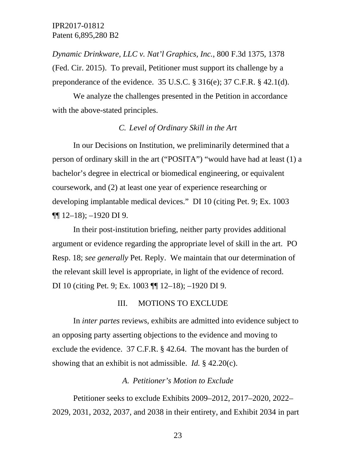*Dynamic Drinkware, LLC v. Nat'l Graphics, Inc.*, 800 F.3d 1375, 1378 (Fed. Cir. 2015). To prevail, Petitioner must support its challenge by a preponderance of the evidence.  $35 \text{ U.S.C.}$  §  $316(e)$ ;  $37 \text{ C.F.R.}$  § 42.1(d).

We analyze the challenges presented in the Petition in accordance with the above-stated principles.

## *C. Level of Ordinary Skill in the Art*

In our Decisions on Institution, we preliminarily determined that a person of ordinary skill in the art ("POSITA") "would have had at least (1) a bachelor's degree in electrical or biomedical engineering, or equivalent coursework, and (2) at least one year of experience researching or developing implantable medical devices." DI 10 (citing Pet. 9; Ex. 1003  $\P\P$  12–18); –1920 DI 9.

In their post-institution briefing, neither party provides additional argument or evidence regarding the appropriate level of skill in the art. PO Resp. 18; *see generally* Pet. Reply. We maintain that our determination of the relevant skill level is appropriate, in light of the evidence of record. DI 10 (citing Pet. 9; Ex. 1003 ¶¶ 12–18); –1920 DI 9.

#### III. MOTIONS TO EXCLUDE

In *inter partes* reviews, exhibits are admitted into evidence subject to an opposing party asserting objections to the evidence and moving to exclude the evidence. 37 C.F.R. § 42.64. The movant has the burden of showing that an exhibit is not admissible. *Id.* § 42.20(c).

## *A. Petitioner's Motion to Exclude*

Petitioner seeks to exclude Exhibits 2009–2012, 2017–2020, 2022– 2029, 2031, 2032, 2037, and 2038 in their entirety, and Exhibit 2034 in part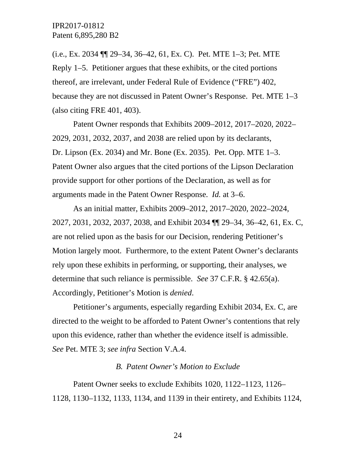(i.e., Ex. 2034 ¶¶ 29–34, 36–42, 61, Ex. C). Pet. MTE 1–3; Pet. MTE Reply 1–5. Petitioner argues that these exhibits, or the cited portions thereof, are irrelevant, under Federal Rule of Evidence ("FRE") 402, because they are not discussed in Patent Owner's Response. Pet. MTE 1–3 (also citing FRE 401, 403).

Patent Owner responds that Exhibits 2009–2012, 2017–2020, 2022– 2029, 2031, 2032, 2037, and 2038 are relied upon by its declarants, Dr. Lipson (Ex. 2034) and Mr. Bone (Ex. 2035). Pet. Opp. MTE 1–3. Patent Owner also argues that the cited portions of the Lipson Declaration provide support for other portions of the Declaration, as well as for arguments made in the Patent Owner Response. *Id.* at 3–6.

As an initial matter, Exhibits 2009–2012, 2017–2020, 2022–2024, 2027, 2031, 2032, 2037, 2038, and Exhibit 2034 ¶¶ 29–34, 36–42, 61, Ex. C, are not relied upon as the basis for our Decision, rendering Petitioner's Motion largely moot. Furthermore, to the extent Patent Owner's declarants rely upon these exhibits in performing, or supporting, their analyses, we determine that such reliance is permissible. *See* 37 C.F.R. § 42.65(a). Accordingly, Petitioner's Motion is *denied*.

Petitioner's arguments, especially regarding Exhibit 2034, Ex. C, are directed to the weight to be afforded to Patent Owner's contentions that rely upon this evidence, rather than whether the evidence itself is admissible. *See* Pet. MTE 3; *see infra* Section V.A.4.

#### *B. Patent Owner's Motion to Exclude*

Patent Owner seeks to exclude Exhibits 1020, 1122–1123, 1126– 1128, 1130–1132, 1133, 1134, and 1139 in their entirety, and Exhibits 1124,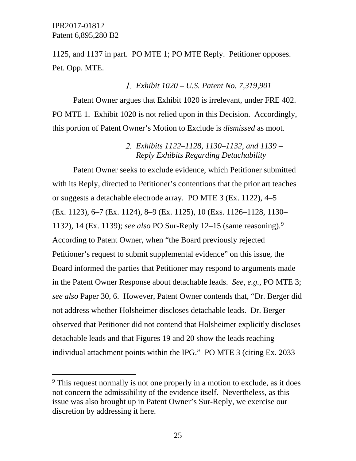1125, and 1137 in part. PO MTE 1; PO MTE Reply. Petitioner opposes. Pet. Opp. MTE.

## *Exhibit 1020 – U.S. Patent No. 7,319,901*

Patent Owner argues that Exhibit 1020 is irrelevant, under FRE 402. PO MTE 1. Exhibit 1020 is not relied upon in this Decision. Accordingly, this portion of Patent Owner's Motion to Exclude is *dismissed* as moot*.*

## *Exhibits 1122–1128, 1130–1132, and 1139 – Reply Exhibits Regarding Detachability*

Patent Owner seeks to exclude evidence, which Petitioner submitted with its Reply, directed to Petitioner's contentions that the prior art teaches or suggests a detachable electrode array. PO MTE 3 (Ex. 1122), 4–5 (Ex. 1123), 6–7 (Ex. 1124), 8–9 (Ex. 1125), 10 (Exs. 1126–1128, 1130– 1132), 14 (Ex. 1139); *see also* PO Sur-Reply 12–15 (same reasoning). [9](#page-24-0) According to Patent Owner, when "the Board previously rejected Petitioner's request to submit supplemental evidence" on this issue, the Board informed the parties that Petitioner may respond to arguments made in the Patent Owner Response about detachable leads. *See, e.g.*, PO MTE 3; *see also* Paper 30, 6. However, Patent Owner contends that, "Dr. Berger did not address whether Holsheimer discloses detachable leads. Dr. Berger observed that Petitioner did not contend that Holsheimer explicitly discloses detachable leads and that Figures 19 and 20 show the leads reaching individual attachment points within the IPG." PO MTE 3 (citing Ex. 2033

<span id="page-24-0"></span><sup>&</sup>lt;sup>9</sup> This request normally is not one properly in a motion to exclude, as it does not concern the admissibility of the evidence itself. Nevertheless, as this issue was also brought up in Patent Owner's Sur-Reply, we exercise our discretion by addressing it here.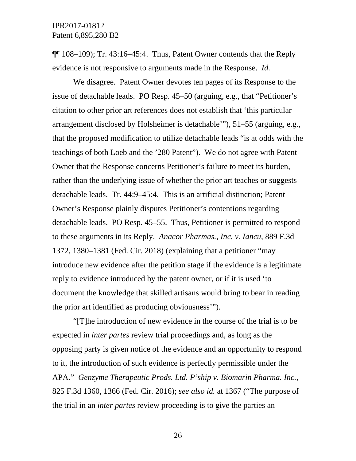$\P$ [108–109); Tr. 43:16–45:4. Thus, Patent Owner contends that the Reply evidence is not responsive to arguments made in the Response. *Id.*

We disagree. Patent Owner devotes ten pages of its Response to the issue of detachable leads. PO Resp. 45–50 (arguing, e.g., that "Petitioner's citation to other prior art references does not establish that 'this particular arrangement disclosed by Holsheimer is detachable'"), 51–55 (arguing, e.g., that the proposed modification to utilize detachable leads "is at odds with the teachings of both Loeb and the '280 Patent"). We do not agree with Patent Owner that the Response concerns Petitioner's failure to meet its burden, rather than the underlying issue of whether the prior art teaches or suggests detachable leads. Tr. 44:9–45:4. This is an artificial distinction; Patent Owner's Response plainly disputes Petitioner's contentions regarding detachable leads. PO Resp. 45–55. Thus, Petitioner is permitted to respond to these arguments in its Reply. *Anacor Pharmas., Inc. v. Iancu*, 889 F.3d 1372, 1380–1381 (Fed. Cir. 2018) (explaining that a petitioner "may introduce new evidence after the petition stage if the evidence is a legitimate reply to evidence introduced by the patent owner, or if it is used 'to document the knowledge that skilled artisans would bring to bear in reading the prior art identified as producing obviousness'").

"[T]he introduction of new evidence in the course of the trial is to be expected in *inter partes* review trial proceedings and, as long as the opposing party is given notice of the evidence and an opportunity to respond to it, the introduction of such evidence is perfectly permissible under the APA." *Genzyme Therapeutic Prods. Ltd. P'ship v. Biomarin Pharma. Inc.*, 825 F.3d 1360, 1366 (Fed. Cir. 2016); *see also id.* at 1367 ("The purpose of the trial in an *inter partes* review proceeding is to give the parties an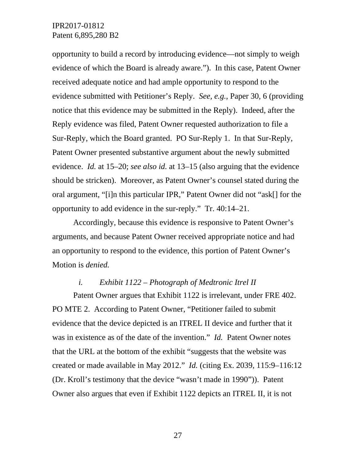opportunity to build a record by introducing evidence—not simply to weigh evidence of which the Board is already aware."). In this case, Patent Owner received adequate notice and had ample opportunity to respond to the evidence submitted with Petitioner's Reply. *See, e.g.*, Paper 30, 6 (providing notice that this evidence may be submitted in the Reply). Indeed, after the Reply evidence was filed, Patent Owner requested authorization to file a Sur-Reply, which the Board granted. PO Sur-Reply 1. In that Sur-Reply, Patent Owner presented substantive argument about the newly submitted evidence. *Id.* at 15–20; *see also id.* at 13–15 (also arguing that the evidence should be stricken). Moreover, as Patent Owner's counsel stated during the oral argument, "[i]n this particular IPR," Patent Owner did not "ask[] for the opportunity to add evidence in the sur-reply." Tr. 40:14–21.

Accordingly, because this evidence is responsive to Patent Owner's arguments, and because Patent Owner received appropriate notice and had an opportunity to respond to the evidence, this portion of Patent Owner's Motion is *denied.*

## *i. Exhibit 1122 – Photograph of Medtronic Itrel II*

Patent Owner argues that Exhibit 1122 is irrelevant, under FRE 402. PO MTE 2. According to Patent Owner, "Petitioner failed to submit evidence that the device depicted is an ITREL II device and further that it was in existence as of the date of the invention." *Id.* Patent Owner notes that the URL at the bottom of the exhibit "suggests that the website was created or made available in May 2012." *Id.* (citing Ex. 2039, 115:9–116:12 (Dr. Kroll's testimony that the device "wasn't made in 1990")). Patent Owner also argues that even if Exhibit 1122 depicts an ITREL II, it is not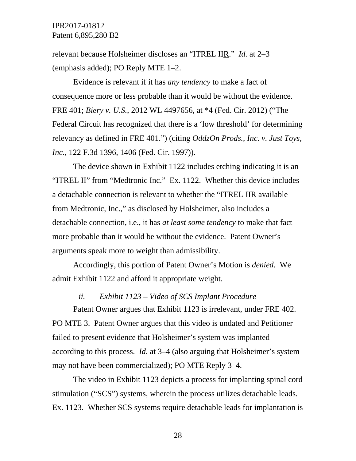relevant because Holsheimer discloses an "ITREL IIR." *Id.* at 2–3 (emphasis added); PO Reply MTE 1–2.

Evidence is relevant if it has *any tendency* to make a fact of consequence more or less probable than it would be without the evidence. FRE 401; *Biery v. U.S.*, 2012 WL 4497656, at \*4 (Fed. Cir. 2012) ("The Federal Circuit has recognized that there is a 'low threshold' for determining relevancy as defined in FRE 401.") (citing *OddzOn Prods., Inc. v. Just Toys, Inc.*, 122 F.3d 1396, 1406 (Fed. Cir. 1997)).

The device shown in Exhibit 1122 includes etching indicating it is an "ITREL II" from "Medtronic Inc." Ex. 1122. Whether this device includes a detachable connection is relevant to whether the "ITREL IIR available from Medtronic, Inc.," as disclosed by Holsheimer, also includes a detachable connection, i.e., it has *at least some tendency* to make that fact more probable than it would be without the evidence. Patent Owner's arguments speak more to weight than admissibility.

Accordingly, this portion of Patent Owner's Motion is *denied.* We admit Exhibit 1122 and afford it appropriate weight.

## *ii. Exhibit 1123 – Video of SCS Implant Procedure*

Patent Owner argues that Exhibit 1123 is irrelevant, under FRE 402. PO MTE 3. Patent Owner argues that this video is undated and Petitioner failed to present evidence that Holsheimer's system was implanted according to this process. *Id.* at 3–4 (also arguing that Holsheimer's system may not have been commercialized); PO MTE Reply 3–4.

The video in Exhibit 1123 depicts a process for implanting spinal cord stimulation ("SCS") systems, wherein the process utilizes detachable leads. Ex. 1123. Whether SCS systems require detachable leads for implantation is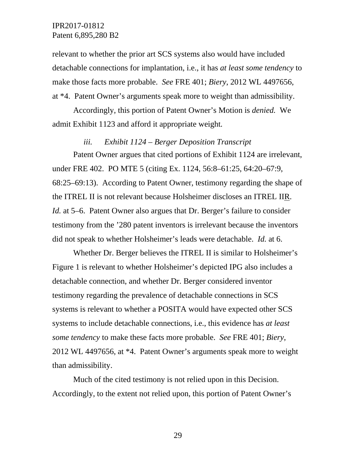relevant to whether the prior art SCS systems also would have included detachable connections for implantation, i.e., it has *at least some tendency* to make those facts more probable. *See* FRE 401; *Biery*, 2012 WL 4497656, at \*4. Patent Owner's arguments speak more to weight than admissibility.

Accordingly, this portion of Patent Owner's Motion is *denied.* We admit Exhibit 1123 and afford it appropriate weight*.*

# *iii. Exhibit 1124 – Berger Deposition Transcript*

Patent Owner argues that cited portions of Exhibit 1124 are irrelevant, under FRE 402. PO MTE 5 (citing Ex. 1124, 56:8–61:25, 64:20–67:9, 68:25–69:13). According to Patent Owner, testimony regarding the shape of the ITREL II is not relevant because Holsheimer discloses an ITREL IIR. *Id.* at 5–6. Patent Owner also argues that Dr. Berger's failure to consider testimony from the '280 patent inventors is irrelevant because the inventors did not speak to whether Holsheimer's leads were detachable. *Id.* at 6.

Whether Dr. Berger believes the ITREL II is similar to Holsheimer's Figure 1 is relevant to whether Holsheimer's depicted IPG also includes a detachable connection, and whether Dr. Berger considered inventor testimony regarding the prevalence of detachable connections in SCS systems is relevant to whether a POSITA would have expected other SCS systems to include detachable connections, i.e., this evidence has *at least some tendency* to make these facts more probable. *See* FRE 401; *Biery*, 2012 WL 4497656, at \*4. Patent Owner's arguments speak more to weight than admissibility.

Much of the cited testimony is not relied upon in this Decision. Accordingly, to the extent not relied upon, this portion of Patent Owner's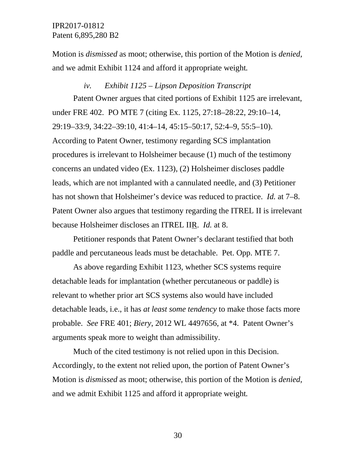Motion is *dismissed* as moot; otherwise, this portion of the Motion is *denied*, and we admit Exhibit 1124 and afford it appropriate weight*.*

#### *iv. Exhibit 1125 – Lipson Deposition Transcript*

Patent Owner argues that cited portions of Exhibit 1125 are irrelevant, under FRE 402. PO MTE 7 (citing Ex. 1125, 27:18–28:22, 29:10–14, 29:19–33:9, 34:22–39:10, 41:4–14, 45:15–50:17, 52:4–9, 55:5–10). According to Patent Owner, testimony regarding SCS implantation procedures is irrelevant to Holsheimer because (1) much of the testimony concerns an undated video (Ex. 1123), (2) Holsheimer discloses paddle leads, which are not implanted with a cannulated needle, and (3) Petitioner has not shown that Holsheimer's device was reduced to practice. *Id.* at 7–8. Patent Owner also argues that testimony regarding the ITREL II is irrelevant because Holsheimer discloses an ITREL IIR. *Id.* at 8.

Petitioner responds that Patent Owner's declarant testified that both paddle and percutaneous leads must be detachable. Pet. Opp. MTE 7.

As above regarding Exhibit 1123, whether SCS systems require detachable leads for implantation (whether percutaneous or paddle) is relevant to whether prior art SCS systems also would have included detachable leads, i.e., it has *at least some tendency* to make those facts more probable. *See* FRE 401; *Biery*, 2012 WL 4497656, at \*4. Patent Owner's arguments speak more to weight than admissibility.

Much of the cited testimony is not relied upon in this Decision. Accordingly, to the extent not relied upon, the portion of Patent Owner's Motion is *dismissed* as moot; otherwise, this portion of the Motion is *denied*, and we admit Exhibit 1125 and afford it appropriate weight*.*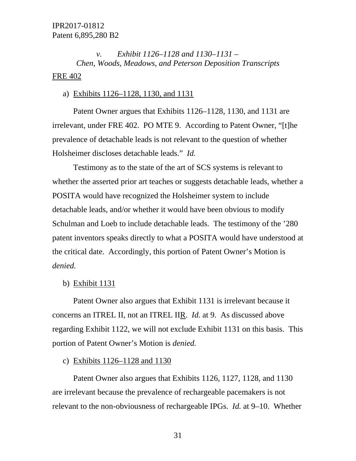# *v. Exhibit 1126–1128 and 1130–1131 – Chen, Woods, Meadows, and Peterson Deposition Transcripts* FRE 402

## a) Exhibits 1126–1128, 1130, and 1131

Patent Owner argues that Exhibits 1126–1128, 1130, and 1131 are irrelevant, under FRE 402. PO MTE 9. According to Patent Owner, "[t]he prevalence of detachable leads is not relevant to the question of whether Holsheimer discloses detachable leads." *Id.*

Testimony as to the state of the art of SCS systems is relevant to whether the asserted prior art teaches or suggests detachable leads, whether a POSITA would have recognized the Holsheimer system to include detachable leads, and/or whether it would have been obvious to modify Schulman and Loeb to include detachable leads. The testimony of the '280 patent inventors speaks directly to what a POSITA would have understood at the critical date. Accordingly, this portion of Patent Owner's Motion is *denied.*

b) Exhibit 1131

Patent Owner also argues that Exhibit 1131 is irrelevant because it concerns an ITREL II, not an ITREL IIR. *Id.* at 9. As discussed above regarding Exhibit 1122, we will not exclude Exhibit 1131 on this basis. This portion of Patent Owner's Motion is *denied.* 

#### c) Exhibits 1126–1128 and 1130

Patent Owner also argues that Exhibits 1126, 1127, 1128, and 1130 are irrelevant because the prevalence of rechargeable pacemakers is not relevant to the non-obviousness of rechargeable IPGs. *Id.* at 9–10. Whether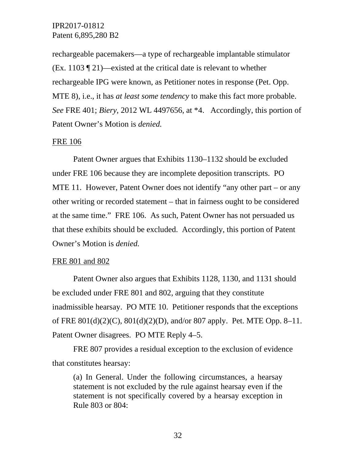rechargeable pacemakers—a type of rechargeable implantable stimulator (Ex. 1103 ¶ 21)—existed at the critical date is relevant to whether rechargeable IPG were known, as Petitioner notes in response (Pet. Opp. MTE 8), i.e., it has *at least some tendency* to make this fact more probable. *See* FRE 401; *Biery*, 2012 WL 4497656, at \*4. Accordingly, this portion of Patent Owner's Motion is *denied.*

## FRE 106

Patent Owner argues that Exhibits 1130–1132 should be excluded under FRE 106 because they are incomplete deposition transcripts. PO MTE 11. However, Patent Owner does not identify "any other part – or any other writing or recorded statement – that in fairness ought to be considered at the same time." FRE 106. As such, Patent Owner has not persuaded us that these exhibits should be excluded. Accordingly, this portion of Patent Owner's Motion is *denied.*

#### FRE 801 and 802

Patent Owner also argues that Exhibits 1128, 1130, and 1131 should be excluded under FRE 801 and 802, arguing that they constitute inadmissible hearsay. PO MTE 10. Petitioner responds that the exceptions of FRE 801(d)(2)(C), 801(d)(2)(D), and/or 807 apply. Pet. MTE Opp. 8–11. Patent Owner disagrees. PO MTE Reply 4–5.

FRE 807 provides a residual exception to the exclusion of evidence that constitutes hearsay:

(a) In General. Under the following circumstances, a hearsay statement is not excluded by the rule against hearsay even if the statement is not specifically covered by a hearsay exception in Rule 803 or 804: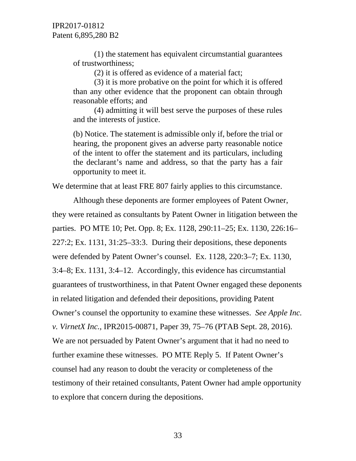(1) the statement has equivalent circumstantial guarantees of trustworthiness;

(2) it is offered as evidence of a material fact;

(3) it is more probative on the point for which it is offered than any other evidence that the proponent can obtain through reasonable efforts; and

(4) admitting it will best serve the purposes of these rules and the interests of justice.

(b) Notice. The statement is admissible only if, before the trial or hearing, the proponent gives an adverse party reasonable notice of the intent to offer the statement and its particulars, including the declarant's name and address, so that the party has a fair opportunity to meet it.

We determine that at least FRE 807 fairly applies to this circumstance.

Although these deponents are former employees of Patent Owner, they were retained as consultants by Patent Owner in litigation between the parties. PO MTE 10; Pet. Opp. 8; Ex. 1128, 290:11–25; Ex. 1130, 226:16– 227:2; Ex. 1131, 31:25–33:3. During their depositions, these deponents were defended by Patent Owner's counsel. Ex. 1128, 220:3–7; Ex. 1130, 3:4–8; Ex. 1131, 3:4–12. Accordingly, this evidence has circumstantial guarantees of trustworthiness, in that Patent Owner engaged these deponents in related litigation and defended their depositions, providing Patent Owner's counsel the opportunity to examine these witnesses. *See Apple Inc. v. VirnetX Inc.*, IPR2015-00871, Paper 39, 75–76 (PTAB Sept. 28, 2016). We are not persuaded by Patent Owner's argument that it had no need to further examine these witnesses. PO MTE Reply 5. If Patent Owner's counsel had any reason to doubt the veracity or completeness of the testimony of their retained consultants, Patent Owner had ample opportunity to explore that concern during the depositions.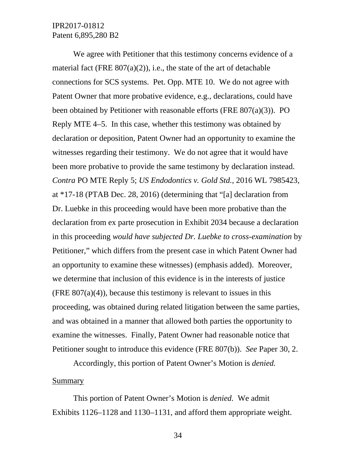We agree with Petitioner that this testimony concerns evidence of a material fact (FRE  $807(a)(2)$ ), i.e., the state of the art of detachable connections for SCS systems. Pet. Opp. MTE 10. We do not agree with Patent Owner that more probative evidence, e.g., declarations, could have been obtained by Petitioner with reasonable efforts (FRE 807(a)(3)). PO Reply MTE 4–5. In this case, whether this testimony was obtained by declaration or deposition, Patent Owner had an opportunity to examine the witnesses regarding their testimony. We do not agree that it would have been more probative to provide the same testimony by declaration instead. *Contra* PO MTE Reply 5; *US Endodontics v. Gold Std.*, 2016 WL 7985423, at \*17-18 (PTAB Dec. 28, 2016) (determining that "[a] declaration from Dr. Luebke in this proceeding would have been more probative than the declaration from ex parte prosecution in Exhibit 2034 because a declaration in this proceeding *would have subjected Dr. Luebke to cross-examination* by Petitioner," which differs from the present case in which Patent Owner had an opportunity to examine these witnesses) (emphasis added). Moreover, we determine that inclusion of this evidence is in the interests of justice (FRE  $807(a)(4)$ ), because this testimony is relevant to issues in this proceeding, was obtained during related litigation between the same parties, and was obtained in a manner that allowed both parties the opportunity to examine the witnesses. Finally, Patent Owner had reasonable notice that Petitioner sought to introduce this evidence (FRE 807(b)). *See* Paper 30, 2.

Accordingly, this portion of Patent Owner's Motion is *denied.*

#### Summary

This portion of Patent Owner's Motion is *denied.* We admit Exhibits 1126–1128 and 1130–1131, and afford them appropriate weight.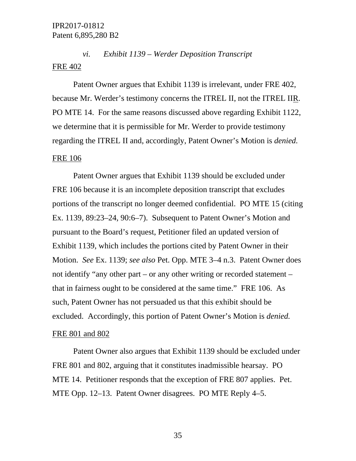# *vi. Exhibit 1139 – Werder Deposition Transcript* FRE 402

Patent Owner argues that Exhibit 1139 is irrelevant, under FRE 402, because Mr. Werder's testimony concerns the ITREL II, not the ITREL IIR. PO MTE 14. For the same reasons discussed above regarding Exhibit 1122, we determine that it is permissible for Mr. Werder to provide testimony regarding the ITREL II and, accordingly, Patent Owner's Motion is *denied.*

#### FRE 106

Patent Owner argues that Exhibit 1139 should be excluded under FRE 106 because it is an incomplete deposition transcript that excludes portions of the transcript no longer deemed confidential. PO MTE 15 (citing Ex. 1139, 89:23–24, 90:6–7). Subsequent to Patent Owner's Motion and pursuant to the Board's request, Petitioner filed an updated version of Exhibit 1139, which includes the portions cited by Patent Owner in their Motion. *See* Ex. 1139; *see also* Pet. Opp. MTE 3–4 n.3. Patent Owner does not identify "any other part – or any other writing or recorded statement – that in fairness ought to be considered at the same time." FRE 106. As such, Patent Owner has not persuaded us that this exhibit should be excluded. Accordingly, this portion of Patent Owner's Motion is *denied.*

#### FRE 801 and 802

Patent Owner also argues that Exhibit 1139 should be excluded under FRE 801 and 802, arguing that it constitutes inadmissible hearsay. PO MTE 14. Petitioner responds that the exception of FRE 807 applies. Pet. MTE Opp. 12–13. Patent Owner disagrees. PO MTE Reply 4–5.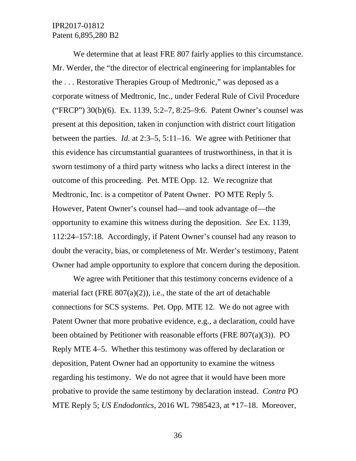We determine that at least FRE 807 fairly applies to this circumstance. Mr. Werder, the "the director of electrical engineering for implantables for the . . . Restorative Therapies Group of Medtronic," was deposed as a corporate witness of Medtronic, Inc., under Federal Rule of Civil Procedure ("FRCP") 30(b)(6). Ex. 1139, 5:2–7, 8:25–9:6. Patent Owner's counsel was present at this deposition, taken in conjunction with district court litigation between the parties. *Id.* at 2:3–5, 5:11–16. We agree with Petitioner that this evidence has circumstantial guarantees of trustworthiness, in that it is sworn testimony of a third party witness who lacks a direct interest in the outcome of this proceeding. Pet. MTE Opp. 12. We recognize that Medtronic, Inc. is a competitor of Patent Owner. PO MTE Reply 5. However, Patent Owner's counsel had—and took advantage of—the opportunity to examine this witness during the deposition. *See* Ex. 1139, 112:24–157:18. Accordingly, if Patent Owner's counsel had any reason to doubt the veracity, bias, or completeness of Mr. Werder's testimony, Patent Owner had ample opportunity to explore that concern during the deposition.

We agree with Petitioner that this testimony concerns evidence of a material fact (FRE  $807(a)(2)$ ), i.e., the state of the art of detachable connections for SCS systems. Pet. Opp. MTE 12. We do not agree with Patent Owner that more probative evidence, e.g., a declaration, could have been obtained by Petitioner with reasonable efforts (FRE 807(a)(3)). PO Reply MTE 4–5. Whether this testimony was offered by declaration or deposition, Patent Owner had an opportunity to examine the witness regarding his testimony. We do not agree that it would have been more probative to provide the same testimony by declaration instead. *Contra* PO MTE Reply 5; *US Endodontics*, 2016 WL 7985423, at \*17–18. Moreover,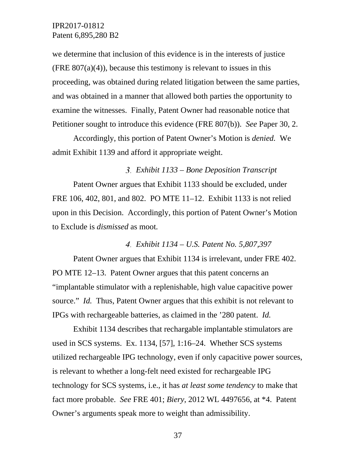we determine that inclusion of this evidence is in the interests of justice (FRE  $807(a)(4)$ ), because this testimony is relevant to issues in this proceeding, was obtained during related litigation between the same parties, and was obtained in a manner that allowed both parties the opportunity to examine the witnesses. Finally, Patent Owner had reasonable notice that Petitioner sought to introduce this evidence (FRE 807(b)). *See* Paper 30, 2.

Accordingly, this portion of Patent Owner's Motion is *denied.* We admit Exhibit 1139 and afford it appropriate weight.

#### *Exhibit 1133 – Bone Deposition Transcript*

Patent Owner argues that Exhibit 1133 should be excluded, under FRE 106, 402, 801, and 802. PO MTE 11–12. Exhibit 1133 is not relied upon in this Decision. Accordingly, this portion of Patent Owner's Motion to Exclude is *dismissed* as moot*.*

*Exhibit 1134 – U.S. Patent No. 5,807,397*

Patent Owner argues that Exhibit 1134 is irrelevant, under FRE 402. PO MTE 12–13. Patent Owner argues that this patent concerns an "implantable stimulator with a replenishable, high value capacitive power source." *Id.* Thus, Patent Owner argues that this exhibit is not relevant to IPGs with rechargeable batteries, as claimed in the '280 patent. *Id.*

Exhibit 1134 describes that rechargable implantable stimulators are used in SCS systems. Ex. 1134, [57], 1:16–24. Whether SCS systems utilized rechargeable IPG technology, even if only capacitive power sources, is relevant to whether a long-felt need existed for rechargeable IPG technology for SCS systems, i.e., it has *at least some tendency* to make that fact more probable. *See* FRE 401; *Biery*, 2012 WL 4497656, at \*4. Patent Owner's arguments speak more to weight than admissibility.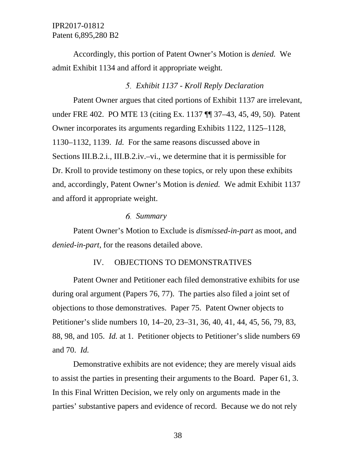Accordingly, this portion of Patent Owner's Motion is *denied.* We admit Exhibit 1134 and afford it appropriate weight*.*

#### *Exhibit 1137 - Kroll Reply Declaration*

Patent Owner argues that cited portions of Exhibit 1137 are irrelevant, under FRE 402. PO MTE 13 (citing Ex. 1137 ¶¶ 37–43, 45, 49, 50). Patent Owner incorporates its arguments regarding Exhibits 1122, 1125–1128, 1130–1132, 1139. *Id.* For the same reasons discussed above in Sections III.B.2.i., III.B.2.iv.–vi., we determine that it is permissible for Dr. Kroll to provide testimony on these topics, or rely upon these exhibits and, accordingly, Patent Owner's Motion is *denied.* We admit Exhibit 1137 and afford it appropriate weight.

#### *Summary*

Patent Owner's Motion to Exclude is *dismissed-in-part* as moot, and *denied-in-part*, for the reasons detailed above.

#### IV. OBJECTIONS TO DEMONSTRATIVES

Patent Owner and Petitioner each filed demonstrative exhibits for use during oral argument (Papers 76, 77). The parties also filed a joint set of objections to those demonstratives. Paper 75. Patent Owner objects to Petitioner's slide numbers 10, 14–20, 23–31, 36, 40, 41, 44, 45, 56, 79, 83, 88, 98, and 105. *Id.* at 1. Petitioner objects to Petitioner's slide numbers 69 and 70. *Id.*

Demonstrative exhibits are not evidence; they are merely visual aids to assist the parties in presenting their arguments to the Board. Paper 61, 3. In this Final Written Decision, we rely only on arguments made in the parties' substantive papers and evidence of record. Because we do not rely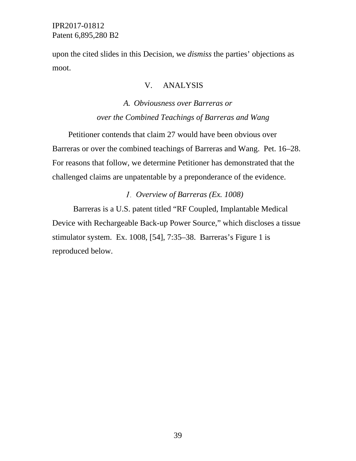upon the cited slides in this Decision, we *dismiss* the parties' objections as moot.

#### V. ANALYSIS

# *A. Obviousness over Barreras or over the Combined Teachings of Barreras and Wang*

Petitioner contends that claim 27 would have been obvious over Barreras or over the combined teachings of Barreras and Wang. Pet. 16–28. For reasons that follow, we determine Petitioner has demonstrated that the challenged claims are unpatentable by a preponderance of the evidence.

### *Overview of Barreras (Ex. 1008)*

Barreras is a U.S. patent titled "RF Coupled, Implantable Medical Device with Rechargeable Back-up Power Source," which discloses a tissue stimulator system. Ex. 1008, [54], 7:35–38. Barreras's Figure 1 is reproduced below.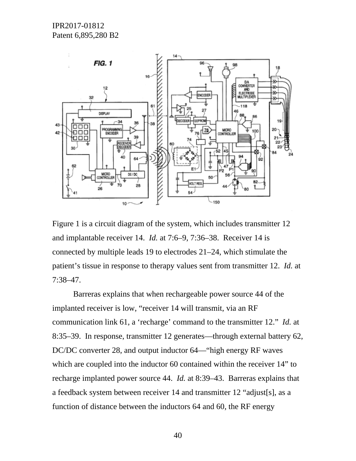

Figure 1 is a circuit diagram of the system, which includes transmitter 12 and implantable receiver 14. *Id.* at 7:6–9, 7:36–38. Receiver 14 is connected by multiple leads 19 to electrodes 21–24, which stimulate the patient's tissue in response to therapy values sent from transmitter 12. *Id.* at 7:38–47.

Barreras explains that when rechargeable power source 44 of the implanted receiver is low, "receiver 14 will transmit, via an RF communication link 61, a 'recharge' command to the transmitter 12." *Id.* at 8:35–39. In response, transmitter 12 generates—through external battery 62, DC/DC converter 28, and output inductor 64—"high energy RF waves which are coupled into the inductor 60 contained within the receiver 14" to recharge implanted power source 44. *Id.* at 8:39–43. Barreras explains that a feedback system between receiver 14 and transmitter 12 "adjust[s], as a function of distance between the inductors 64 and 60, the RF energy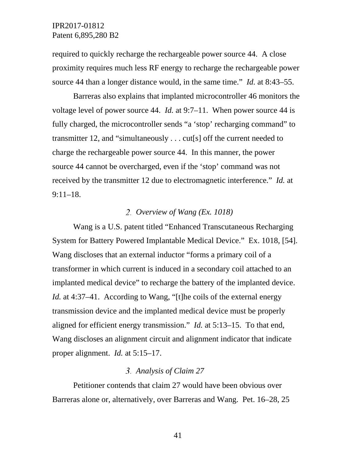required to quickly recharge the rechargeable power source 44. A close proximity requires much less RF energy to recharge the rechargeable power source 44 than a longer distance would, in the same time." *Id.* at 8:43–55.

Barreras also explains that implanted microcontroller 46 monitors the voltage level of power source 44. *Id.* at 9:7–11. When power source 44 is fully charged, the microcontroller sends "a 'stop' recharging command" to transmitter 12, and "simultaneously . . . cut[s] off the current needed to charge the rechargeable power source 44. In this manner, the power source 44 cannot be overcharged, even if the 'stop' command was not received by the transmitter 12 due to electromagnetic interference." *Id.* at 9:11–18.

#### *Overview of Wang (Ex. 1018)*

Wang is a U.S. patent titled "Enhanced Transcutaneous Recharging System for Battery Powered Implantable Medical Device." Ex. 1018, [54]. Wang discloses that an external inductor "forms a primary coil of a transformer in which current is induced in a secondary coil attached to an implanted medical device" to recharge the battery of the implanted device. *Id.* at 4:37–41. According to Wang, "[t]he coils of the external energy transmission device and the implanted medical device must be properly aligned for efficient energy transmission." *Id.* at 5:13–15. To that end, Wang discloses an alignment circuit and alignment indicator that indicate proper alignment. *Id.* at 5:15–17.

#### *Analysis of Claim 27*

Petitioner contends that claim 27 would have been obvious over Barreras alone or, alternatively, over Barreras and Wang. Pet. 16–28, 25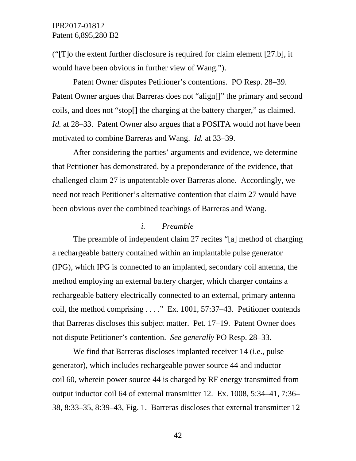("[T]o the extent further disclosure is required for claim element [27.b], it would have been obvious in further view of Wang.").

Patent Owner disputes Petitioner's contentions. PO Resp. 28–39. Patent Owner argues that Barreras does not "align[]" the primary and second coils, and does not "stop[] the charging at the battery charger," as claimed. *Id.* at 28–33. Patent Owner also argues that a POSITA would not have been motivated to combine Barreras and Wang. *Id.* at 33–39.

After considering the parties' arguments and evidence, we determine that Petitioner has demonstrated, by a preponderance of the evidence, that challenged claim 27 is unpatentable over Barreras alone. Accordingly, we need not reach Petitioner's alternative contention that claim 27 would have been obvious over the combined teachings of Barreras and Wang.

#### *i. Preamble*

The preamble of independent claim 27 recites "[a] method of charging a rechargeable battery contained within an implantable pulse generator (IPG), which IPG is connected to an implanted, secondary coil antenna, the method employing an external battery charger, which charger contains a rechargeable battery electrically connected to an external, primary antenna coil, the method comprising . . . ." Ex. 1001, 57:37–43. Petitioner contends that Barreras discloses this subject matter. Pet. 17–19. Patent Owner does not dispute Petitioner's contention. *See generally* PO Resp. 28–33.

We find that Barreras discloses implanted receiver 14 (i.e., pulse generator), which includes rechargeable power source 44 and inductor coil 60, wherein power source 44 is charged by RF energy transmitted from output inductor coil 64 of external transmitter 12. Ex. 1008, 5:34–41, 7:36– 38, 8:33–35, 8:39–43, Fig. 1. Barreras discloses that external transmitter 12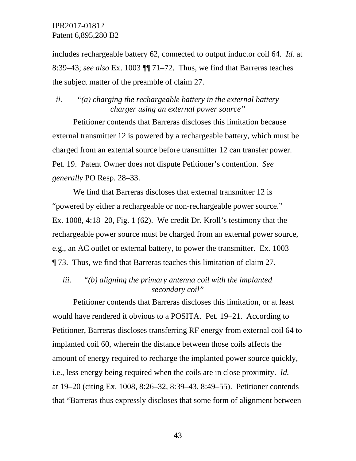includes rechargeable battery 62, connected to output inductor coil 64. *Id.* at 8:39–43; *see also* Ex. 1003 ¶¶ 71–72. Thus, we find that Barreras teaches the subject matter of the preamble of claim 27.

*ii. "(a) charging the rechargeable battery in the external battery charger using an external power source"*

Petitioner contends that Barreras discloses this limitation because external transmitter 12 is powered by a rechargeable battery, which must be charged from an external source before transmitter 12 can transfer power. Pet. 19. Patent Owner does not dispute Petitioner's contention. *See generally* PO Resp. 28–33.

We find that Barreras discloses that external transmitter 12 is "powered by either a rechargeable or non-rechargeable power source." Ex. 1008, 4:18–20, Fig. 1 (62). We credit Dr. Kroll's testimony that the rechargeable power source must be charged from an external power source, e.g., an AC outlet or external battery, to power the transmitter. Ex. 1003 ¶ 73. Thus, we find that Barreras teaches this limitation of claim 27.

*iii. "(b) aligning the primary antenna coil with the implanted secondary coil"*

Petitioner contends that Barreras discloses this limitation, or at least would have rendered it obvious to a POSITA. Pet. 19–21. According to Petitioner, Barreras discloses transferring RF energy from external coil 64 to implanted coil 60, wherein the distance between those coils affects the amount of energy required to recharge the implanted power source quickly, i.e., less energy being required when the coils are in close proximity. *Id.* at 19–20 (citing Ex. 1008, 8:26–32, 8:39–43, 8:49–55). Petitioner contends that "Barreras thus expressly discloses that some form of alignment between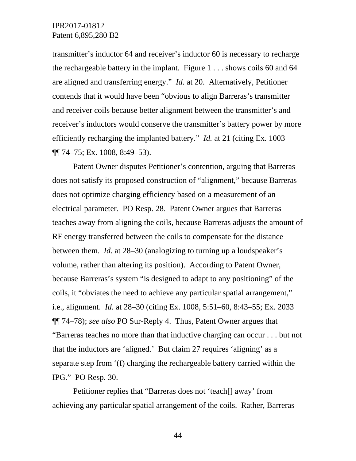transmitter's inductor 64 and receiver's inductor 60 is necessary to recharge the rechargeable battery in the implant. Figure  $1 \dots$  shows coils 60 and 64 are aligned and transferring energy." *Id.* at 20. Alternatively, Petitioner contends that it would have been "obvious to align Barreras's transmitter and receiver coils because better alignment between the transmitter's and receiver's inductors would conserve the transmitter's battery power by more efficiently recharging the implanted battery." *Id.* at 21 (citing Ex. 1003 ¶¶ 74–75; Ex. 1008, 8:49–53).

Patent Owner disputes Petitioner's contention, arguing that Barreras does not satisfy its proposed construction of "alignment," because Barreras does not optimize charging efficiency based on a measurement of an electrical parameter. PO Resp. 28. Patent Owner argues that Barreras teaches away from aligning the coils, because Barreras adjusts the amount of RF energy transferred between the coils to compensate for the distance between them. *Id.* at 28–30 (analogizing to turning up a loudspeaker's volume, rather than altering its position). According to Patent Owner, because Barreras's system "is designed to adapt to any positioning" of the coils, it "obviates the need to achieve any particular spatial arrangement," i.e., alignment. *Id.* at 28–30 (citing Ex. 1008, 5:51–60, 8:43–55; Ex. 2033 ¶¶ 74–78); *see also* PO Sur-Reply 4. Thus, Patent Owner argues that "Barreras teaches no more than that inductive charging can occur . . . but not that the inductors are 'aligned.' But claim 27 requires 'aligning' as a separate step from '(f) charging the rechargeable battery carried within the IPG." PO Resp. 30.

Petitioner replies that "Barreras does not 'teach[] away' from achieving any particular spatial arrangement of the coils. Rather, Barreras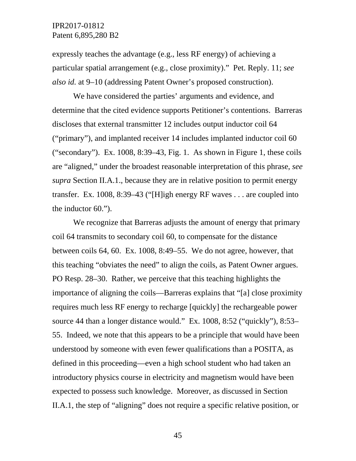expressly teaches the advantage (e.g., less RF energy) of achieving a particular spatial arrangement (e.g., close proximity)." Pet. Reply. 11; *see also id.* at 9–10 (addressing Patent Owner's proposed construction).

We have considered the parties' arguments and evidence, and determine that the cited evidence supports Petitioner's contentions. Barreras discloses that external transmitter 12 includes output inductor coil 64 ("primary"), and implanted receiver 14 includes implanted inductor coil 60 ("secondary"). Ex.  $1008$ ,  $8:39-43$ , Fig. 1. As shown in Figure 1, these coils are "aligned," under the broadest reasonable interpretation of this phrase, *see supra* Section II.A.1., because they are in relative position to permit energy transfer. Ex. 1008, 8:39–43 ("[H]igh energy RF waves . . . are coupled into the inductor 60.").

We recognize that Barreras adjusts the amount of energy that primary coil 64 transmits to secondary coil 60, to compensate for the distance between coils 64, 60. Ex. 1008, 8:49–55. We do not agree, however, that this teaching "obviates the need" to align the coils, as Patent Owner argues. PO Resp. 28–30. Rather, we perceive that this teaching highlights the importance of aligning the coils—Barreras explains that "[a] close proximity requires much less RF energy to recharge [quickly] the rechargeable power source 44 than a longer distance would." Ex. 1008, 8:52 ("quickly"), 8:53– 55. Indeed, we note that this appears to be a principle that would have been understood by someone with even fewer qualifications than a POSITA, as defined in this proceeding—even a high school student who had taken an introductory physics course in electricity and magnetism would have been expected to possess such knowledge. Moreover, as discussed in Section II.A.1, the step of "aligning" does not require a specific relative position, or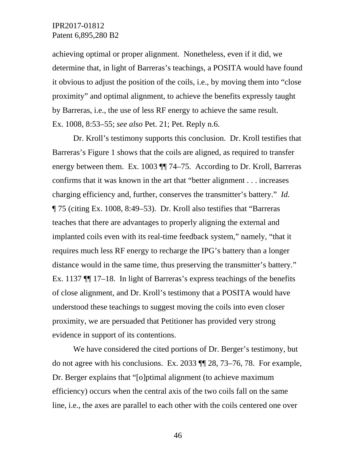achieving optimal or proper alignment. Nonetheless, even if it did, we determine that, in light of Barreras's teachings, a POSITA would have found it obvious to adjust the position of the coils, i.e., by moving them into "close proximity" and optimal alignment, to achieve the benefits expressly taught by Barreras, i.e., the use of less RF energy to achieve the same result. Ex. 1008, 8:53–55; *see also* Pet. 21; Pet. Reply n.6.

Dr. Kroll's testimony supports this conclusion. Dr. Kroll testifies that Barreras's Figure 1 shows that the coils are aligned, as required to transfer energy between them. Ex. 1003 ¶¶ 74–75. According to Dr. Kroll, Barreras confirms that it was known in the art that "better alignment . . . increases charging efficiency and, further, conserves the transmitter's battery." *Id.* ¶ 75 (citing Ex. 1008, 8:49–53). Dr. Kroll also testifies that "Barreras teaches that there are advantages to properly aligning the external and implanted coils even with its real-time feedback system," namely, "that it requires much less RF energy to recharge the IPG's battery than a longer distance would in the same time, thus preserving the transmitter's battery." Ex. 1137 ¶¶ 17–18. In light of Barreras's express teachings of the benefits of close alignment, and Dr. Kroll's testimony that a POSITA would have understood these teachings to suggest moving the coils into even closer proximity, we are persuaded that Petitioner has provided very strong evidence in support of its contentions.

We have considered the cited portions of Dr. Berger's testimony, but do not agree with his conclusions. Ex. 2033 ¶¶ 28, 73–76, 78. For example, Dr. Berger explains that "[o]ptimal alignment (to achieve maximum efficiency) occurs when the central axis of the two coils fall on the same line, i.e., the axes are parallel to each other with the coils centered one over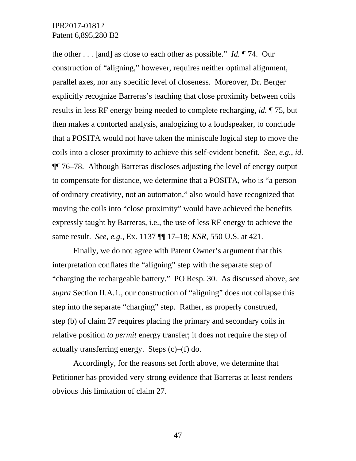the other . . . [and] as close to each other as possible." *Id.* ¶ 74. Our construction of "aligning," however, requires neither optimal alignment, parallel axes, nor any specific level of closeness. Moreover, Dr. Berger explicitly recognize Barreras's teaching that close proximity between coils results in less RF energy being needed to complete recharging, *id.* ¶ 75, but then makes a contorted analysis, analogizing to a loudspeaker, to conclude that a POSITA would not have taken the miniscule logical step to move the coils into a closer proximity to achieve this self-evident benefit. *See, e.g.*, *id.* ¶¶ 76–78. Although Barreras discloses adjusting the level of energy output to compensate for distance, we determine that a POSITA, who is "a person of ordinary creativity, not an automaton," also would have recognized that moving the coils into "close proximity" would have achieved the benefits expressly taught by Barreras, i.e., the use of less RF energy to achieve the same result. *See, e.g.*, Ex. 1137 ¶¶ 17–18; *KSR*, 550 U.S. at 421.

Finally, we do not agree with Patent Owner's argument that this interpretation conflates the "aligning" step with the separate step of "charging the rechargeable battery." PO Resp. 30. As discussed above, *see supra* Section II.A.1., our construction of "aligning" does not collapse this step into the separate "charging" step. Rather, as properly construed, step (b) of claim 27 requires placing the primary and secondary coils in relative position *to permit* energy transfer; it does not require the step of actually transferring energy. Steps (c)–(f) do.

Accordingly, for the reasons set forth above, we determine that Petitioner has provided very strong evidence that Barreras at least renders obvious this limitation of claim 27.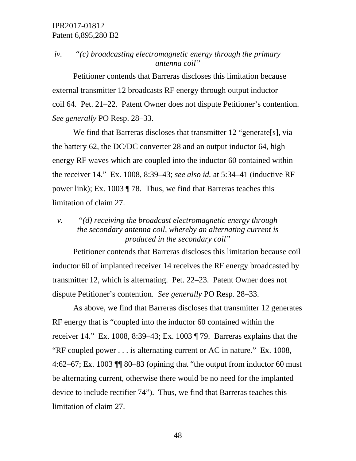# *iv. "(c) broadcasting electromagnetic energy through the primary antenna coil"*

Petitioner contends that Barreras discloses this limitation because external transmitter 12 broadcasts RF energy through output inductor coil 64. Pet. 21–22. Patent Owner does not dispute Petitioner's contention. *See generally* PO Resp. 28–33.

We find that Barreras discloses that transmitter 12 "generate[s], via the battery 62, the DC/DC converter 28 and an output inductor 64, high energy RF waves which are coupled into the inductor 60 contained within the receiver 14." Ex. 1008, 8:39–43; *see also id.* at 5:34–41 (inductive RF power link); Ex. 1003 ¶ 78. Thus, we find that Barreras teaches this limitation of claim 27.

# *v. "(d) receiving the broadcast electromagnetic energy through the secondary antenna coil, whereby an alternating current is produced in the secondary coil"*

Petitioner contends that Barreras discloses this limitation because coil inductor 60 of implanted receiver 14 receives the RF energy broadcasted by transmitter 12, which is alternating. Pet. 22–23. Patent Owner does not dispute Petitioner's contention. *See generally* PO Resp. 28–33.

As above, we find that Barreras discloses that transmitter 12 generates RF energy that is "coupled into the inductor 60 contained within the receiver 14." Ex. 1008, 8:39–43; Ex. 1003 ¶ 79. Barreras explains that the "RF coupled power . . . is alternating current or AC in nature." Ex. 1008, 4:62–67; Ex. 1003 ¶¶ 80–83 (opining that "the output from inductor 60 must be alternating current, otherwise there would be no need for the implanted device to include rectifier 74"). Thus, we find that Barreras teaches this limitation of claim 27.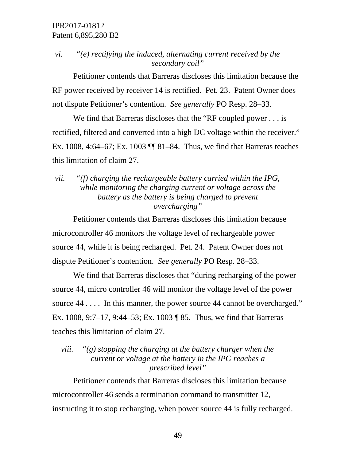# *vi. "(e) rectifying the induced, alternating current received by the secondary coil"*

Petitioner contends that Barreras discloses this limitation because the RF power received by receiver 14 is rectified. Pet. 23. Patent Owner does not dispute Petitioner's contention. *See generally* PO Resp. 28–33.

We find that Barreras discloses that the "RF coupled power . . . is rectified, filtered and converted into a high DC voltage within the receiver." Ex. 1008, 4:64–67; Ex. 1003 ¶¶ 81–84. Thus, we find that Barreras teaches this limitation of claim 27.

*vii. "(f) charging the rechargeable battery carried within the IPG, while monitoring the charging current or voltage across the battery as the battery is being charged to prevent overcharging"*

Petitioner contends that Barreras discloses this limitation because microcontroller 46 monitors the voltage level of rechargeable power source 44, while it is being recharged. Pet. 24. Patent Owner does not dispute Petitioner's contention. *See generally* PO Resp. 28–33.

We find that Barreras discloses that "during recharging of the power source 44, micro controller 46 will monitor the voltage level of the power source 44 . . . . In this manner, the power source 44 cannot be overcharged." Ex. 1008, 9:7–17, 9:44–53; Ex. 1003 ¶ 85. Thus, we find that Barreras teaches this limitation of claim 27.

# *viii. "(g) stopping the charging at the battery charger when the current or voltage at the battery in the IPG reaches a prescribed level"*

Petitioner contends that Barreras discloses this limitation because microcontroller 46 sends a termination command to transmitter 12, instructing it to stop recharging, when power source 44 is fully recharged.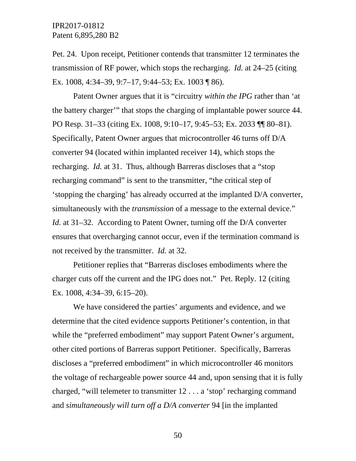Pet. 24. Upon receipt, Petitioner contends that transmitter 12 terminates the transmission of RF power, which stops the recharging. *Id.* at 24–25 (citing Ex. 1008, 4:34–39, 9:7–17, 9:44–53; Ex. 1003 ¶ 86).

Patent Owner argues that it is "circuitry *within the IPG* rather than 'at the battery charger'" that stops the charging of implantable power source 44. PO Resp. 31–33 (citing Ex. 1008, 9:10–17, 9:45–53; Ex. 2033 ¶¶ 80–81). Specifically, Patent Owner argues that microcontroller 46 turns off D/A converter 94 (located within implanted receiver 14), which stops the recharging. *Id.* at 31. Thus, although Barreras discloses that a "stop recharging command" is sent to the transmitter, "the critical step of 'stopping the charging' has already occurred at the implanted D/A converter, simultaneously with the *transmission* of a message to the external device." *Id.* at 31–32. According to Patent Owner, turning off the D/A converter ensures that overcharging cannot occur, even if the termination command is not received by the transmitter. *Id.* at 32.

Petitioner replies that "Barreras discloses embodiments where the charger cuts off the current and the IPG does not." Pet. Reply. 12 (citing Ex. 1008, 4:34–39, 6:15–20).

We have considered the parties' arguments and evidence, and we determine that the cited evidence supports Petitioner's contention, in that while the "preferred embodiment" may support Patent Owner's argument, other cited portions of Barreras support Petitioner. Specifically, Barreras discloses a "preferred embodiment" in which microcontroller 46 monitors the voltage of rechargeable power source 44 and, upon sensing that it is fully charged, "will telemeter to transmitter 12 . . . a 'stop' recharging command and *simultaneously will turn off a D/A converter* 94 [in the implanted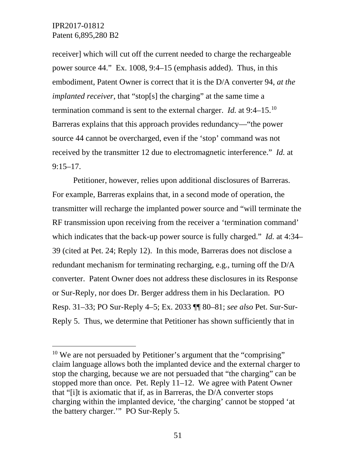receiver] which will cut off the current needed to charge the rechargeable power source 44." Ex. 1008, 9:4–15 (emphasis added). Thus, in this embodiment, Patent Owner is correct that it is the D/A converter 94, *at the implanted receiver*, that "stop[s] the charging" at the same time a termination command is sent to the external charger. *Id.* at 9:4–15.[10](#page-50-0)  Barreras explains that this approach provides redundancy—"the power source 44 cannot be overcharged, even if the 'stop' command was not received by the transmitter 12 due to electromagnetic interference." *Id.* at 9:15–17.

Petitioner, however, relies upon additional disclosures of Barreras. For example, Barreras explains that, in a second mode of operation, the transmitter will recharge the implanted power source and "will terminate the RF transmission upon receiving from the receiver a 'termination command' which indicates that the back-up power source is fully charged." *Id.* at 4:34– 39 (cited at Pet. 24; Reply 12). In this mode, Barreras does not disclose a redundant mechanism for terminating recharging, e.g., turning off the D/A converter. Patent Owner does not address these disclosures in its Response or Sur-Reply, nor does Dr. Berger address them in his Declaration. PO Resp. 31–33; PO Sur-Reply 4–5; Ex. 2033 ¶¶ 80–81; *see also* Pet. Sur-Sur-Reply 5. Thus, we determine that Petitioner has shown sufficiently that in

<span id="page-50-0"></span><sup>&</sup>lt;sup>10</sup> We are not persuaded by Petitioner's argument that the "comprising" claim language allows both the implanted device and the external charger to stop the charging, because we are not persuaded that "the charging" can be stopped more than once. Pet. Reply 11–12. We agree with Patent Owner that "[i]t is axiomatic that if, as in Barreras, the D/A converter stops charging within the implanted device, 'the charging' cannot be stopped 'at the battery charger.'" PO Sur-Reply 5.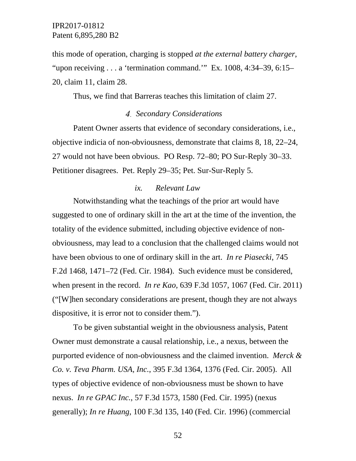this mode of operation, charging is stopped *at the external battery charger*, "upon receiving . . . a 'termination command." Ex. 1008, 4:34-39, 6:15-20, claim 11, claim 28.

Thus, we find that Barreras teaches this limitation of claim 27.

# *Secondary Considerations*

Patent Owner asserts that evidence of secondary considerations, i.e., objective indicia of non-obviousness, demonstrate that claims 8, 18, 22–24, 27 would not have been obvious. PO Resp. 72–80; PO Sur-Reply 30–33. Petitioner disagrees. Pet. Reply 29–35; Pet. Sur-Sur-Reply 5.

#### *ix. Relevant Law*

Notwithstanding what the teachings of the prior art would have suggested to one of ordinary skill in the art at the time of the invention, the totality of the evidence submitted, including objective evidence of nonobviousness, may lead to a conclusion that the challenged claims would not have been obvious to one of ordinary skill in the art. *In re Piasecki*, 745 F.2d 1468, 1471–72 (Fed. Cir. 1984). Such evidence must be considered, when present in the record. *In re Kao*, 639 F.3d 1057, 1067 (Fed. Cir. 2011) ("[W]hen secondary considerations are present, though they are not always dispositive, it is error not to consider them.").

To be given substantial weight in the obviousness analysis, Patent Owner must demonstrate a causal relationship, i.e., a nexus, between the purported evidence of non-obviousness and the claimed invention. *Merck & Co. v. Teva Pharm. USA, Inc.*, 395 F.3d 1364, 1376 (Fed. Cir. 2005). All types of objective evidence of non-obviousness must be shown to have nexus. *In re GPAC Inc.*, 57 F.3d 1573, 1580 (Fed. Cir. 1995) (nexus generally); *In re Huang*, 100 F.3d 135, 140 (Fed. Cir. 1996) (commercial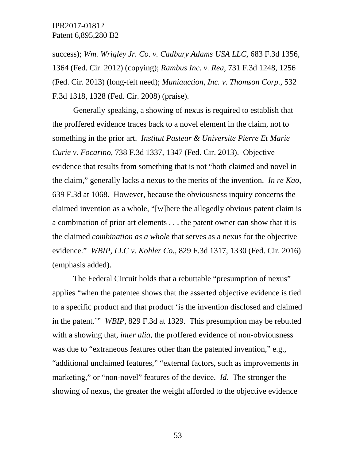success); *Wm. Wrigley Jr. Co. v. Cadbury Adams USA LLC*, 683 F.3d 1356, 1364 (Fed. Cir. 2012) (copying); *Rambus Inc. v. Rea*, 731 F.3d 1248, 1256 (Fed. Cir. 2013) (long-felt need); *Muniauction, Inc. v. Thomson Corp.*, 532 F.3d 1318, 1328 (Fed. Cir. 2008) (praise).

Generally speaking, a showing of nexus is required to establish that the proffered evidence traces back to a novel element in the claim, not to something in the prior art. *Institut Pasteur & Universite Pierre Et Marie Curie v. Focarino*, 738 F.3d 1337, 1347 (Fed. Cir. 2013). Objective evidence that results from something that is not "both claimed and novel in the claim," generally lacks a nexus to the merits of the invention. *In re Kao*, 639 F.3d at 1068. However, because the obviousness inquiry concerns the claimed invention as a whole, "[w]here the allegedly obvious patent claim is a combination of prior art elements . . . the patent owner can show that it is the claimed *combination as a whole* that serves as a nexus for the objective evidence." *WBIP, LLC v. Kohler Co.*, 829 F.3d 1317, 1330 (Fed. Cir. 2016) (emphasis added).

The Federal Circuit holds that a rebuttable "presumption of nexus" applies "when the patentee shows that the asserted objective evidence is tied to a specific product and that product 'is the invention disclosed and claimed in the patent.'" *WBIP*, 829 F.3d at 1329. This presumption may be rebutted with a showing that, *inter alia*, the proffered evidence of non-obviousness was due to "extraneous features other than the patented invention," e.g., "additional unclaimed features," "external factors, such as improvements in marketing," or "non-novel" features of the device. *Id.* The stronger the showing of nexus, the greater the weight afforded to the objective evidence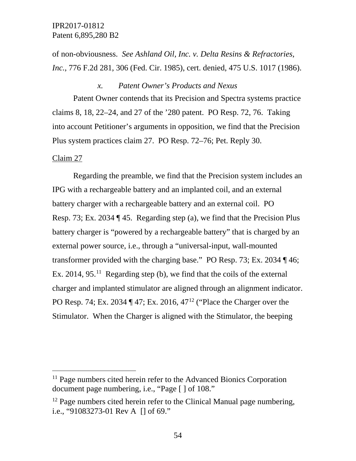of non-obviousness. *See Ashland Oil, Inc. v. Delta Resins & Refractories, Inc.*, 776 F.2d 281, 306 (Fed. Cir. 1985), cert. denied, 475 U.S. 1017 (1986).

#### *x. Patent Owner's Products and Nexus*

Patent Owner contends that its Precision and Spectra systems practice claims 8, 18, 22–24, and 27 of the '280 patent. PO Resp. 72, 76. Taking into account Petitioner's arguments in opposition, we find that the Precision Plus system practices claim 27. PO Resp. 72–76; Pet. Reply 30.

#### Claim 27

Regarding the preamble, we find that the Precision system includes an IPG with a rechargeable battery and an implanted coil, and an external battery charger with a rechargeable battery and an external coil. PO Resp. 73; Ex. 2034 ¶ 45. Regarding step (a), we find that the Precision Plus battery charger is "powered by a rechargeable battery" that is charged by an external power source, i.e., through a "universal-input, wall-mounted transformer provided with the charging base." PO Resp. 73; Ex. 2034 ¶ 46; Ex. 2014, 95.<sup>11</sup> Regarding step (b), we find that the coils of the external charger and implanted stimulator are aligned through an alignment indicator. PO Resp. 74; Ex. 2034 ¶ 47; Ex. 2016, 47[12](#page-53-1) ("Place the Charger over the Stimulator. When the Charger is aligned with the Stimulator, the beeping

<span id="page-53-0"></span><sup>&</sup>lt;sup>11</sup> Page numbers cited herein refer to the Advanced Bionics Corporation document page numbering, i.e., "Page [ ] of 108."

<span id="page-53-1"></span><sup>&</sup>lt;sup>12</sup> Page numbers cited herein refer to the Clinical Manual page numbering, i.e., "91083273-01 Rev A [] of 69."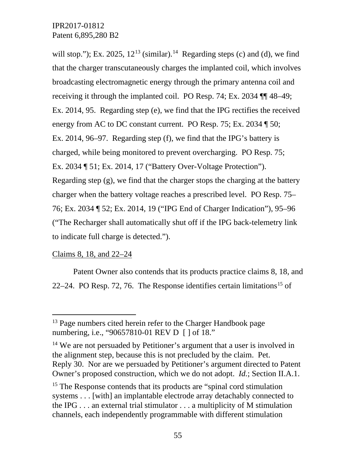will stop."); Ex. 2025,  $12^{13}$  $12^{13}$  $12^{13}$  (similar).<sup>[14](#page-54-1)</sup> Regarding steps (c) and (d), we find that the charger transcutaneously charges the implanted coil, which involves broadcasting electromagnetic energy through the primary antenna coil and receiving it through the implanted coil. PO Resp. 74; Ex. 2034 ¶¶ 48–49; Ex. 2014, 95. Regarding step (e), we find that the IPG rectifies the received energy from AC to DC constant current. PO Resp. 75; Ex. 2034 ¶ 50; Ex. 2014, 96–97. Regarding step (f), we find that the IPG's battery is charged, while being monitored to prevent overcharging. PO Resp. 75; Ex. 2034 ¶ 51; Ex. 2014, 17 ("Battery Over-Voltage Protection"). Regarding step (g), we find that the charger stops the charging at the battery charger when the battery voltage reaches a prescribed level. PO Resp. 75– 76; Ex. 2034 ¶ 52; Ex. 2014, 19 ("IPG End of Charger Indication"), 95–96 ("The Recharger shall automatically shut off if the IPG back-telemetry link to indicate full charge is detected.").

# Claims 8, 18, and 22–24

Patent Owner also contends that its products practice claims 8, 18, and 22–24. PO Resp. 72, 76. The Response identifies certain limitations<sup>[15](#page-54-2)</sup> of

<span id="page-54-0"></span><sup>&</sup>lt;sup>13</sup> Page numbers cited herein refer to the Charger Handbook page numbering, i.e., "90657810-01 REV D [ ] of 18."

<span id="page-54-1"></span><sup>&</sup>lt;sup>14</sup> We are not persuaded by Petitioner's argument that a user is involved in the alignment step, because this is not precluded by the claim. Pet. Reply 30. Nor are we persuaded by Petitioner's argument directed to Patent Owner's proposed construction, which we do not adopt. *Id.*; Section II.A.1.

<span id="page-54-2"></span><sup>&</sup>lt;sup>15</sup> The Response contends that its products are "spinal cord stimulation" systems . . . [with] an implantable electrode array detachably connected to the IPG . . . an external trial stimulator . . . a multiplicity of M stimulation channels, each independently programmable with different stimulation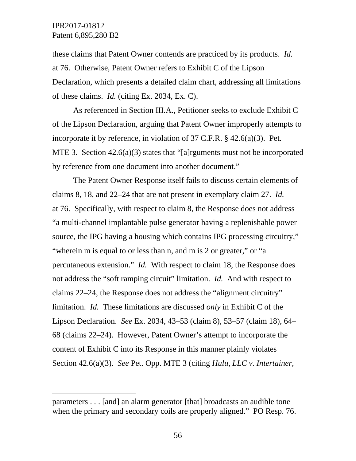$\overline{a}$ 

these claims that Patent Owner contends are practiced by its products. *Id.*  at 76. Otherwise, Patent Owner refers to Exhibit C of the Lipson Declaration, which presents a detailed claim chart, addressing all limitations of these claims. *Id.* (citing Ex. 2034, Ex. C).

As referenced in Section III.A., Petitioner seeks to exclude Exhibit C of the Lipson Declaration, arguing that Patent Owner improperly attempts to incorporate it by reference, in violation of 37 C.F.R. § 42.6(a)(3). Pet. MTE 3. Section 42.6(a)(3) states that "[a]rguments must not be incorporated by reference from one document into another document."

The Patent Owner Response itself fails to discuss certain elements of claims 8, 18, and 22–24 that are not present in exemplary claim 27. *Id.*  at 76. Specifically, with respect to claim 8, the Response does not address "a multi-channel implantable pulse generator having a replenishable power source, the IPG having a housing which contains IPG processing circuitry," "wherein m is equal to or less than n, and m is 2 or greater," or "a percutaneous extension." *Id.* With respect to claim 18, the Response does not address the "soft ramping circuit" limitation. *Id.* And with respect to claims 22–24, the Response does not address the "alignment circuitry" limitation. *Id.* These limitations are discussed *only* in Exhibit C of the Lipson Declaration. *See* Ex. 2034, 43–53 (claim 8), 53–57 (claim 18), 64– 68 (claims 22–24). However, Patent Owner's attempt to incorporate the content of Exhibit C into its Response in this manner plainly violates Section 42.6(a)(3). *See* Pet. Opp. MTE 3 (citing *Hulu, LLC v. Intertainer,* 

parameters . . . [and] an alarm generator [that] broadcasts an audible tone when the primary and secondary coils are properly aligned." PO Resp. 76.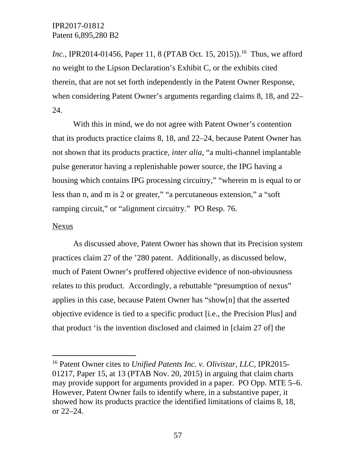*Inc.*, IPR2014-01456, Paper 11, 8 (PTAB Oct. 15, 2015)).<sup>[16](#page-56-0)</sup> Thus, we afford no weight to the Lipson Declaration's Exhibit C, or the exhibits cited therein, that are not set forth independently in the Patent Owner Response, when considering Patent Owner's arguments regarding claims 8, 18, and 22– 24.

With this in mind, we do not agree with Patent Owner's contention that its products practice claims 8, 18, and 22–24, because Patent Owner has not shown that its products practice, *inter alia*, "a multi-channel implantable pulse generator having a replenishable power source, the IPG having a housing which contains IPG processing circuitry," "wherein m is equal to or less than n, and m is 2 or greater," "a percutaneous extension," a "soft ramping circuit," or "alignment circuitry." PO Resp. 76.

#### Nexus

As discussed above, Patent Owner has shown that its Precision system practices claim 27 of the '280 patent. Additionally, as discussed below, much of Patent Owner's proffered objective evidence of non-obviousness relates to this product. Accordingly, a rebuttable "presumption of nexus" applies in this case, because Patent Owner has "show[n] that the asserted objective evidence is tied to a specific product [i.e., the Precision Plus] and that product 'is the invention disclosed and claimed in [claim 27 of] the

<span id="page-56-0"></span> <sup>16</sup> Patent Owner cites to *Unified Patents Inc. v. Olivistar, LLC*, IPR2015- 01217, Paper 15, at 13 (PTAB Nov. 20, 2015) in arguing that claim charts may provide support for arguments provided in a paper. PO Opp. MTE 5–6. However, Patent Owner fails to identify where, in a substantive paper, it showed how its products practice the identified limitations of claims 8, 18, or 22–24.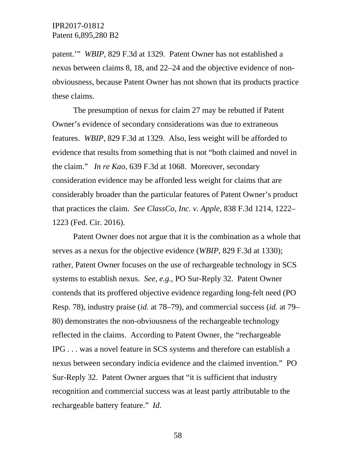patent.'" *WBIP*, 829 F.3d at 1329. Patent Owner has not established a nexus between claims 8, 18, and 22–24 and the objective evidence of nonobviousness, because Patent Owner has not shown that its products practice these claims.

The presumption of nexus for claim 27 may be rebutted if Patent Owner's evidence of secondary considerations was due to extraneous features. *WBIP*, 829 F.3d at 1329. Also, less weight will be afforded to evidence that results from something that is not "both claimed and novel in the claim." *In re Kao*, 639 F.3d at 1068. Moreover, secondary consideration evidence may be afforded less weight for claims that are considerably broader than the particular features of Patent Owner's product that practices the claim. *See ClassCo, Inc. v. Apple*, 838 F.3d 1214, 1222– 1223 (Fed. Cir. 2016).

Patent Owner does not argue that it is the combination as a whole that serves as a nexus for the objective evidence (*WBIP*, 829 F.3d at 1330); rather, Patent Owner focuses on the use of rechargeable technology in SCS systems to establish nexus. *See, e.g.*, PO Sur-Reply 32. Patent Owner contends that its proffered objective evidence regarding long-felt need (PO Resp. 78), industry praise (*id.* at 78–79), and commercial success (*id.* at 79– 80) demonstrates the non-obviousness of the rechargeable technology reflected in the claims. According to Patent Owner, the "rechargeable IPG . . . was a novel feature in SCS systems and therefore can establish a nexus between secondary indicia evidence and the claimed invention." PO Sur-Reply 32. Patent Owner argues that "it is sufficient that industry recognition and commercial success was at least partly attributable to the rechargeable battery feature." *Id.*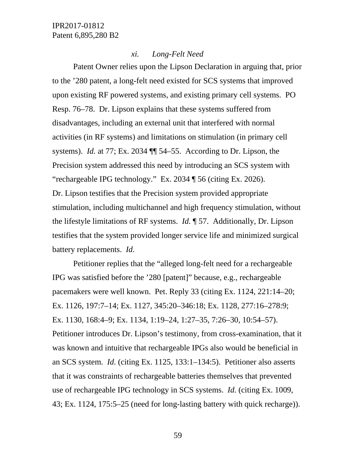#### *xi. Long-Felt Need*

Patent Owner relies upon the Lipson Declaration in arguing that, prior to the '280 patent, a long-felt need existed for SCS systems that improved upon existing RF powered systems, and existing primary cell systems. PO Resp. 76–78. Dr. Lipson explains that these systems suffered from disadvantages, including an external unit that interfered with normal activities (in RF systems) and limitations on stimulation (in primary cell systems). *Id.* at 77; Ex. 2034 ¶¶ 54–55. According to Dr. Lipson, the Precision system addressed this need by introducing an SCS system with "rechargeable IPG technology." Ex. 2034 ¶ 56 (citing Ex. 2026). Dr. Lipson testifies that the Precision system provided appropriate stimulation, including multichannel and high frequency stimulation, without the lifestyle limitations of RF systems. *Id.* ¶ 57. Additionally, Dr. Lipson testifies that the system provided longer service life and minimized surgical battery replacements. *Id.*

Petitioner replies that the "alleged long-felt need for a rechargeable IPG was satisfied before the '280 [patent]" because, e.g., rechargeable pacemakers were well known. Pet. Reply 33 (citing Ex. 1124, 221:14–20; Ex. 1126, 197:7–14; Ex. 1127, 345:20–346:18; Ex. 1128, 277:16–278:9; Ex. 1130, 168:4–9; Ex. 1134, 1:19–24, 1:27–35, 7:26–30, 10:54–57). Petitioner introduces Dr. Lipson's testimony, from cross-examination, that it was known and intuitive that rechargeable IPGs also would be beneficial in an SCS system. *Id.* (citing Ex. 1125, 133:1–134:5). Petitioner also asserts that it was constraints of rechargeable batteries themselves that prevented use of rechargeable IPG technology in SCS systems. *Id.* (citing Ex. 1009, 43; Ex. 1124, 175:5–25 (need for long-lasting battery with quick recharge)).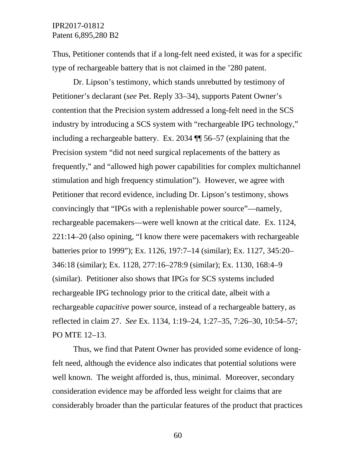Thus, Petitioner contends that if a long-felt need existed, it was for a specific type of rechargeable battery that is not claimed in the '280 patent.

Dr. Lipson's testimony, which stands unrebutted by testimony of Petitioner's declarant (*see* Pet. Reply 33–34), supports Patent Owner's contention that the Precision system addressed a long-felt need in the SCS industry by introducing a SCS system with "rechargeable IPG technology," including a rechargeable battery. Ex. 2034 ¶¶ 56–57 (explaining that the Precision system "did not need surgical replacements of the battery as frequently," and "allowed high power capabilities for complex multichannel stimulation and high frequency stimulation"). However, we agree with Petitioner that record evidence, including Dr. Lipson's testimony, shows convincingly that "IPGs with a replenishable power source"—namely, rechargeable pacemakers—were well known at the critical date. Ex. 1124, 221:14–20 (also opining, "I know there were pacemakers with rechargeable batteries prior to 1999"); Ex. 1126, 197:7–14 (similar); Ex. 1127, 345:20– 346:18 (similar); Ex. 1128, 277:16–278:9 (similar); Ex. 1130, 168:4–9 (similar). Petitioner also shows that IPGs for SCS systems included rechargeable IPG technology prior to the critical date, albeit with a rechargeable *capacitive* power source, instead of a rechargeable battery, as reflected in claim 27. *See* Ex. 1134, 1:19–24, 1:27–35, 7:26–30, 10:54–57; PO MTE 12–13.

Thus, we find that Patent Owner has provided some evidence of longfelt need, although the evidence also indicates that potential solutions were well known. The weight afforded is, thus, minimal. Moreover, secondary consideration evidence may be afforded less weight for claims that are considerably broader than the particular features of the product that practices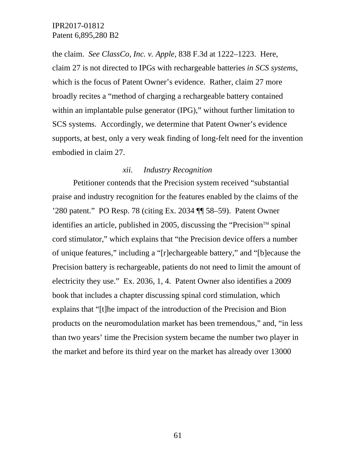the claim. *See ClassCo, Inc. v. Apple*, 838 F.3d at 1222–1223. Here, claim 27 is not directed to IPGs with rechargeable batteries *in SCS systems*, which is the focus of Patent Owner's evidence. Rather, claim 27 more broadly recites a "method of charging a rechargeable battery contained within an implantable pulse generator (IPG)," without further limitation to SCS systems. Accordingly, we determine that Patent Owner's evidence supports, at best, only a very weak finding of long-felt need for the invention embodied in claim 27.

#### *xii. Industry Recognition*

Petitioner contends that the Precision system received "substantial praise and industry recognition for the features enabled by the claims of the '280 patent." PO Resp. 78 (citing Ex. 2034 ¶¶ 58–59). Patent Owner identifies an article, published in 2005, discussing the "Precision<sup> $m$ </sup> spinal cord stimulator," which explains that "the Precision device offers a number of unique features," including a "[r]echargeable battery," and "[b]ecause the Precision battery is rechargeable, patients do not need to limit the amount of electricity they use." Ex. 2036, 1, 4. Patent Owner also identifies a 2009 book that includes a chapter discussing spinal cord stimulation, which explains that "[t]he impact of the introduction of the Precision and Bion products on the neuromodulation market has been tremendous," and, "in less than two years' time the Precision system became the number two player in the market and before its third year on the market has already over 13000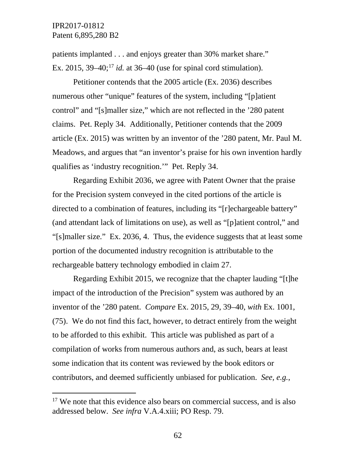patients implanted . . . and enjoys greater than 30% market share." Ex. 2015,  $39-40$ ;<sup>[17](#page-61-0)</sup> *id.* at  $36-40$  (use for spinal cord stimulation).

Petitioner contends that the 2005 article (Ex. 2036) describes numerous other "unique" features of the system, including "[p]atient control" and "[s]maller size," which are not reflected in the '280 patent claims. Pet. Reply 34. Additionally, Petitioner contends that the 2009 article (Ex. 2015) was written by an inventor of the '280 patent, Mr. Paul M. Meadows, and argues that "an inventor's praise for his own invention hardly qualifies as 'industry recognition.'" Pet. Reply 34.

Regarding Exhibit 2036, we agree with Patent Owner that the praise for the Precision system conveyed in the cited portions of the article is directed to a combination of features, including its "[r]echargeable battery" (and attendant lack of limitations on use), as well as "[p]atient control," and "[s]maller size." Ex. 2036, 4. Thus, the evidence suggests that at least some portion of the documented industry recognition is attributable to the rechargeable battery technology embodied in claim 27.

Regarding Exhibit 2015, we recognize that the chapter lauding "[t]he impact of the introduction of the Precision" system was authored by an inventor of the '280 patent. *Compare* Ex. 2015, 29, 39–40, *with* Ex. 1001, (75). We do not find this fact, however, to detract entirely from the weight to be afforded to this exhibit. This article was published as part of a compilation of works from numerous authors and, as such, bears at least some indication that its content was reviewed by the book editors or contributors, and deemed sufficiently unbiased for publication. *See, e.g.*,

<span id="page-61-0"></span><sup>&</sup>lt;sup>17</sup> We note that this evidence also bears on commercial success, and is also addressed below. *See infra* V.A.4.xiii; PO Resp. 79.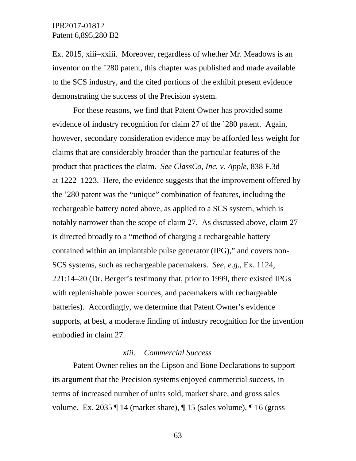Ex. 2015, xiii–xxiii. Moreover, regardless of whether Mr. Meadows is an inventor on the '280 patent, this chapter was published and made available to the SCS industry, and the cited portions of the exhibit present evidence demonstrating the success of the Precision system.

For these reasons, we find that Patent Owner has provided some evidence of industry recognition for claim 27 of the '280 patent. Again, however, secondary consideration evidence may be afforded less weight for claims that are considerably broader than the particular features of the product that practices the claim. *See ClassCo, Inc. v. Apple*, 838 F.3d at 1222–1223. Here, the evidence suggests that the improvement offered by the '280 patent was the "unique" combination of features, including the rechargeable battery noted above, as applied to a SCS system, which is notably narrower than the scope of claim 27. As discussed above, claim 27 is directed broadly to a "method of charging a rechargeable battery contained within an implantable pulse generator (IPG)," and covers non-SCS systems, such as rechargeable pacemakers. *See, e.g*., Ex. 1124, 221:14–20 (Dr. Berger's testimony that, prior to 1999, there existed IPGs with replenishable power sources, and pacemakers with rechargeable batteries). Accordingly, we determine that Patent Owner's evidence supports, at best, a moderate finding of industry recognition for the invention embodied in claim 27.

#### *xiii. Commercial Success*

Patent Owner relies on the Lipson and Bone Declarations to support its argument that the Precision systems enjoyed commercial success, in terms of increased number of units sold, market share, and gross sales volume. Ex. 2035  $\P$  14 (market share),  $\P$  15 (sales volume),  $\P$  16 (gross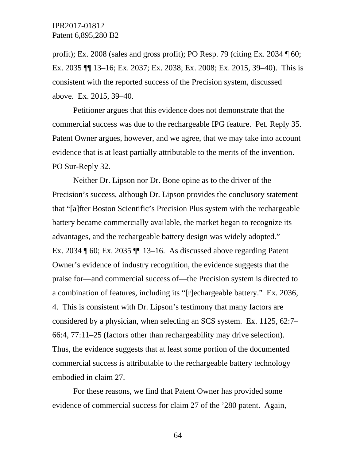profit); Ex. 2008 (sales and gross profit); PO Resp. 79 (citing Ex. 2034 ¶ 60; Ex. 2035 ¶¶ 13–16; Ex. 2037; Ex. 2038; Ex. 2008; Ex. 2015, 39–40). This is consistent with the reported success of the Precision system, discussed above. Ex. 2015, 39–40.

Petitioner argues that this evidence does not demonstrate that the commercial success was due to the rechargeable IPG feature. Pet. Reply 35. Patent Owner argues, however, and we agree, that we may take into account evidence that is at least partially attributable to the merits of the invention. PO Sur-Reply 32.

Neither Dr. Lipson nor Dr. Bone opine as to the driver of the Precision's success, although Dr. Lipson provides the conclusory statement that "[a]fter Boston Scientific's Precision Plus system with the rechargeable battery became commercially available, the market began to recognize its advantages, and the rechargeable battery design was widely adopted." Ex. 2034 ¶ 60; Ex. 2035 ¶¶ 13–16. As discussed above regarding Patent Owner's evidence of industry recognition, the evidence suggests that the praise for—and commercial success of—the Precision system is directed to a combination of features, including its "[r]echargeable battery." Ex. 2036, 4. This is consistent with Dr. Lipson's testimony that many factors are considered by a physician, when selecting an SCS system. Ex. 1125, 62:7– 66:4, 77:11–25 (factors other than rechargeability may drive selection). Thus, the evidence suggests that at least some portion of the documented commercial success is attributable to the rechargeable battery technology embodied in claim 27.

For these reasons, we find that Patent Owner has provided some evidence of commercial success for claim 27 of the '280 patent. Again,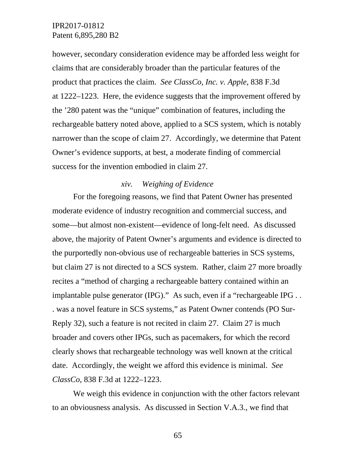however, secondary consideration evidence may be afforded less weight for claims that are considerably broader than the particular features of the product that practices the claim. *See ClassCo, Inc. v. Apple*, 838 F.3d at 1222–1223. Here, the evidence suggests that the improvement offered by the '280 patent was the "unique" combination of features, including the rechargeable battery noted above, applied to a SCS system, which is notably narrower than the scope of claim 27. Accordingly, we determine that Patent Owner's evidence supports, at best, a moderate finding of commercial success for the invention embodied in claim 27.

#### *xiv. Weighing of Evidence*

For the foregoing reasons, we find that Patent Owner has presented moderate evidence of industry recognition and commercial success, and some—but almost non-existent—evidence of long-felt need. As discussed above, the majority of Patent Owner's arguments and evidence is directed to the purportedly non-obvious use of rechargeable batteries in SCS systems, but claim 27 is not directed to a SCS system. Rather, claim 27 more broadly recites a "method of charging a rechargeable battery contained within an implantable pulse generator (IPG)." As such, even if a "rechargeable IPG . . . was a novel feature in SCS systems," as Patent Owner contends (PO Sur-Reply 32), such a feature is not recited in claim 27. Claim 27 is much broader and covers other IPGs, such as pacemakers, for which the record clearly shows that rechargeable technology was well known at the critical date. Accordingly, the weight we afford this evidence is minimal. *See ClassCo*, 838 F.3d at 1222–1223.

We weigh this evidence in conjunction with the other factors relevant to an obviousness analysis. As discussed in Section V.A.3., we find that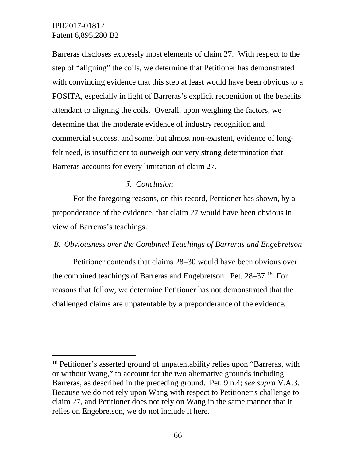Barreras discloses expressly most elements of claim 27. With respect to the step of "aligning" the coils, we determine that Petitioner has demonstrated with convincing evidence that this step at least would have been obvious to a POSITA, especially in light of Barreras's explicit recognition of the benefits attendant to aligning the coils. Overall, upon weighing the factors, we determine that the moderate evidence of industry recognition and commercial success, and some, but almost non-existent, evidence of longfelt need, is insufficient to outweigh our very strong determination that Barreras accounts for every limitation of claim 27.

#### *Conclusion*

For the foregoing reasons, on this record, Petitioner has shown, by a preponderance of the evidence, that claim 27 would have been obvious in view of Barreras's teachings.

#### *B. Obviousness over the Combined Teachings of Barreras and Engebretson*

Petitioner contends that claims 28–30 would have been obvious over the combined teachings of Barreras and Engebretson. Pet. 28–37.<sup>18</sup> For reasons that follow, we determine Petitioner has not demonstrated that the challenged claims are unpatentable by a preponderance of the evidence.

<span id="page-65-0"></span> <sup>18</sup> Petitioner's asserted ground of unpatentability relies upon "Barreras, with or without Wang," to account for the two alternative grounds including Barreras, as described in the preceding ground. Pet. 9 n.4; *see supra* V.A.3. Because we do not rely upon Wang with respect to Petitioner's challenge to claim 27, and Petitioner does not rely on Wang in the same manner that it relies on Engebretson, we do not include it here.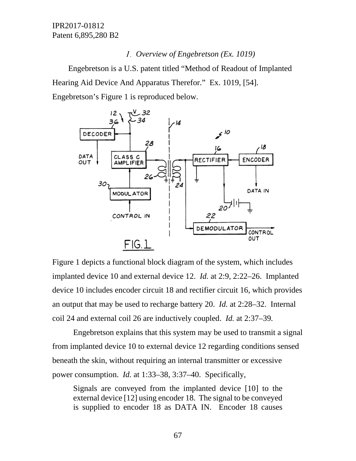# *Overview of Engebretson (Ex. 1019)*

Engebretson is a U.S. patent titled "Method of Readout of Implanted Hearing Aid Device And Apparatus Therefor." Ex. 1019, [54]. Engebretson's Figure 1 is reproduced below.



Figure 1 depicts a functional block diagram of the system, which includes implanted device 10 and external device 12. *Id.* at 2:9, 2:22–26. Implanted device 10 includes encoder circuit 18 and rectifier circuit 16, which provides an output that may be used to recharge battery 20. *Id.* at 2:28–32. Internal coil 24 and external coil 26 are inductively coupled. *Id.* at 2:37–39*.*

Engebretson explains that this system may be used to transmit a signal from implanted device 10 to external device 12 regarding conditions sensed beneath the skin, without requiring an internal transmitter or excessive power consumption. *Id.* at 1:33–38, 3:37–40. Specifically,

Signals are conveyed from the implanted device [10] to the external device [12] using encoder 18. The signal to be conveyed is supplied to encoder 18 as DATA IN. Encoder 18 causes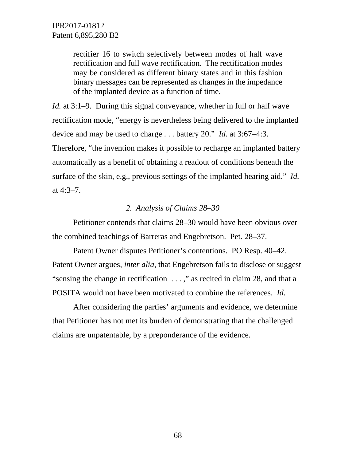rectifier 16 to switch selectively between modes of half wave rectification and full wave rectification. The rectification modes may be considered as different binary states and in this fashion binary messages can be represented as changes in the impedance of the implanted device as a function of time.

*Id.* at 3:1–9. During this signal conveyance, whether in full or half wave rectification mode, "energy is nevertheless being delivered to the implanted device and may be used to charge . . . battery 20." *Id.* at 3:67–4:3. Therefore, "the invention makes it possible to recharge an implanted battery

automatically as a benefit of obtaining a readout of conditions beneath the surface of the skin, e.g., previous settings of the implanted hearing aid." *Id.*  at 4:3–7.

# *Analysis of Claims 28–30*

Petitioner contends that claims 28–30 would have been obvious over the combined teachings of Barreras and Engebretson. Pet. 28–37.

Patent Owner disputes Petitioner's contentions. PO Resp. 40–42. Patent Owner argues, *inter alia*, that Engebretson fails to disclose or suggest "sensing the change in rectification . . . ," as recited in claim 28, and that a POSITA would not have been motivated to combine the references. *Id.*

After considering the parties' arguments and evidence, we determine that Petitioner has not met its burden of demonstrating that the challenged claims are unpatentable, by a preponderance of the evidence.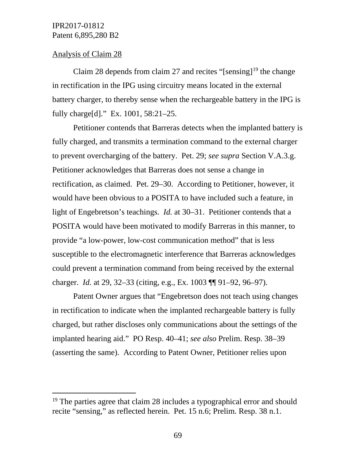#### Analysis of Claim 28

Claim 28 depends from claim 27 and recites "[sensing]<sup>[19](#page-68-0)</sup> the change in rectification in the IPG using circuitry means located in the external battery charger, to thereby sense when the rechargeable battery in the IPG is fully charge[d]." Ex. 1001, 58:21–25.

Petitioner contends that Barreras detects when the implanted battery is fully charged, and transmits a termination command to the external charger to prevent overcharging of the battery. Pet. 29; *see supra* Section V.A.3.g. Petitioner acknowledges that Barreras does not sense a change in rectification, as claimed. Pet. 29–30. According to Petitioner, however, it would have been obvious to a POSITA to have included such a feature, in light of Engebretson's teachings. *Id.* at 30–31. Petitioner contends that a POSITA would have been motivated to modify Barreras in this manner, to provide "a low-power, low-cost communication method" that is less susceptible to the electromagnetic interference that Barreras acknowledges could prevent a termination command from being received by the external charger. *Id.* at 29, 32–33 (citing, e.g., Ex. 1003 ¶¶ 91–92, 96–97).

Patent Owner argues that "Engebretson does not teach using changes in rectification to indicate when the implanted rechargeable battery is fully charged, but rather discloses only communications about the settings of the implanted hearing aid." PO Resp. 40–41; *see also* Prelim. Resp. 38–39 (asserting the same). According to Patent Owner, Petitioner relies upon

<span id="page-68-0"></span><sup>&</sup>lt;sup>19</sup> The parties agree that claim 28 includes a typographical error and should recite "sensing," as reflected herein. Pet. 15 n.6; Prelim. Resp. 38 n.1.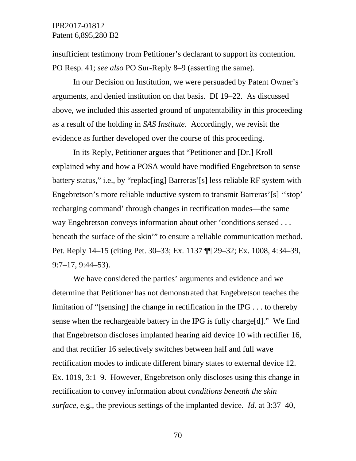insufficient testimony from Petitioner's declarant to support its contention. PO Resp. 41; *see also* PO Sur-Reply 8–9 (asserting the same).

In our Decision on Institution, we were persuaded by Patent Owner's arguments, and denied institution on that basis. DI 19–22. As discussed above, we included this asserted ground of unpatentability in this proceeding as a result of the holding in *SAS Institute.* Accordingly, we revisit the evidence as further developed over the course of this proceeding.

In its Reply, Petitioner argues that "Petitioner and [Dr.] Kroll explained why and how a POSA would have modified Engebretson to sense battery status," i.e., by "replac[ing] Barreras'[s] less reliable RF system with Engebretson's more reliable inductive system to transmit Barreras'[s] ''stop' recharging command' through changes in rectification modes—the same way Engebretson conveys information about other 'conditions sensed . . . beneath the surface of the skin'" to ensure a reliable communication method. Pet. Reply 14–15 (citing Pet. 30–33; Ex. 1137 ¶¶ 29–32; Ex. 1008, 4:34–39, 9:7–17, 9:44–53).

We have considered the parties' arguments and evidence and we determine that Petitioner has not demonstrated that Engebretson teaches the limitation of "[sensing] the change in rectification in the IPG . . . to thereby sense when the rechargeable battery in the IPG is fully charge[d]." We find that Engebretson discloses implanted hearing aid device 10 with rectifier 16, and that rectifier 16 selectively switches between half and full wave rectification modes to indicate different binary states to external device 12. Ex. 1019, 3:1–9. However, Engebretson only discloses using this change in rectification to convey information about *conditions beneath the skin surface*, e.g., the previous settings of the implanted device. *Id.* at 3:37–40,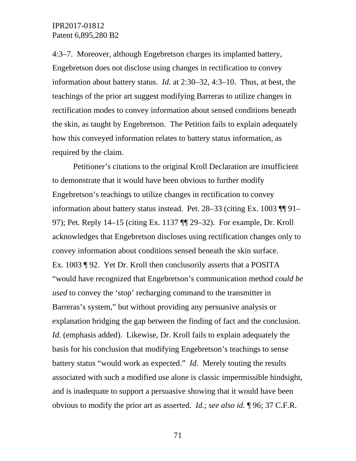4:3–7. Moreover, although Engebretson charges its implanted battery, Engebretson does not disclose using changes in rectification to convey information about battery status. *Id.* at 2:30–32, 4:3–10. Thus, at best, the teachings of the prior art suggest modifying Barreras to utilize changes in rectification modes to convey information about sensed conditions beneath the skin, as taught by Engebretson. The Petition fails to explain adequately how this conveyed information relates to battery status information, as required by the claim.

Petitioner's citations to the original Kroll Declaration are insufficient to demonstrate that it would have been obvious to further modify Engebretson's teachings to utilize changes in rectification to convey information about battery status instead. Pet. 28–33 (citing Ex. 1003 ¶¶ 91– 97); Pet. Reply 14–15 (citing Ex. 1137 ¶¶ 29–32). For example, Dr. Kroll acknowledges that Engebretson discloses using rectification changes only to convey information about conditions sensed beneath the skin surface. Ex. 1003 ¶ 92. Yet Dr. Kroll then conclusorily asserts that a POSITA "would have recognized that Engebretson's communication method *could be used* to convey the 'stop' recharging command to the transmitter in Barreras's system," but without providing any persuasive analysis or explanation bridging the gap between the finding of fact and the conclusion. *Id.* (emphasis added). Likewise, Dr. Kroll fails to explain adequately the basis for his conclusion that modifying Engebretson's teachings to sense battery status "would work as expected." *Id.* Merely touting the results associated with such a modified use alone is classic impermissible hindsight, and is inadequate to support a persuasive showing that it would have been obvious to modify the prior art as asserted. *Id.*; *see also id.* ¶ 96; 37 C.F.R.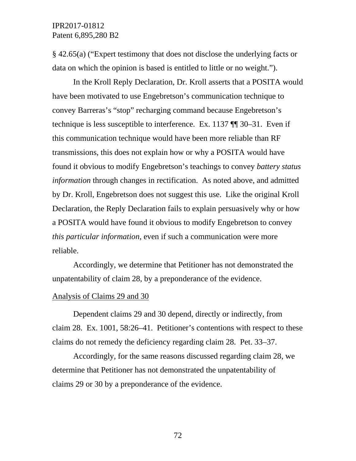§ 42.65(a) ("Expert testimony that does not disclose the underlying facts or data on which the opinion is based is entitled to little or no weight.").

In the Kroll Reply Declaration, Dr. Kroll asserts that a POSITA would have been motivated to use Engebretson's communication technique to convey Barreras's "stop" recharging command because Engebretson's technique is less susceptible to interference. Ex. 1137 ¶¶ 30–31. Even if this communication technique would have been more reliable than RF transmissions, this does not explain how or why a POSITA would have found it obvious to modify Engebretson's teachings to convey *battery status information* through changes in rectification. As noted above, and admitted by Dr. Kroll, Engebretson does not suggest this use. Like the original Kroll Declaration, the Reply Declaration fails to explain persuasively why or how a POSITA would have found it obvious to modify Engebretson to convey *this particular information*, even if such a communication were more reliable.

Accordingly, we determine that Petitioner has not demonstrated the unpatentability of claim 28, by a preponderance of the evidence.

#### Analysis of Claims 29 and 30

Dependent claims 29 and 30 depend, directly or indirectly, from claim 28. Ex. 1001, 58:26–41. Petitioner's contentions with respect to these claims do not remedy the deficiency regarding claim 28. Pet. 33–37.

Accordingly, for the same reasons discussed regarding claim 28, we determine that Petitioner has not demonstrated the unpatentability of claims 29 or 30 by a preponderance of the evidence.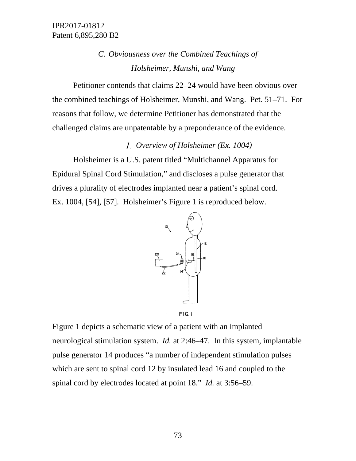# *C. Obviousness over the Combined Teachings of Holsheimer, Munshi, and Wang*

Petitioner contends that claims 22–24 would have been obvious over the combined teachings of Holsheimer, Munshi, and Wang. Pet. 51–71. For reasons that follow, we determine Petitioner has demonstrated that the challenged claims are unpatentable by a preponderance of the evidence.

# *Overview of Holsheimer (Ex. 1004)*

Holsheimer is a U.S. patent titled "Multichannel Apparatus for Epidural Spinal Cord Stimulation," and discloses a pulse generator that drives a plurality of electrodes implanted near a patient's spinal cord. Ex. 1004, [54], [57]. Holsheimer's Figure 1 is reproduced below.



Figure 1 depicts a schematic view of a patient with an implanted neurological stimulation system. *Id.* at 2:46–47. In this system, implantable pulse generator 14 produces "a number of independent stimulation pulses which are sent to spinal cord 12 by insulated lead 16 and coupled to the spinal cord by electrodes located at point 18." *Id.* at 3:56–59.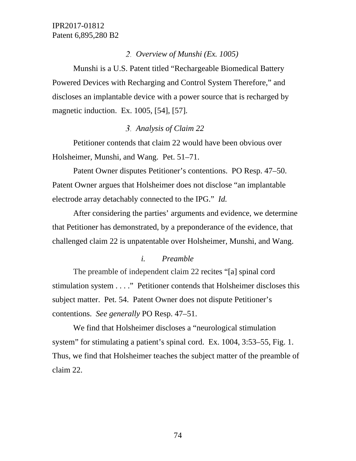# *Overview of Munshi (Ex. 1005)*

Munshi is a U.S. Patent titled "Rechargeable Biomedical Battery Powered Devices with Recharging and Control System Therefore," and discloses an implantable device with a power source that is recharged by magnetic induction. Ex. 1005, [54], [57].

# *Analysis of Claim 22*

Petitioner contends that claim 22 would have been obvious over Holsheimer, Munshi, and Wang. Pet. 51–71.

Patent Owner disputes Petitioner's contentions. PO Resp. 47–50. Patent Owner argues that Holsheimer does not disclose "an implantable electrode array detachably connected to the IPG." *Id.*

After considering the parties' arguments and evidence, we determine that Petitioner has demonstrated, by a preponderance of the evidence, that challenged claim 22 is unpatentable over Holsheimer, Munshi, and Wang.

# *i. Preamble*

The preamble of independent claim 22 recites "[a] spinal cord stimulation system . . . ." Petitioner contends that Holsheimer discloses this subject matter. Pet. 54. Patent Owner does not dispute Petitioner's contentions. *See generally* PO Resp. 47–51.

We find that Holsheimer discloses a "neurological stimulation system" for stimulating a patient's spinal cord. Ex. 1004, 3:53–55, Fig. 1. Thus, we find that Holsheimer teaches the subject matter of the preamble of claim 22.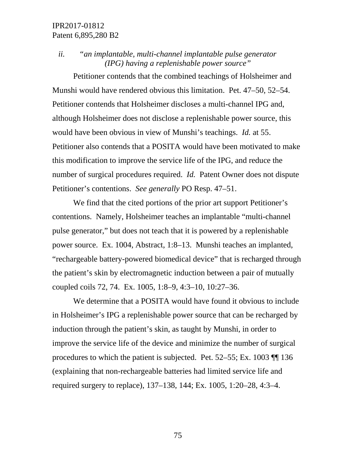*ii. "an implantable, multi-channel implantable pulse generator (IPG) having a replenishable power source"*

Petitioner contends that the combined teachings of Holsheimer and Munshi would have rendered obvious this limitation. Pet. 47–50, 52–54. Petitioner contends that Holsheimer discloses a multi-channel IPG and, although Holsheimer does not disclose a replenishable power source, this would have been obvious in view of Munshi's teachings. *Id.* at 55. Petitioner also contends that a POSITA would have been motivated to make this modification to improve the service life of the IPG, and reduce the number of surgical procedures required. *Id.* Patent Owner does not dispute Petitioner's contentions. *See generally* PO Resp. 47–51.

We find that the cited portions of the prior art support Petitioner's contentions. Namely, Holsheimer teaches an implantable "multi-channel pulse generator," but does not teach that it is powered by a replenishable power source. Ex. 1004, Abstract, 1:8–13. Munshi teaches an implanted, "rechargeable battery-powered biomedical device" that is recharged through the patient's skin by electromagnetic induction between a pair of mutually coupled coils 72, 74. Ex. 1005, 1:8–9, 4:3–10, 10:27–36.

We determine that a POSITA would have found it obvious to include in Holsheimer's IPG a replenishable power source that can be recharged by induction through the patient's skin, as taught by Munshi, in order to improve the service life of the device and minimize the number of surgical procedures to which the patient is subjected. Pet. 52–55; Ex. 1003 ¶¶ 136 (explaining that non-rechargeable batteries had limited service life and required surgery to replace), 137–138, 144; Ex. 1005, 1:20–28, 4:3–4.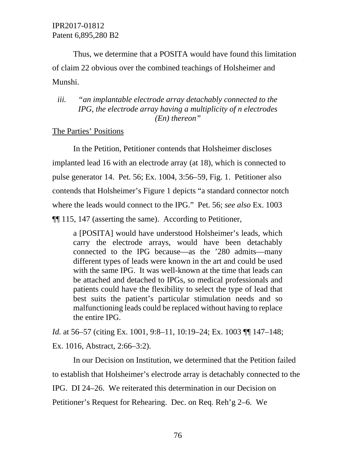Thus, we determine that a POSITA would have found this limitation of claim 22 obvious over the combined teachings of Holsheimer and Munshi.

# *iii. "an implantable electrode array detachably connected to the IPG, the electrode array having a multiplicity of n electrodes (En) thereon"*

## The Parties' Positions

In the Petition, Petitioner contends that Holsheimer discloses implanted lead 16 with an electrode array (at 18), which is connected to pulse generator 14. Pet. 56; Ex. 1004, 3:56–59, Fig. 1. Petitioner also contends that Holsheimer's Figure 1 depicts "a standard connector notch where the leads would connect to the IPG." Pet. 56; *see also* Ex. 1003 ¶¶ 115, 147 (asserting the same). According to Petitioner,

a [POSITA] would have understood Holsheimer's leads, which carry the electrode arrays, would have been detachably connected to the IPG because—as the '280 admits—many different types of leads were known in the art and could be used with the same IPG. It was well-known at the time that leads can be attached and detached to IPGs, so medical professionals and patients could have the flexibility to select the type of lead that best suits the patient's particular stimulation needs and so malfunctioning leads could be replaced without having to replace the entire IPG.

*Id.* at 56–57 (citing Ex. 1001, 9:8–11, 10:19–24; Ex. 1003 ¶¶ 147–148; Ex. 1016, Abstract, 2:66–3:2).

In our Decision on Institution, we determined that the Petition failed to establish that Holsheimer's electrode array is detachably connected to the IPG. DI 24–26. We reiterated this determination in our Decision on Petitioner's Request for Rehearing. Dec. on Req. Reh'g 2–6. We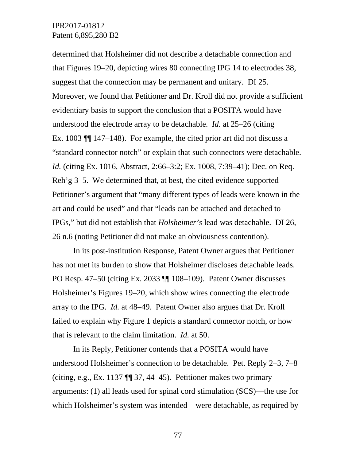determined that Holsheimer did not describe a detachable connection and that Figures 19–20, depicting wires 80 connecting IPG 14 to electrodes 38, suggest that the connection may be permanent and unitary. DI 25. Moreover, we found that Petitioner and Dr. Kroll did not provide a sufficient evidentiary basis to support the conclusion that a POSITA would have understood the electrode array to be detachable. *Id.* at 25–26 (citing Ex. 1003 ¶¶ 147–148). For example, the cited prior art did not discuss a "standard connector notch" or explain that such connectors were detachable. *Id.* (citing Ex. 1016, Abstract, 2:66–3:2; Ex. 1008, 7:39–41); Dec. on Req. Reh'g 3–5.We determined that, at best, the cited evidence supported Petitioner's argument that "many different types of leads were known in the art and could be used" and that "leads can be attached and detached to IPGs," but did not establish that *Holsheimer's* lead was detachable. DI 26, 26 n.6 (noting Petitioner did not make an obviousness contention).

In its post-institution Response, Patent Owner argues that Petitioner has not met its burden to show that Holsheimer discloses detachable leads. PO Resp. 47–50 (citing Ex. 2033 ¶¶ 108–109). Patent Owner discusses Holsheimer's Figures 19–20, which show wires connecting the electrode array to the IPG. *Id.* at 48–49. Patent Owner also argues that Dr. Kroll failed to explain why Figure 1 depicts a standard connector notch, or how that is relevant to the claim limitation. *Id.* at 50.

In its Reply, Petitioner contends that a POSITA would have understood Holsheimer's connection to be detachable. Pet. Reply 2–3, 7–8 (citing, e.g., Ex. 1137  $\P$  37, 44–45). Petitioner makes two primary arguments: (1) all leads used for spinal cord stimulation (SCS)—the use for which Holsheimer's system was intended—were detachable, as required by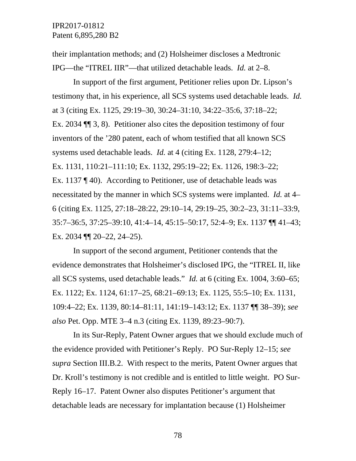their implantation methods; and (2) Holsheimer discloses a Medtronic IPG—the "ITREL IIR"—that utilized detachable leads. *Id.* at 2–8.

In support of the first argument, Petitioner relies upon Dr. Lipson's testimony that, in his experience, all SCS systems used detachable leads. *Id.* at 3 (citing Ex. 1125, 29:19–30, 30:24–31:10, 34:22–35:6, 37:18–22; Ex. 2034 ¶¶ 3, 8). Petitioner also cites the deposition testimony of four inventors of the '280 patent, each of whom testified that all known SCS systems used detachable leads. *Id.* at 4 (citing Ex. 1128, 279:4–12; Ex. 1131, 110:21–111:10; Ex. 1132, 295:19–22; Ex. 1126, 198:3–22; Ex. 1137 ¶ 40). According to Petitioner, use of detachable leads was necessitated by the manner in which SCS systems were implanted. *Id.* at 4– 6 (citing Ex. 1125, 27:18–28:22, 29:10–14, 29:19–25, 30:2–23, 31:11–33:9, 35:7–36:5, 37:25–39:10, 41:4–14, 45:15–50:17, 52:4–9; Ex. 1137 ¶¶ 41–43; Ex. 2034 ¶¶ 20–22, 24–25).

In support of the second argument, Petitioner contends that the evidence demonstrates that Holsheimer's disclosed IPG, the "ITREL II, like all SCS systems, used detachable leads." *Id.* at 6 (citing Ex. 1004, 3:60–65; Ex. 1122; Ex. 1124, 61:17–25, 68:21–69:13; Ex. 1125, 55:5–10; Ex. 1131, 109:4–22; Ex. 1139, 80:14–81:11, 141:19–143:12; Ex. 1137 ¶¶ 38–39); *see also* Pet. Opp. MTE 3–4 n.3 (citing Ex. 1139, 89:23–90:7).

In its Sur-Reply, Patent Owner argues that we should exclude much of the evidence provided with Petitioner's Reply. PO Sur-Reply 12–15; *see supra* Section III.B.2. With respect to the merits, Patent Owner argues that Dr. Kroll's testimony is not credible and is entitled to little weight. PO Sur-Reply 16–17. Patent Owner also disputes Petitioner's argument that detachable leads are necessary for implantation because (1) Holsheimer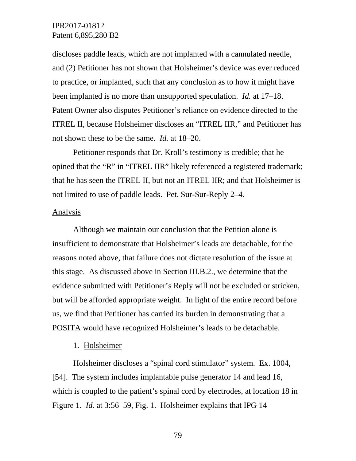discloses paddle leads, which are not implanted with a cannulated needle, and (2) Petitioner has not shown that Holsheimer's device was ever reduced to practice, or implanted, such that any conclusion as to how it might have been implanted is no more than unsupported speculation. *Id.* at 17–18. Patent Owner also disputes Petitioner's reliance on evidence directed to the ITREL II, because Holsheimer discloses an "ITREL IIR," and Petitioner has not shown these to be the same. *Id.* at 18–20.

Petitioner responds that Dr. Kroll's testimony is credible; that he opined that the "R" in "ITREL IIR" likely referenced a registered trademark; that he has seen the ITREL II, but not an ITREL IIR; and that Holsheimer is not limited to use of paddle leads. Pet. Sur-Sur-Reply 2–4.

#### **Analysis**

Although we maintain our conclusion that the Petition alone is insufficient to demonstrate that Holsheimer's leads are detachable, for the reasons noted above, that failure does not dictate resolution of the issue at this stage. As discussed above in Section III.B.2., we determine that the evidence submitted with Petitioner's Reply will not be excluded or stricken, but will be afforded appropriate weight. In light of the entire record before us, we find that Petitioner has carried its burden in demonstrating that a POSITA would have recognized Holsheimer's leads to be detachable.

#### 1. Holsheimer

Holsheimer discloses a "spinal cord stimulator" system. Ex. 1004, [54]. The system includes implantable pulse generator 14 and lead 16, which is coupled to the patient's spinal cord by electrodes, at location 18 in Figure 1. *Id.* at 3:56–59, Fig. 1. Holsheimer explains that IPG 14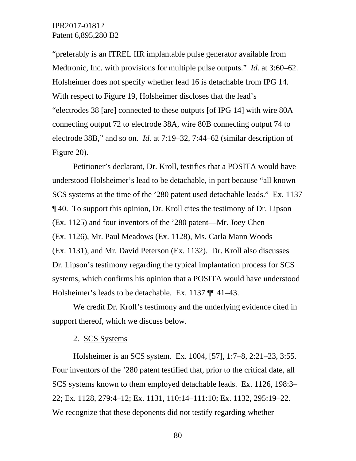"preferably is an ITREL IIR implantable pulse generator available from Medtronic, Inc. with provisions for multiple pulse outputs." *Id.* at 3:60–62. Holsheimer does not specify whether lead 16 is detachable from IPG 14. With respect to Figure 19, Holsheimer discloses that the lead's "electrodes 38 [are] connected to these outputs [of IPG 14] with wire 80A connecting output 72 to electrode 38A, wire 80B connecting output 74 to electrode 38B," and so on. *Id.* at 7:19–32, 7:44–62 (similar description of Figure 20).

Petitioner's declarant, Dr. Kroll, testifies that a POSITA would have understood Holsheimer's lead to be detachable, in part because "all known SCS systems at the time of the '280 patent used detachable leads." Ex. 1137 ¶ 40. To support this opinion, Dr. Kroll cites the testimony of Dr. Lipson (Ex. 1125) and four inventors of the '280 patent—Mr. Joey Chen (Ex. 1126), Mr. Paul Meadows (Ex. 1128), Ms. Carla Mann Woods (Ex. 1131), and Mr. David Peterson (Ex. 1132). Dr. Kroll also discusses Dr. Lipson's testimony regarding the typical implantation process for SCS systems, which confirms his opinion that a POSITA would have understood Holsheimer's leads to be detachable. Ex. 1137 ¶¶ 41–43.

We credit Dr. Kroll's testimony and the underlying evidence cited in support thereof, which we discuss below.

#### 2. SCS Systems

Holsheimer is an SCS system. Ex. 1004, [57], 1:7–8, 2:21–23, 3:55. Four inventors of the '280 patent testified that, prior to the critical date, all SCS systems known to them employed detachable leads. Ex. 1126, 198:3– 22; Ex. 1128, 279:4–12; Ex. 1131, 110:14–111:10; Ex. 1132, 295:19–22. We recognize that these deponents did not testify regarding whether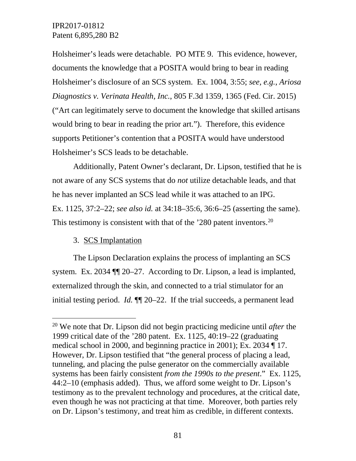Holsheimer's leads were detachable. PO MTE 9. This evidence, however, documents the knowledge that a POSITA would bring to bear in reading Holsheimer's disclosure of an SCS system. Ex. 1004, 3:55; *see, e.g.*, *Ariosa Diagnostics v. Verinata Health, Inc.*, 805 F.3d 1359, 1365 (Fed. Cir. 2015) ("Art can legitimately serve to document the knowledge that skilled artisans would bring to bear in reading the prior art."). Therefore, this evidence supports Petitioner's contention that a POSITA would have understood Holsheimer's SCS leads to be detachable.

Additionally, Patent Owner's declarant, Dr. Lipson, testified that he is not aware of any SCS systems that do *not* utilize detachable leads, and that he has never implanted an SCS lead while it was attached to an IPG. Ex. 1125, 37:2–22; *see also id.* at 34:18–35:6, 36:6–25 (asserting the same). This testimony is consistent with that of the  $280$  patent inventors.<sup>[20](#page-80-0)</sup>

# 3. SCS Implantation

The Lipson Declaration explains the process of implanting an SCS system. Ex. 2034 ¶¶ 20–27. According to Dr. Lipson, a lead is implanted, externalized through the skin, and connected to a trial stimulator for an initial testing period. *Id.* ¶¶ 20–22. If the trial succeeds, a permanent lead

<span id="page-80-0"></span> <sup>20</sup> We note that Dr. Lipson did not begin practicing medicine until *after* the 1999 critical date of the '280 patent. Ex. 1125, 40:19–22 (graduating medical school in 2000, and beginning practice in 2001); Ex. 2034 ¶ 17. However, Dr. Lipson testified that "the general process of placing a lead, tunneling, and placing the pulse generator on the commercially available systems has been fairly consistent *from the 1990s to the present*." Ex. 1125, 44:2–10 (emphasis added). Thus, we afford some weight to Dr. Lipson's testimony as to the prevalent technology and procedures, at the critical date, even though he was not practicing at that time. Moreover, both parties rely on Dr. Lipson's testimony, and treat him as credible, in different contexts.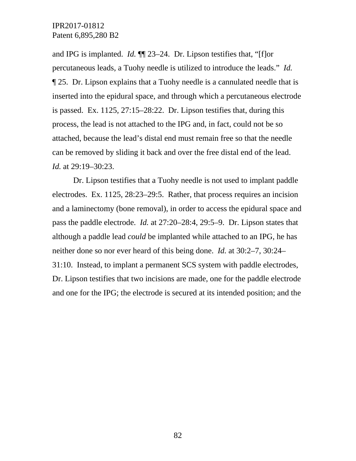and IPG is implanted. *Id.* ¶¶ 23–24. Dr. Lipson testifies that, "[f]or percutaneous leads, a Tuohy needle is utilized to introduce the leads." *Id.* ¶ 25. Dr. Lipson explains that a Tuohy needle is a cannulated needle that is inserted into the epidural space, and through which a percutaneous electrode is passed. Ex. 1125, 27:15–28:22. Dr. Lipson testifies that, during this process, the lead is not attached to the IPG and, in fact, could not be so attached, because the lead's distal end must remain free so that the needle can be removed by sliding it back and over the free distal end of the lead. *Id.* at 29:19–30:23.

Dr. Lipson testifies that a Tuohy needle is not used to implant paddle electrodes. Ex. 1125, 28:23–29:5. Rather, that process requires an incision and a laminectomy (bone removal), in order to access the epidural space and pass the paddle electrode. *Id.* at 27:20–28:4, 29:5–9. Dr. Lipson states that although a paddle lead *could* be implanted while attached to an IPG, he has neither done so nor ever heard of this being done. *Id.* at 30:2–7, 30:24– 31:10. Instead, to implant a permanent SCS system with paddle electrodes, Dr. Lipson testifies that two incisions are made, one for the paddle electrode and one for the IPG; the electrode is secured at its intended position; and the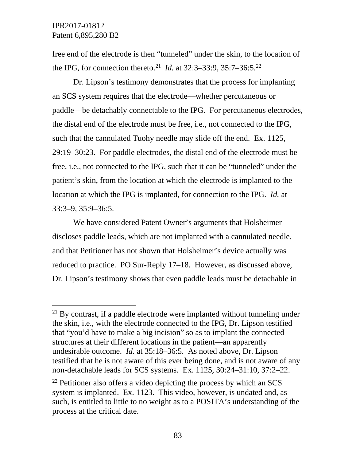free end of the electrode is then "tunneled" under the skin, to the location of the IPG, for connection thereto.<sup>21</sup> *Id.* at 32:3–33:9, 35:7–36:5.<sup>[22](#page-82-1)</sup>

Dr. Lipson's testimony demonstrates that the process for implanting an SCS system requires that the electrode—whether percutaneous or paddle—be detachably connectable to the IPG. For percutaneous electrodes, the distal end of the electrode must be free, i.e., not connected to the IPG, such that the cannulated Tuohy needle may slide off the end. Ex. 1125, 29:19–30:23. For paddle electrodes, the distal end of the electrode must be free, i.e., not connected to the IPG, such that it can be "tunneled" under the patient's skin, from the location at which the electrode is implanted to the location at which the IPG is implanted, for connection to the IPG. *Id.* at 33:3–9, 35:9–36:5.

We have considered Patent Owner's arguments that Holsheimer discloses paddle leads, which are not implanted with a cannulated needle, and that Petitioner has not shown that Holsheimer's device actually was reduced to practice. PO Sur-Reply 17–18. However, as discussed above, Dr. Lipson's testimony shows that even paddle leads must be detachable in

<span id="page-82-0"></span> $21$  By contrast, if a paddle electrode were implanted without tunneling under the skin, i.e., with the electrode connected to the IPG, Dr. Lipson testified that "you'd have to make a big incision" so as to implant the connected structures at their different locations in the patient—an apparently undesirable outcome. *Id.* at 35:18–36:5. As noted above, Dr. Lipson testified that he is not aware of this ever being done, and is not aware of any non-detachable leads for SCS systems. Ex. 1125, 30:24–31:10, 37:2–22.

<span id="page-82-1"></span> $22$  Petitioner also offers a video depicting the process by which an SCS system is implanted. Ex. 1123. This video, however, is undated and, as such, is entitled to little to no weight as to a POSITA's understanding of the process at the critical date.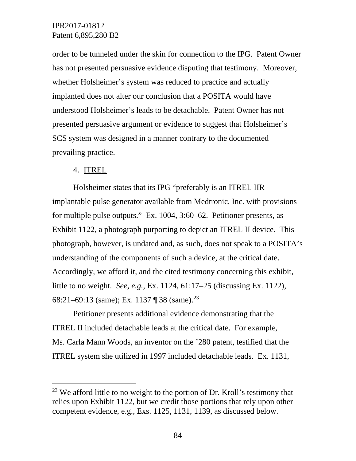order to be tunneled under the skin for connection to the IPG. Patent Owner has not presented persuasive evidence disputing that testimony. Moreover, whether Holsheimer's system was reduced to practice and actually implanted does not alter our conclusion that a POSITA would have understood Holsheimer's leads to be detachable. Patent Owner has not presented persuasive argument or evidence to suggest that Holsheimer's SCS system was designed in a manner contrary to the documented prevailing practice.

#### 4. ITREL

Holsheimer states that its IPG "preferably is an ITREL IIR implantable pulse generator available from Medtronic, Inc. with provisions for multiple pulse outputs." Ex. 1004, 3:60–62. Petitioner presents, as Exhibit 1122, a photograph purporting to depict an ITREL II device. This photograph, however, is undated and, as such, does not speak to a POSITA's understanding of the components of such a device, at the critical date. Accordingly, we afford it, and the cited testimony concerning this exhibit, little to no weight. *See, e.g.*, Ex. 1124, 61:17–25 (discussing Ex. 1122), 68:21–69:13 (same); Ex. 1137 ¶ 38 (same).[23](#page-83-0)

Petitioner presents additional evidence demonstrating that the ITREL II included detachable leads at the critical date. For example, Ms. Carla Mann Woods, an inventor on the '280 patent, testified that the ITREL system she utilized in 1997 included detachable leads. Ex. 1131,

<span id="page-83-0"></span> $23$  We afford little to no weight to the portion of Dr. Kroll's testimony that relies upon Exhibit 1122, but we credit those portions that rely upon other competent evidence, e.g., Exs. 1125, 1131, 1139, as discussed below.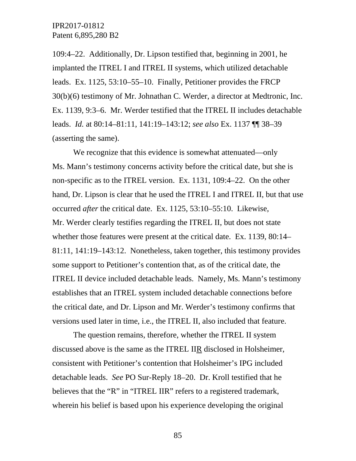109:4–22. Additionally, Dr. Lipson testified that, beginning in 2001, he implanted the ITREL I and ITREL II systems, which utilized detachable leads. Ex. 1125, 53:10–55–10. Finally, Petitioner provides the FRCP 30(b)(6) testimony of Mr. Johnathan C. Werder, a director at Medtronic, Inc. Ex. 1139, 9:3–6. Mr. Werder testified that the ITREL II includes detachable leads. *Id.* at 80:14–81:11, 141:19–143:12; *see also* Ex. 1137 ¶¶ 38–39 (asserting the same).

We recognize that this evidence is somewhat attenuated—only Ms. Mann's testimony concerns activity before the critical date, but she is non-specific as to the ITREL version. Ex. 1131, 109:4–22. On the other hand, Dr. Lipson is clear that he used the ITREL I and ITREL II, but that use occurred *after* the critical date. Ex. 1125, 53:10–55:10. Likewise, Mr. Werder clearly testifies regarding the ITREL II, but does not state whether those features were present at the critical date. Ex. 1139, 80:14– 81:11, 141:19–143:12. Nonetheless, taken together, this testimony provides some support to Petitioner's contention that, as of the critical date, the ITREL II device included detachable leads. Namely, Ms. Mann's testimony establishes that an ITREL system included detachable connections before the critical date, and Dr. Lipson and Mr. Werder's testimony confirms that versions used later in time, i.e., the ITREL II, also included that feature.

The question remains, therefore, whether the ITREL II system discussed above is the same as the ITREL IIR disclosed in Holsheimer, consistent with Petitioner's contention that Holsheimer's IPG included detachable leads. *See* PO Sur-Reply 18–20. Dr. Kroll testified that he believes that the "R" in "ITREL IIR" refers to a registered trademark, wherein his belief is based upon his experience developing the original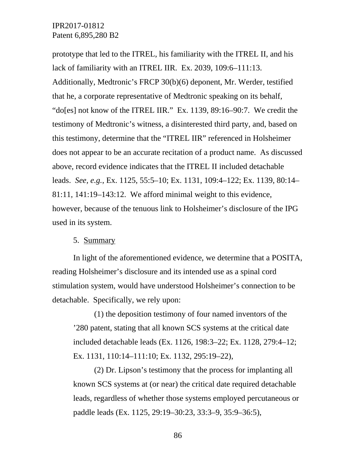prototype that led to the ITREL, his familiarity with the ITREL II, and his lack of familiarity with an ITREL IIR. Ex. 2039, 109:6–111:13. Additionally, Medtronic's FRCP 30(b)(6) deponent, Mr. Werder, testified that he, a corporate representative of Medtronic speaking on its behalf, "do[es] not know of the ITREL IIR." Ex. 1139, 89:16–90:7. We credit the testimony of Medtronic's witness, a disinterested third party, and, based on this testimony, determine that the "ITREL IIR" referenced in Holsheimer does not appear to be an accurate recitation of a product name. As discussed above, record evidence indicates that the ITREL II included detachable leads. *See, e.g.*, Ex. 1125, 55:5–10; Ex. 1131, 109:4–122; Ex. 1139, 80:14– 81:11, 141:19–143:12. We afford minimal weight to this evidence, however, because of the tenuous link to Holsheimer's disclosure of the IPG used in its system.

#### 5. Summary

In light of the aforementioned evidence, we determine that a POSITA, reading Holsheimer's disclosure and its intended use as a spinal cord stimulation system, would have understood Holsheimer's connection to be detachable. Specifically, we rely upon:

(1) the deposition testimony of four named inventors of the '280 patent, stating that all known SCS systems at the critical date included detachable leads (Ex. 1126, 198:3–22; Ex. 1128, 279:4–12; Ex. 1131, 110:14–111:10; Ex. 1132, 295:19–22),

(2) Dr. Lipson's testimony that the process for implanting all known SCS systems at (or near) the critical date required detachable leads, regardless of whether those systems employed percutaneous or paddle leads (Ex. 1125, 29:19–30:23, 33:3–9, 35:9–36:5),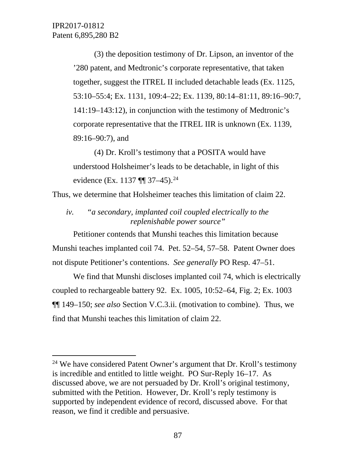(3) the deposition testimony of Dr. Lipson, an inventor of the '280 patent, and Medtronic's corporate representative, that taken together, suggest the ITREL II included detachable leads (Ex. 1125, 53:10–55:4; Ex. 1131, 109:4–22; Ex. 1139, 80:14–81:11, 89:16–90:7, 141:19–143:12), in conjunction with the testimony of Medtronic's corporate representative that the ITREL IIR is unknown (Ex. 1139, 89:16–90:7), and

(4) Dr. Kroll's testimony that a POSITA would have understood Holsheimer's leads to be detachable, in light of this evidence (Ex. 1137  $\P$  37–45).<sup>[24](#page-86-0)</sup>

Thus, we determine that Holsheimer teaches this limitation of claim 22.

*iv. "a secondary, implanted coil coupled electrically to the replenishable power source"*

Petitioner contends that Munshi teaches this limitation because Munshi teaches implanted coil 74. Pet. 52–54, 57–58. Patent Owner does not dispute Petitioner's contentions. *See generally* PO Resp. 47–51.

We find that Munshi discloses implanted coil 74, which is electrically coupled to rechargeable battery 92. Ex. 1005, 10:52–64, Fig. 2; Ex. 1003 ¶¶ 149–150; *see also* Section V.C.3.ii. (motivation to combine). Thus, we find that Munshi teaches this limitation of claim 22.

<span id="page-86-0"></span><sup>&</sup>lt;sup>24</sup> We have considered Patent Owner's argument that Dr. Kroll's testimony is incredible and entitled to little weight. PO Sur-Reply 16–17. As discussed above, we are not persuaded by Dr. Kroll's original testimony, submitted with the Petition. However, Dr. Kroll's reply testimony is supported by independent evidence of record, discussed above. For that reason, we find it credible and persuasive.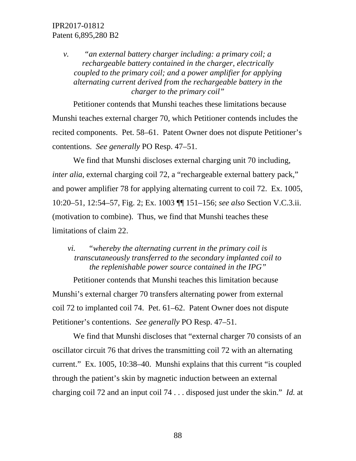*v. "an external battery charger including: a primary coil; a rechargeable battery contained in the charger, electrically coupled to the primary coil; and a power amplifier for applying alternating current derived from the rechargeable battery in the charger to the primary coil"*

Petitioner contends that Munshi teaches these limitations because Munshi teaches external charger 70, which Petitioner contends includes the recited components. Pet. 58–61. Patent Owner does not dispute Petitioner's contentions. *See generally* PO Resp. 47–51.

We find that Munshi discloses external charging unit 70 including, *inter alia*, external charging coil 72, a "rechargeable external battery pack," and power amplifier 78 for applying alternating current to coil 72. Ex. 1005, 10:20–51, 12:54–57, Fig. 2; Ex. 1003 ¶¶ 151–156; *see also* Section V.C.3.ii. (motivation to combine). Thus, we find that Munshi teaches these limitations of claim 22.

# *vi. "whereby the alternating current in the primary coil is transcutaneously transferred to the secondary implanted coil to the replenishable power source contained in the IPG"*

Petitioner contends that Munshi teaches this limitation because Munshi's external charger 70 transfers alternating power from external coil 72 to implanted coil 74. Pet. 61–62. Patent Owner does not dispute Petitioner's contentions. *See generally* PO Resp. 47–51.

We find that Munshi discloses that "external charger 70 consists of an oscillator circuit 76 that drives the transmitting coil 72 with an alternating current." Ex. 1005, 10:38–40. Munshi explains that this current "is coupled through the patient's skin by magnetic induction between an external charging coil 72 and an input coil 74 . . . disposed just under the skin." *Id.* at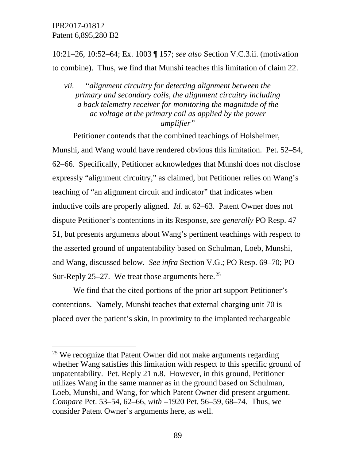10:21–26, 10:52–64; Ex. 1003 ¶ 157; *see also* Section V.C.3.ii. (motivation to combine). Thus, we find that Munshi teaches this limitation of claim 22.

*vii. "alignment circuitry for detecting alignment between the primary and secondary coils, the alignment circuitry including a back telemetry receiver for monitoring the magnitude of the ac voltage at the primary coil as applied by the power amplifier"*

Petitioner contends that the combined teachings of Holsheimer,

Munshi, and Wang would have rendered obvious this limitation. Pet. 52–54, 62–66. Specifically, Petitioner acknowledges that Munshi does not disclose expressly "alignment circuitry," as claimed, but Petitioner relies on Wang's teaching of "an alignment circuit and indicator" that indicates when inductive coils are properly aligned. *Id.* at 62–63. Patent Owner does not dispute Petitioner's contentions in its Response, *see generally* PO Resp. 47– 51, but presents arguments about Wang's pertinent teachings with respect to the asserted ground of unpatentability based on Schulman, Loeb, Munshi, and Wang, discussed below. *See infra* Section V.G.; PO Resp. 69–70; PO Sur-Reply [25](#page-88-0)–27. We treat those arguments here.<sup>25</sup>

We find that the cited portions of the prior art support Petitioner's contentions. Namely, Munshi teaches that external charging unit 70 is placed over the patient's skin, in proximity to the implanted rechargeable

<span id="page-88-0"></span> $25$  We recognize that Patent Owner did not make arguments regarding whether Wang satisfies this limitation with respect to this specific ground of unpatentability. Pet. Reply 21 n.8. However, in this ground, Petitioner utilizes Wang in the same manner as in the ground based on Schulman, Loeb, Munshi, and Wang, for which Patent Owner did present argument. *Compare* Pet. 53–54, 62–66, *with* –1920 Pet*.* 56–59, 68–74. Thus, we consider Patent Owner's arguments here, as well.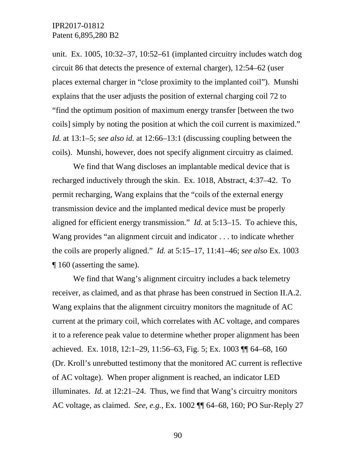unit. Ex. 1005, 10:32–37, 10:52–61 (implanted circuitry includes watch dog circuit 86 that detects the presence of external charger), 12:54–62 (user places external charger in "close proximity to the implanted coil"). Munshi explains that the user adjusts the position of external charging coil 72 to "find the optimum position of maximum energy transfer [between the two coils] simply by noting the position at which the coil current is maximized." *Id.* at 13:1–5; *see also id.* at 12:66–13:1 (discussing coupling between the coils). Munshi, however, does not specify alignment circuitry as claimed.

We find that Wang discloses an implantable medical device that is recharged inductively through the skin. Ex. 1018, Abstract, 4:37–42. To permit recharging, Wang explains that the "coils of the external energy transmission device and the implanted medical device must be properly aligned for efficient energy transmission." *Id.* at 5:13–15. To achieve this, Wang provides "an alignment circuit and indicator . . . to indicate whether the coils are properly aligned." *Id.* at 5:15–17, 11:41–46; *see also* Ex. 1003 ¶ 160 (asserting the same).

We find that Wang's alignment circuitry includes a back telemetry receiver, as claimed, and as that phrase has been construed in Section II.A.2. Wang explains that the alignment circuitry monitors the magnitude of AC current at the primary coil, which correlates with AC voltage, and compares it to a reference peak value to determine whether proper alignment has been achieved. Ex. 1018, 12:1–29, 11:56–63, Fig. 5; Ex. 1003 ¶¶ 64–68, 160 (Dr. Kroll's unrebutted testimony that the monitored AC current is reflective of AC voltage). When proper alignment is reached, an indicator LED illuminates. *Id.* at 12:21–24. Thus, we find that Wang's circuitry monitors AC voltage, as claimed. *See, e.g.*, Ex. 1002 ¶¶ 64–68, 160; PO Sur-Reply 27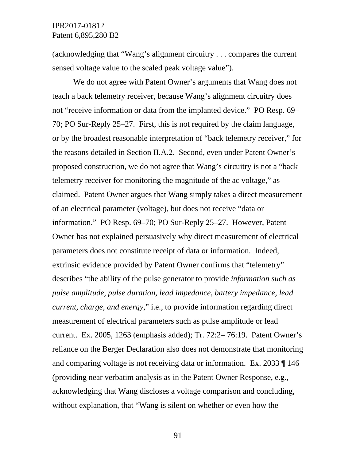(acknowledging that "Wang's alignment circuitry . . . compares the current sensed voltage value to the scaled peak voltage value").

We do not agree with Patent Owner's arguments that Wang does not teach a back telemetry receiver, because Wang's alignment circuitry does not "receive information or data from the implanted device." PO Resp. 69– 70; PO Sur-Reply 25–27. First, this is not required by the claim language, or by the broadest reasonable interpretation of "back telemetry receiver," for the reasons detailed in Section II.A.2. Second, even under Patent Owner's proposed construction, we do not agree that Wang's circuitry is not a "back telemetry receiver for monitoring the magnitude of the ac voltage," as claimed. Patent Owner argues that Wang simply takes a direct measurement of an electrical parameter (voltage), but does not receive "data or information." PO Resp. 69–70; PO Sur-Reply 25–27. However, Patent Owner has not explained persuasively why direct measurement of electrical parameters does not constitute receipt of data or information. Indeed, extrinsic evidence provided by Patent Owner confirms that "telemetry" describes "the ability of the pulse generator to provide *information such as pulse amplitude, pulse duration, lead impedance, battery impedance, lead current, charge, and energy*," i.e., to provide information regarding direct measurement of electrical parameters such as pulse amplitude or lead current. Ex. 2005, 1263 (emphasis added); Tr. 72:2– 76:19. Patent Owner's reliance on the Berger Declaration also does not demonstrate that monitoring and comparing voltage is not receiving data or information. Ex. 2033 ¶ 146 (providing near verbatim analysis as in the Patent Owner Response, e.g., acknowledging that Wang discloses a voltage comparison and concluding, without explanation, that "Wang is silent on whether or even how the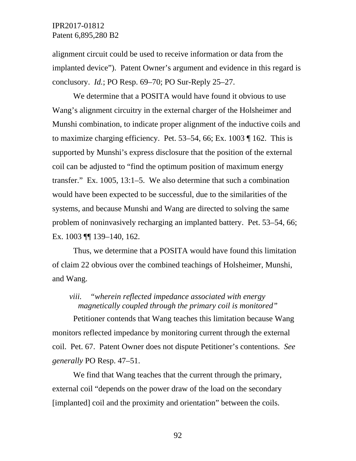alignment circuit could be used to receive information or data from the implanted device"). Patent Owner's argument and evidence in this regard is conclusory. *Id.*; PO Resp. 69–70; PO Sur-Reply 25–27.

We determine that a POSITA would have found it obvious to use Wang's alignment circuitry in the external charger of the Holsheimer and Munshi combination, to indicate proper alignment of the inductive coils and to maximize charging efficiency. Pet. 53–54, 66; Ex. 1003 ¶ 162. This is supported by Munshi's express disclosure that the position of the external coil can be adjusted to "find the optimum position of maximum energy transfer." Ex. 1005, 13:1–5. We also determine that such a combination would have been expected to be successful, due to the similarities of the systems, and because Munshi and Wang are directed to solving the same problem of noninvasively recharging an implanted battery. Pet. 53–54, 66; Ex. 1003 ¶¶ 139–140, 162.

Thus, we determine that a POSITA would have found this limitation of claim 22 obvious over the combined teachings of Holsheimer, Munshi, and Wang.

# *viii. "wherein reflected impedance associated with energy magnetically coupled through the primary coil is monitored"*

Petitioner contends that Wang teaches this limitation because Wang monitors reflected impedance by monitoring current through the external coil. Pet. 67. Patent Owner does not dispute Petitioner's contentions. *See generally* PO Resp. 47–51.

We find that Wang teaches that the current through the primary, external coil "depends on the power draw of the load on the secondary [implanted] coil and the proximity and orientation" between the coils.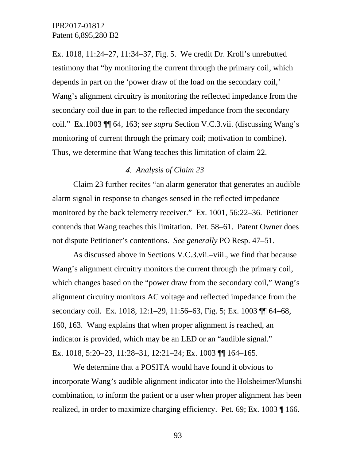Ex. 1018, 11:24–27, 11:34–37, Fig. 5. We credit Dr. Kroll's unrebutted testimony that "by monitoring the current through the primary coil, which depends in part on the 'power draw of the load on the secondary coil,' Wang's alignment circuitry is monitoring the reflected impedance from the secondary coil due in part to the reflected impedance from the secondary coil." Ex.1003 ¶¶ 64, 163; *see supra* Section V.C.3.vii. (discussing Wang's monitoring of current through the primary coil; motivation to combine). Thus, we determine that Wang teaches this limitation of claim 22.

#### *Analysis of Claim 23*

Claim 23 further recites "an alarm generator that generates an audible alarm signal in response to changes sensed in the reflected impedance monitored by the back telemetry receiver." Ex. 1001, 56:22–36. Petitioner contends that Wang teaches this limitation. Pet. 58–61. Patent Owner does not dispute Petitioner's contentions. *See generally* PO Resp. 47–51.

As discussed above in Sections V.C.3.vii.–viii., we find that because Wang's alignment circuitry monitors the current through the primary coil, which changes based on the "power draw from the secondary coil," Wang's alignment circuitry monitors AC voltage and reflected impedance from the secondary coil. Ex. 1018, 12:1–29, 11:56–63, Fig. 5; Ex. 1003 ¶¶ 64–68, 160, 163. Wang explains that when proper alignment is reached, an indicator is provided, which may be an LED or an "audible signal." Ex. 1018, 5:20–23, 11:28–31, 12:21–24; Ex. 1003 ¶¶ 164–165.

We determine that a POSITA would have found it obvious to incorporate Wang's audible alignment indicator into the Holsheimer/Munshi combination, to inform the patient or a user when proper alignment has been realized, in order to maximize charging efficiency. Pet. 69; Ex. 1003 ¶ 166.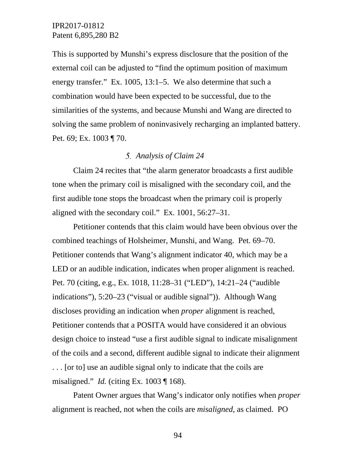This is supported by Munshi's express disclosure that the position of the external coil can be adjusted to "find the optimum position of maximum energy transfer." Ex. 1005, 13:1–5. We also determine that such a combination would have been expected to be successful, due to the similarities of the systems, and because Munshi and Wang are directed to solving the same problem of noninvasively recharging an implanted battery. Pet. 69; Ex. 1003 ¶ 70.

### *Analysis of Claim 24*

Claim 24 recites that "the alarm generator broadcasts a first audible tone when the primary coil is misaligned with the secondary coil, and the first audible tone stops the broadcast when the primary coil is properly aligned with the secondary coil." Ex. 1001, 56:27–31.

Petitioner contends that this claim would have been obvious over the combined teachings of Holsheimer, Munshi, and Wang. Pet. 69–70. Petitioner contends that Wang's alignment indicator 40, which may be a LED or an audible indication, indicates when proper alignment is reached. Pet. 70 (citing, e.g., Ex. 1018, 11:28–31 ("LED"), 14:21–24 ("audible indications"), 5:20–23 ("visual or audible signal")). Although Wang discloses providing an indication when *proper* alignment is reached, Petitioner contends that a POSITA would have considered it an obvious design choice to instead "use a first audible signal to indicate misalignment of the coils and a second, different audible signal to indicate their alignment . . . [or to] use an audible signal only to indicate that the coils are misaligned." *Id.* (citing Ex. 1003 ¶ 168).

Patent Owner argues that Wang's indicator only notifies when *proper*  alignment is reached, not when the coils are *misaligned*, as claimed. PO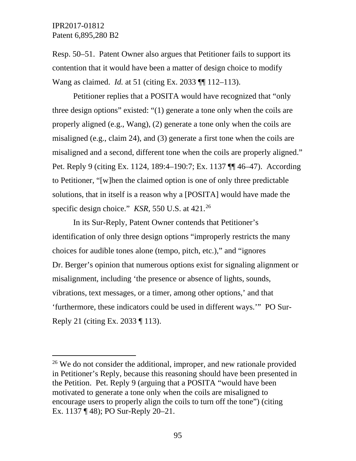Resp. 50–51. Patent Owner also argues that Petitioner fails to support its contention that it would have been a matter of design choice to modify Wang as claimed. *Id.* at 51 (citing Ex. 2033 ¶¶ 112–113).

Petitioner replies that a POSITA would have recognized that "only three design options" existed: "(1) generate a tone only when the coils are properly aligned (e.g., Wang), (2) generate a tone only when the coils are misaligned (e.g., claim 24), and (3) generate a first tone when the coils are misaligned and a second, different tone when the coils are properly aligned." Pet. Reply 9 (citing Ex. 1124, 189:4–190:7; Ex. 1137 ¶¶ 46–47). According to Petitioner, "[w]hen the claimed option is one of only three predictable solutions, that in itself is a reason why a [POSITA] would have made the specific design choice." *KSR*, 550 U.S. at 421. [26](#page-94-0)

In its Sur-Reply, Patent Owner contends that Petitioner's identification of only three design options "improperly restricts the many choices for audible tones alone (tempo, pitch, etc.)," and "ignores Dr. Berger's opinion that numerous options exist for signaling alignment or misalignment, including 'the presence or absence of lights, sounds, vibrations, text messages, or a timer, among other options,' and that 'furthermore, these indicators could be used in different ways.'" PO Sur-Reply 21 (citing Ex. 2033 ¶ 113).

<span id="page-94-0"></span><sup>&</sup>lt;sup>26</sup> We do not consider the additional, improper, and new rationale provided in Petitioner's Reply, because this reasoning should have been presented in the Petition. Pet. Reply 9 (arguing that a POSITA "would have been motivated to generate a tone only when the coils are misaligned to encourage users to properly align the coils to turn off the tone") (citing Ex. 1137 ¶ 48); PO Sur-Reply 20–21.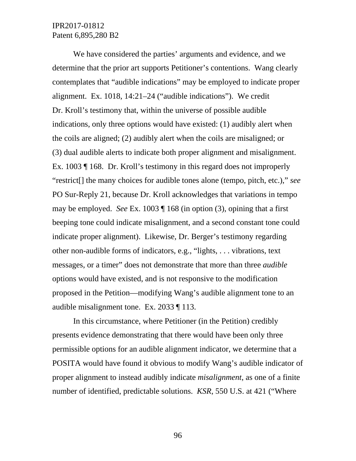We have considered the parties' arguments and evidence, and we determine that the prior art supports Petitioner's contentions. Wang clearly contemplates that "audible indications" may be employed to indicate proper alignment. Ex. 1018, 14:21–24 ("audible indications"). We credit Dr. Kroll's testimony that, within the universe of possible audible indications, only three options would have existed: (1) audibly alert when the coils are aligned; (2) audibly alert when the coils are misaligned; or (3) dual audible alerts to indicate both proper alignment and misalignment. Ex. 1003 ¶ 168. Dr. Kroll's testimony in this regard does not improperly "restrict[] the many choices for audible tones alone (tempo, pitch, etc.)," *see*  PO Sur-Reply 21, because Dr. Kroll acknowledges that variations in tempo may be employed. *See* Ex. 1003 ¶ 168 (in option (3), opining that a first beeping tone could indicate misalignment, and a second constant tone could indicate proper alignment). Likewise, Dr. Berger's testimony regarding other non-audible forms of indicators, e.g., "lights, . . . vibrations, text messages, or a timer" does not demonstrate that more than three *audible* options would have existed, and is not responsive to the modification proposed in the Petition—modifying Wang's audible alignment tone to an audible misalignment tone. Ex. 2033 ¶ 113.

In this circumstance, where Petitioner (in the Petition) credibly presents evidence demonstrating that there would have been only three permissible options for an audible alignment indicator, we determine that a POSITA would have found it obvious to modify Wang's audible indicator of proper alignment to instead audibly indicate *misalignment*, as one of a finite number of identified, predictable solutions. *KSR*, 550 U.S. at 421 ("Where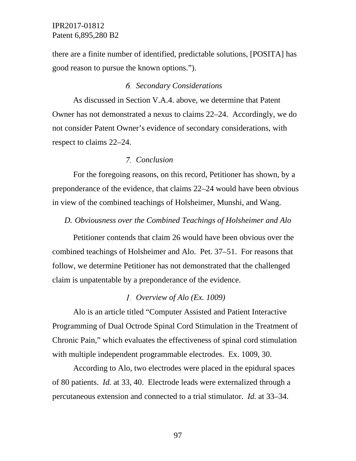there are a finite number of identified, predictable solutions, [POSITA] has good reason to pursue the known options.").

#### *Secondary Considerations*

As discussed in Section V.A.4. above, we determine that Patent Owner has not demonstrated a nexus to claims 22–24. Accordingly, we do not consider Patent Owner's evidence of secondary considerations, with respect to claims 22–24.

#### *Conclusion*

For the foregoing reasons, on this record, Petitioner has shown, by a preponderance of the evidence, that claims 22–24 would have been obvious in view of the combined teachings of Holsheimer, Munshi, and Wang.

### *D. Obviousness over the Combined Teachings of Holsheimer and Alo*

Petitioner contends that claim 26 would have been obvious over the combined teachings of Holsheimer and Alo. Pet. 37–51. For reasons that follow, we determine Petitioner has not demonstrated that the challenged claim is unpatentable by a preponderance of the evidence.

#### *Overview of Alo (Ex. 1009)*

Alo is an article titled "Computer Assisted and Patient Interactive Programming of Dual Octrode Spinal Cord Stimulation in the Treatment of Chronic Pain," which evaluates the effectiveness of spinal cord stimulation with multiple independent programmable electrodes. Ex. 1009, 30.

According to Alo, two electrodes were placed in the epidural spaces of 80 patients. *Id.* at 33, 40. Electrode leads were externalized through a percutaneous extension and connected to a trial stimulator. *Id.* at 33–34.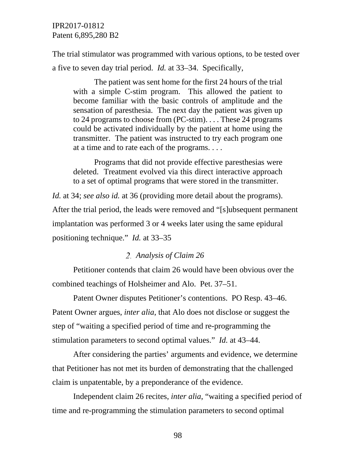The trial stimulator was programmed with various options, to be tested over a five to seven day trial period. *Id.* at 33–34. Specifically,

The patient was sent home for the first 24 hours of the trial with a simple C-stim program. This allowed the patient to become familiar with the basic controls of amplitude and the sensation of paresthesia. The next day the patient was given up to 24 programs to choose from (PC-stim). . . . These 24 programs could be activated individually by the patient at home using the transmitter. The patient was instructed to try each program one at a time and to rate each of the programs. . . .

Programs that did not provide effective paresthesias were deleted. Treatment evolved via this direct interactive approach to a set of optimal programs that were stored in the transmitter.

*Id.* at 34; *see also id.* at 36 (providing more detail about the programs). After the trial period, the leads were removed and "[s]ubsequent permanent implantation was performed 3 or 4 weeks later using the same epidural positioning technique." *Id.* at 33–35

#### *Analysis of Claim 26*

Petitioner contends that claim 26 would have been obvious over the combined teachings of Holsheimer and Alo. Pet. 37–51.

Patent Owner disputes Petitioner's contentions. PO Resp. 43–46. Patent Owner argues, *inter alia*, that Alo does not disclose or suggest the step of "waiting a specified period of time and re-programming the stimulation parameters to second optimal values." *Id.* at 43–44.

After considering the parties' arguments and evidence, we determine that Petitioner has not met its burden of demonstrating that the challenged claim is unpatentable, by a preponderance of the evidence.

Independent claim 26 recites, *inter alia*, "waiting a specified period of time and re-programming the stimulation parameters to second optimal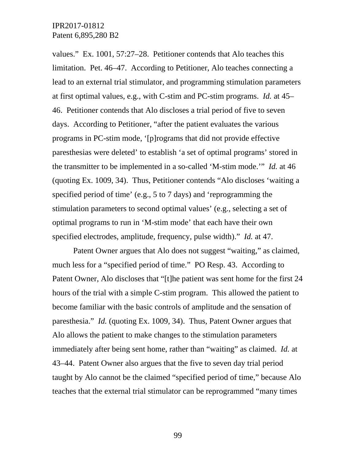values." Ex. 1001, 57:27–28. Petitioner contends that Alo teaches this limitation. Pet. 46–47. According to Petitioner, Alo teaches connecting a lead to an external trial stimulator, and programming stimulation parameters at first optimal values, e.g., with C-stim and PC-stim programs. *Id.* at 45– 46. Petitioner contends that Alo discloses a trial period of five to seven days. According to Petitioner, "after the patient evaluates the various programs in PC-stim mode, '[p]rograms that did not provide effective paresthesias were deleted' to establish 'a set of optimal programs' stored in the transmitter to be implemented in a so-called 'M-stim mode.'" *Id.* at 46 (quoting Ex. 1009, 34). Thus, Petitioner contends "Alo discloses 'waiting a specified period of time' (e.g., 5 to 7 days) and 'reprogramming the stimulation parameters to second optimal values' (e.g., selecting a set of optimal programs to run in 'M-stim mode' that each have their own specified electrodes, amplitude, frequency, pulse width)." *Id.* at 47.

Patent Owner argues that Alo does not suggest "waiting," as claimed, much less for a "specified period of time." PO Resp. 43. According to Patent Owner, Alo discloses that "[t]he patient was sent home for the first 24 hours of the trial with a simple C-stim program. This allowed the patient to become familiar with the basic controls of amplitude and the sensation of paresthesia." *Id.* (quoting Ex. 1009, 34). Thus, Patent Owner argues that Alo allows the patient to make changes to the stimulation parameters immediately after being sent home, rather than "waiting" as claimed. *Id.* at 43–44. Patent Owner also argues that the five to seven day trial period taught by Alo cannot be the claimed "specified period of time," because Alo teaches that the external trial stimulator can be reprogrammed "many times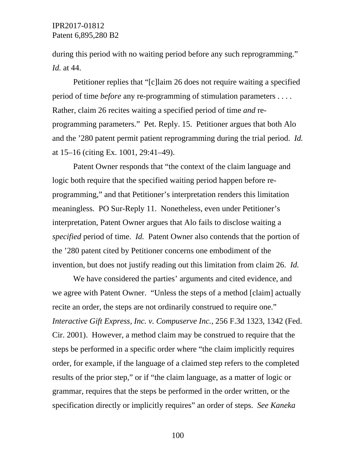during this period with no waiting period before any such reprogramming." *Id.* at 44.

Petitioner replies that "[c]laim 26 does not require waiting a specified period of time *before* any re-programming of stimulation parameters . . . . Rather, claim 26 recites waiting a specified period of time *and* reprogramming parameters." Pet. Reply. 15. Petitioner argues that both Alo and the '280 patent permit patient reprogramming during the trial period. *Id.* at 15–16 (citing Ex. 1001, 29:41–49).

Patent Owner responds that "the context of the claim language and logic both require that the specified waiting period happen before reprogramming," and that Petitioner's interpretation renders this limitation meaningless. PO Sur-Reply 11. Nonetheless, even under Petitioner's interpretation, Patent Owner argues that Alo fails to disclose waiting a *specified* period of time. *Id.* Patent Owner also contends that the portion of the '280 patent cited by Petitioner concerns one embodiment of the invention, but does not justify reading out this limitation from claim 26. *Id.*

We have considered the parties' arguments and cited evidence, and we agree with Patent Owner. "Unless the steps of a method [claim] actually recite an order, the steps are not ordinarily construed to require one." *Interactive Gift Express, Inc. v. Compuserve Inc.*, 256 F.3d 1323, 1342 (Fed. Cir. 2001). However, a method claim may be construed to require that the steps be performed in a specific order where "the claim implicitly requires order, for example, if the language of a claimed step refers to the completed results of the prior step," or if "the claim language, as a matter of logic or grammar, requires that the steps be performed in the order written, or the specification directly or implicitly requires" an order of steps. *See Kaneka*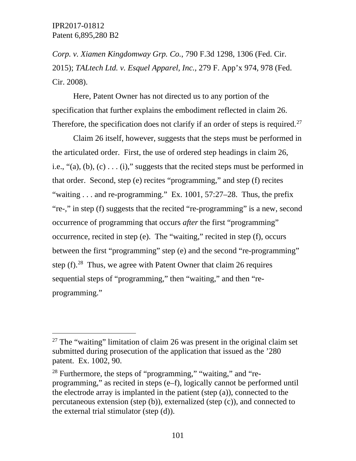*Corp. v. Xiamen Kingdomway Grp. Co.*, 790 F.3d 1298, 1306 (Fed. Cir. 2015); *TALtech Ltd. v. Esquel Apparel, Inc.*, 279 F. App'x 974, 978 (Fed. Cir. 2008).

Here, Patent Owner has not directed us to any portion of the specification that further explains the embodiment reflected in claim 26. Therefore, the specification does not clarify if an order of steps is required.<sup>[27](#page-100-0)</sup>

Claim 26 itself, however, suggests that the steps must be performed in the articulated order. First, the use of ordered step headings in claim 26, i.e.,  $(2)$ ,  $(6)$ ,  $(6)$ ,  $(7)$ ,  $(8)$ ,  $(8)$ ,  $(9)$ ,  $(1)$ ,  $(1)$ ,  $(1)$ ,  $(2)$  suggests that the recited steps must be performed in that order. Second, step (e) recites "programming," and step (f) recites "waiting  $\ldots$  and re-programming." Ex. 1001, 57:27–28. Thus, the prefix "re-," in step (f) suggests that the recited "re-programming" is a new, second occurrence of programming that occurs *after* the first "programming" occurrence, recited in step (e). The "waiting," recited in step (f), occurs between the first "programming" step (e) and the second "re-programming" step  $(f)$ .<sup>[28](#page-100-1)</sup> Thus, we agree with Patent Owner that claim 26 requires sequential steps of "programming," then "waiting," and then "reprogramming."

<span id="page-100-0"></span> $27$  The "waiting" limitation of claim 26 was present in the original claim set submitted during prosecution of the application that issued as the '280 patent. Ex. 1002, 90.

<span id="page-100-1"></span> $28$  Furthermore, the steps of "programming," "waiting," and "reprogramming," as recited in steps (e–f), logically cannot be performed until the electrode array is implanted in the patient (step (a)), connected to the percutaneous extension (step (b)), externalized (step (c)), and connected to the external trial stimulator (step (d)).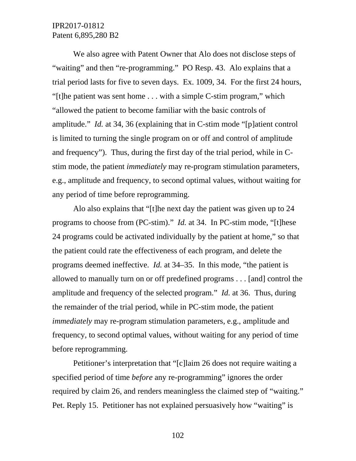We also agree with Patent Owner that Alo does not disclose steps of "waiting" and then "re-programming." PO Resp. 43. Alo explains that a trial period lasts for five to seven days. Ex. 1009, 34. For the first 24 hours, "[t]he patient was sent home . . . with a simple C-stim program," which "allowed the patient to become familiar with the basic controls of amplitude." *Id.* at 34, 36 (explaining that in C-stim mode "[p]atient control is limited to turning the single program on or off and control of amplitude and frequency"). Thus, during the first day of the trial period, while in Cstim mode, the patient *immediately* may re-program stimulation parameters, e.g., amplitude and frequency, to second optimal values, without waiting for any period of time before reprogramming.

Alo also explains that "[t]he next day the patient was given up to 24 programs to choose from (PC-stim)." *Id.* at 34. In PC-stim mode, "[t]hese 24 programs could be activated individually by the patient at home," so that the patient could rate the effectiveness of each program, and delete the programs deemed ineffective. *Id.* at 34–35. In this mode, "the patient is allowed to manually turn on or off predefined programs . . . [and] control the amplitude and frequency of the selected program." *Id.* at 36. Thus, during the remainder of the trial period, while in PC-stim mode, the patient *immediately* may re-program stimulation parameters, e.g., amplitude and frequency, to second optimal values, without waiting for any period of time before reprogramming.

Petitioner's interpretation that "[c]laim 26 does not require waiting a specified period of time *before* any re-programming" ignores the order required by claim 26, and renders meaningless the claimed step of "waiting." Pet. Reply 15. Petitioner has not explained persuasively how "waiting" is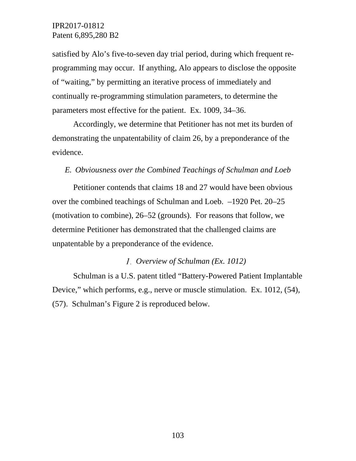satisfied by Alo's five-to-seven day trial period, during which frequent reprogramming may occur. If anything, Alo appears to disclose the opposite of "waiting," by permitting an iterative process of immediately and continually re-programming stimulation parameters, to determine the parameters most effective for the patient. Ex. 1009, 34–36.

Accordingly, we determine that Petitioner has not met its burden of demonstrating the unpatentability of claim 26, by a preponderance of the evidence.

#### *E. Obviousness over the Combined Teachings of Schulman and Loeb*

Petitioner contends that claims 18 and 27 would have been obvious over the combined teachings of Schulman and Loeb. –1920 Pet. 20–25 (motivation to combine), 26–52 (grounds). For reasons that follow, we determine Petitioner has demonstrated that the challenged claims are unpatentable by a preponderance of the evidence.

### *Overview of Schulman (Ex. 1012)*

Schulman is a U.S. patent titled "Battery-Powered Patient Implantable Device," which performs, e.g., nerve or muscle stimulation. Ex. 1012, (54), (57). Schulman's Figure 2 is reproduced below.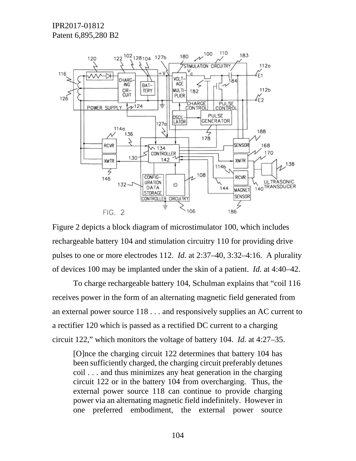

Figure 2 depicts a block diagram of microstimulator 100, which includes rechargeable battery 104 and stimulation circuitry 110 for providing drive pulses to one or more electrodes 112. *Id.* at 2:37–40, 3:32–4:16. A plurality of devices 100 may be implanted under the skin of a patient. *Id.* at 4:40–42.

To charge rechargeable battery 104, Schulman explains that "coil 116 receives power in the form of an alternating magnetic field generated from an external power source 118 . . . and responsively supplies an AC current to a rectifier 120 which is passed as a rectified DC current to a charging circuit 122," which monitors the voltage of battery 104. *Id.* at 4:27–35.

[O]nce the charging circuit 122 determines that battery 104 has been sufficiently charged, the charging circuit preferably detunes coil . . . and thus minimizes any heat generation in the charging circuit 122 or in the battery 104 from overcharging. Thus, the external power source 118 can continue to provide charging power via an alternating magnetic field indefinitely. However in one preferred embodiment, the external power source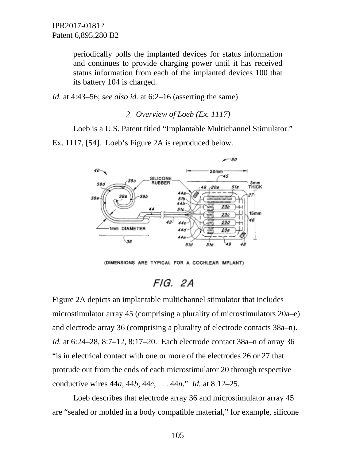periodically polls the implanted devices for status information and continues to provide charging power until it has received status information from each of the implanted devices 100 that its battery 104 is charged.

*Id.* at 4:43–56; *see also id.* at 6:2–16 (asserting the same).

#### *Overview of Loeb (Ex. 1117)*

Loeb is a U.S. Patent titled "Implantable Multichannel Stimulator." Ex. 1117, [54]. Loeb's Figure 2A is reproduced below.



(DIMENSIONS ARE TYPICAL FOR A COCHLEAR IMPLANT)

# FIG. 2A

Figure 2A depicts an implantable multichannel stimulator that includes microstimulator array 45 (comprising a plurality of microstimulators 20a–e) and electrode array 36 (comprising a plurality of electrode contacts 38a–n). *Id.* at 6:24–28, 8:7–12, 8:17–20. Each electrode contact 38a–n of array 36 "is in electrical contact with one or more of the electrodes 26 or 27 that protrude out from the ends of each microstimulator 20 through respective conductive wires 44*a*, 44*b*, 44*c*, . . . 44*n*." *Id.* at 8:12–25.

Loeb describes that electrode array 36 and microstimulator array 45 are "sealed or molded in a body compatible material," for example, silicone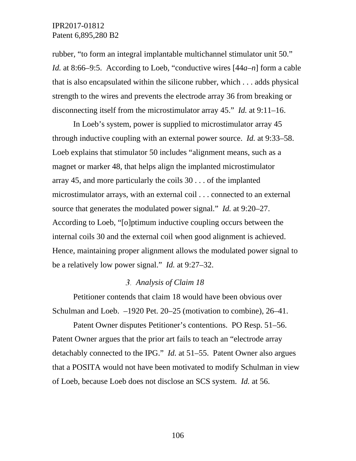rubber, "to form an integral implantable multichannel stimulator unit 50." *Id.* at 8:66–9:5. According to Loeb, "conductive wires [44*a*–*n*] form a cable that is also encapsulated within the silicone rubber, which . . . adds physical strength to the wires and prevents the electrode array 36 from breaking or disconnecting itself from the microstimulator array 45." *Id.* at 9:11–16.

In Loeb's system, power is supplied to microstimulator array 45 through inductive coupling with an external power source. *Id.* at 9:33–58. Loeb explains that stimulator 50 includes "alignment means, such as a magnet or marker 48, that helps align the implanted microstimulator array 45, and more particularly the coils 30 . . . of the implanted microstimulator arrays, with an external coil . . . connected to an external source that generates the modulated power signal." *Id.* at 9:20–27. According to Loeb, "[o]ptimum inductive coupling occurs between the internal coils 30 and the external coil when good alignment is achieved. Hence, maintaining proper alignment allows the modulated power signal to be a relatively low power signal." *Id.* at 9:27–32.

# *Analysis of Claim 18*

Petitioner contends that claim 18 would have been obvious over Schulman and Loeb. –1920 Pet. 20–25 (motivation to combine), 26–41.

Patent Owner disputes Petitioner's contentions. PO Resp. 51–56. Patent Owner argues that the prior art fails to teach an "electrode array detachably connected to the IPG." *Id.* at 51–55. Patent Owner also argues that a POSITA would not have been motivated to modify Schulman in view of Loeb, because Loeb does not disclose an SCS system. *Id.* at 56.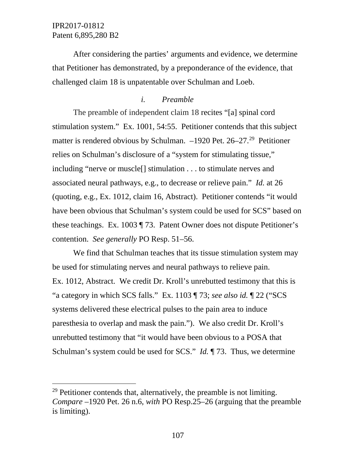After considering the parties' arguments and evidence, we determine that Petitioner has demonstrated, by a preponderance of the evidence, that challenged claim 18 is unpatentable over Schulman and Loeb.

## *i. Preamble*

The preamble of independent claim 18 recites "[a] spinal cord stimulation system." Ex. 1001, 54:55. Petitioner contends that this subject matter is rendered obvious by Schulman. –1920 Pet. 26–27.<sup>29</sup> Petitioner relies on Schulman's disclosure of a "system for stimulating tissue," including "nerve or muscle[] stimulation . . . to stimulate nerves and associated neural pathways, e.g., to decrease or relieve pain." *Id.* at 26 (quoting, e.g., Ex. 1012, claim 16, Abstract). Petitioner contends "it would have been obvious that Schulman's system could be used for SCS" based on these teachings. Ex. 1003 ¶ 73. Patent Owner does not dispute Petitioner's contention. *See generally* PO Resp. 51–56.

We find that Schulman teaches that its tissue stimulation system may be used for stimulating nerves and neural pathways to relieve pain. Ex. 1012, Abstract. We credit Dr. Kroll's unrebutted testimony that this is "a category in which SCS falls." Ex. 1103 ¶ 73; *see also id.* ¶ 22 ("SCS systems delivered these electrical pulses to the pain area to induce paresthesia to overlap and mask the pain."). We also credit Dr. Kroll's unrebutted testimony that "it would have been obvious to a POSA that Schulman's system could be used for SCS." *Id.* ¶ 73. Thus, we determine

<span id="page-106-0"></span> $29$  Petitioner contends that, alternatively, the preamble is not limiting. *Compare* –1920 Pet. 26 n.6, *with* PO Resp.25–26 (arguing that the preamble is limiting).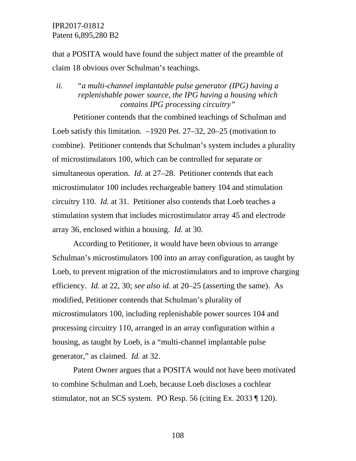that a POSITA would have found the subject matter of the preamble of claim 18 obvious over Schulman's teachings.

# *ii. "a multi-channel implantable pulse generator (IPG) having a replenishable power source, the IPG having a housing which contains IPG processing circuitry"*

Petitioner contends that the combined teachings of Schulman and Loeb satisfy this limitation. –1920 Pet. 27–32, 20–25 (motivation to combine). Petitioner contends that Schulman's system includes a plurality of microstimulators 100, which can be controlled for separate or simultaneous operation. *Id.* at 27–28. Petitioner contends that each microstimulator 100 includes rechargeable battery 104 and stimulation circuitry 110. *Id.* at 31. Petitioner also contends that Loeb teaches a stimulation system that includes microstimulator array 45 and electrode array 36, enclosed within a housing. *Id.* at 30.

According to Petitioner, it would have been obvious to arrange Schulman's microstimulators 100 into an array configuration, as taught by Loeb, to prevent migration of the microstimulators and to improve charging efficiency. *Id.* at 22, 30; *see also id.* at 20–25 (asserting the same). As modified, Petitioner contends that Schulman's plurality of microstimulators 100, including replenishable power sources 104 and processing circuitry 110, arranged in an array configuration within a housing, as taught by Loeb, is a "multi-channel implantable pulse generator," as claimed. *Id.* at 32.

Patent Owner argues that a POSITA would not have been motivated to combine Schulman and Loeb, because Loeb discloses a cochlear stimulator, not an SCS system. PO Resp. 56 (citing Ex. 2033 ¶ 120).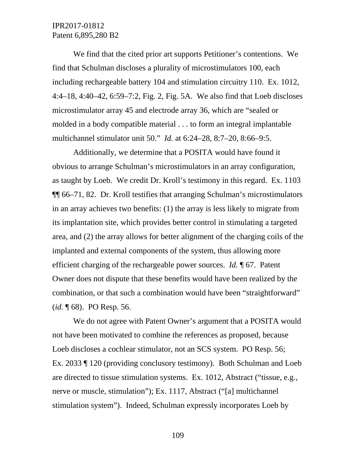We find that the cited prior art supports Petitioner's contentions. We find that Schulman discloses a plurality of microstimulators 100, each including rechargeable battery 104 and stimulation circuitry 110. Ex. 1012, 4:4–18, 4:40–42, 6:59–7:2, Fig. 2, Fig. 5A. We also find that Loeb discloses microstimulator array 45 and electrode array 36, which are "sealed or molded in a body compatible material . . . to form an integral implantable multichannel stimulator unit 50." *Id.* at 6:24–28, 8:7–20, 8:66–9:5.

Additionally, we determine that a POSITA would have found it obvious to arrange Schulman's microstimulators in an array configuration, as taught by Loeb. We credit Dr. Kroll's testimony in this regard. Ex. 1103 ¶¶ 66–71, 82. Dr. Kroll testifies that arranging Schulman's microstimulators in an array achieves two benefits: (1) the array is less likely to migrate from its implantation site, which provides better control in stimulating a targeted area, and (2) the array allows for better alignment of the charging coils of the implanted and external components of the system, thus allowing more efficient charging of the rechargeable power sources. *Id.* ¶ 67. Patent Owner does not dispute that these benefits would have been realized by the combination, or that such a combination would have been "straightforward" (*id.* ¶ 68). PO Resp. 56.

We do not agree with Patent Owner's argument that a POSITA would not have been motivated to combine the references as proposed, because Loeb discloses a cochlear stimulator, not an SCS system. PO Resp. 56; Ex. 2033 ¶ 120 (providing conclusory testimony). Both Schulman and Loeb are directed to tissue stimulation systems. Ex. 1012, Abstract ("tissue, e.g., nerve or muscle, stimulation"); Ex. 1117, Abstract ("[a] multichannel stimulation system"). Indeed, Schulman expressly incorporates Loeb by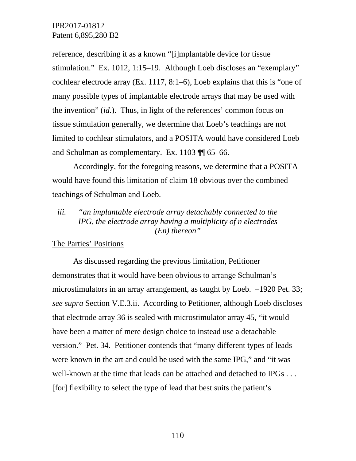reference, describing it as a known "[i]mplantable device for tissue stimulation." Ex. 1012, 1:15–19. Although Loeb discloses an "exemplary" cochlear electrode array (Ex. 1117, 8:1–6), Loeb explains that this is "one of many possible types of implantable electrode arrays that may be used with the invention" (*id.*). Thus, in light of the references' common focus on tissue stimulation generally, we determine that Loeb's teachings are not limited to cochlear stimulators, and a POSITA would have considered Loeb and Schulman as complementary. Ex. 1103 ¶¶ 65–66.

Accordingly, for the foregoing reasons, we determine that a POSITA would have found this limitation of claim 18 obvious over the combined teachings of Schulman and Loeb.

### *iii. "an implantable electrode array detachably connected to the IPG, the electrode array having a multiplicity of n electrodes (En) thereon"*

### The Parties' Positions

As discussed regarding the previous limitation, Petitioner demonstrates that it would have been obvious to arrange Schulman's microstimulators in an array arrangement, as taught by Loeb. –1920 Pet. 33; *see supra* Section V.E.3.ii. According to Petitioner, although Loeb discloses that electrode array 36 is sealed with microstimulator array 45, "it would have been a matter of mere design choice to instead use a detachable version." Pet. 34. Petitioner contends that "many different types of leads were known in the art and could be used with the same IPG," and "it was well-known at the time that leads can be attached and detached to IPGs . . . [for] flexibility to select the type of lead that best suits the patient's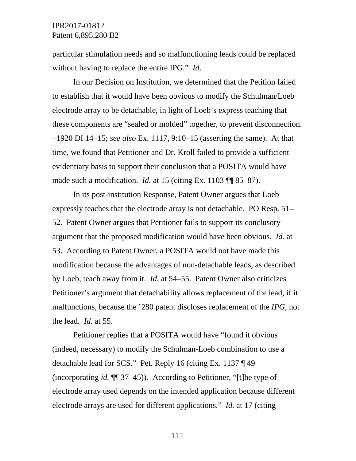particular stimulation needs and so malfunctioning leads could be replaced without having to replace the entire IPG." *Id*.

In our Decision on Institution, we determined that the Petition failed to establish that it would have been obvious to modify the Schulman/Loeb electrode array to be detachable, in light of Loeb's express teaching that these components are "sealed or molded" together, to prevent disconnection. –1920 DI 14–15; *see also* Ex. 1117, 9:10–15 (asserting the same). At that time, we found that Petitioner and Dr. Kroll failed to provide a sufficient evidentiary basis to support their conclusion that a POSITA would have made such a modification. *Id.* at 15 (citing Ex. 1103 ¶¶ 85–87).

In its post-institution Response, Patent Owner argues that Loeb expressly teaches that the electrode array is not detachable. PO Resp. 51– 52. Patent Owner argues that Petitioner fails to support its conclusory argument that the proposed modification would have been obvious. *Id.* at 53. According to Patent Owner, a POSITA would not have made this modification because the advantages of non-detachable leads, as described by Loeb, teach away from it. *Id.* at 54–55. Patent Owner also criticizes Petitioner's argument that detachability allows replacement of the lead, if it malfunctions, because the '280 patent discloses replacement of the *IPG*, not the lead. *Id.* at 55.

Petitioner replies that a POSITA would have "found it obvious (indeed, necessary) to modify the Schulman-Loeb combination to use a detachable lead for SCS." Pet. Reply 16 (citing Ex. 1137 ¶ 49 (incorporating *id.* ¶¶ 37–45)). According to Petitioner, "[t]he type of electrode array used depends on the intended application because different electrode arrays are used for different applications." *Id.* at 17 (citing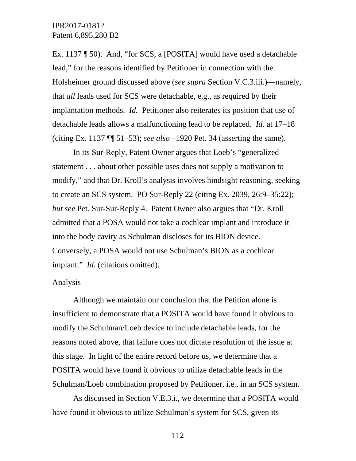Ex. 1137 ¶ 50). And, "for SCS, a [POSITA] would have used a detachable lead," for the reasons identified by Petitioner in connection with the Holsheimer ground discussed above (*see supra* Section V.C.3.iii.)—namely, that *all* leads used for SCS were detachable, e.g., as required by their implantation methods. *Id.* Petitioner also reiterates its position that use of detachable leads allows a malfunctioning lead to be replaced. *Id.* at 17–18 (citing Ex. 1137 ¶¶ 51–53); *see also* –1920 Pet. 34 (asserting the same).

In its Sur-Reply, Patent Owner argues that Loeb's "generalized statement . . . about other possible uses does not supply a motivation to modify," and that Dr. Kroll's analysis involves hindsight reasoning, seeking to create an SCS system. PO Sur-Reply 22 (citing Ex. 2039, 26:9–35:22); *but see* Pet. Sur-Sur-Reply 4. Patent Owner also argues that "Dr. Kroll admitted that a POSA would not take a cochlear implant and introduce it into the body cavity as Schulman discloses for its BION device. Conversely, a POSA would not use Schulman's BION as a cochlear implant." *Id.* (citations omitted).

#### Analysis

Although we maintain our conclusion that the Petition alone is insufficient to demonstrate that a POSITA would have found it obvious to modify the Schulman/Loeb device to include detachable leads, for the reasons noted above, that failure does not dictate resolution of the issue at this stage. In light of the entire record before us, we determine that a POSITA would have found it obvious to utilize detachable leads in the Schulman/Loeb combination proposed by Petitioner, i.e., in an SCS system.

As discussed in Section V.E.3.i., we determine that a POSITA would have found it obvious to utilize Schulman's system for SCS, given its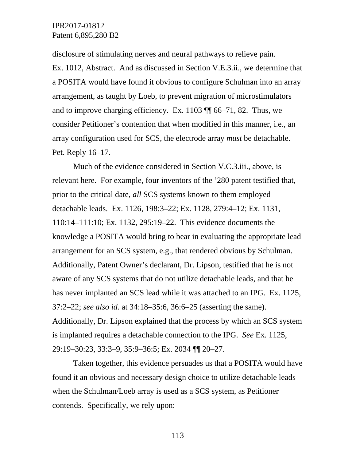disclosure of stimulating nerves and neural pathways to relieve pain. Ex. 1012, Abstract. And as discussed in Section V.E.3.ii., we determine that a POSITA would have found it obvious to configure Schulman into an array arrangement, as taught by Loeb, to prevent migration of microstimulators and to improve charging efficiency. Ex. 1103 ¶¶ 66–71, 82. Thus, we consider Petitioner's contention that when modified in this manner, i.e., an array configuration used for SCS, the electrode array *must* be detachable. Pet. Reply 16–17.

Much of the evidence considered in Section V.C.3.iii., above, is relevant here. For example, four inventors of the '280 patent testified that, prior to the critical date, *all* SCS systems known to them employed detachable leads. Ex. 1126, 198:3–22; Ex. 1128, 279:4–12; Ex. 1131, 110:14–111:10; Ex. 1132, 295:19–22. This evidence documents the knowledge a POSITA would bring to bear in evaluating the appropriate lead arrangement for an SCS system, e.g., that rendered obvious by Schulman. Additionally, Patent Owner's declarant, Dr. Lipson, testified that he is not aware of any SCS systems that do not utilize detachable leads, and that he has never implanted an SCS lead while it was attached to an IPG. Ex. 1125, 37:2–22; *see also id.* at 34:18–35:6, 36:6–25 (asserting the same). Additionally, Dr. Lipson explained that the process by which an SCS system is implanted requires a detachable connection to the IPG. *See* Ex. 1125, 29:19–30:23, 33:3–9, 35:9–36:5; Ex. 2034 ¶¶ 20–27.

Taken together, this evidence persuades us that a POSITA would have found it an obvious and necessary design choice to utilize detachable leads when the Schulman/Loeb array is used as a SCS system, as Petitioner contends. Specifically, we rely upon: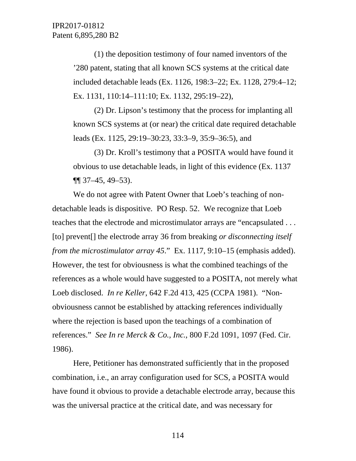(1) the deposition testimony of four named inventors of the '280 patent, stating that all known SCS systems at the critical date included detachable leads (Ex. 1126, 198:3–22; Ex. 1128, 279:4–12; Ex. 1131, 110:14–111:10; Ex. 1132, 295:19–22),

(2) Dr. Lipson's testimony that the process for implanting all known SCS systems at (or near) the critical date required detachable leads (Ex. 1125, 29:19–30:23, 33:3–9, 35:9–36:5), and

(3) Dr. Kroll's testimony that a POSITA would have found it obvious to use detachable leads, in light of this evidence (Ex. 1137  $\P$ [ 37–45, 49–53).

We do not agree with Patent Owner that Loeb's teaching of nondetachable leads is dispositive. PO Resp. 52. We recognize that Loeb teaches that the electrode and microstimulator arrays are "encapsulated . . . [to] prevent[] the electrode array 36 from breaking *or disconnecting itself from the microstimulator array 45*." Ex. 1117, 9:10–15 (emphasis added). However, the test for obviousness is what the combined teachings of the references as a whole would have suggested to a POSITA, not merely what Loeb disclosed. *In re Keller*, 642 F.2d 413, 425 (CCPA 1981). "Nonobviousness cannot be established by attacking references individually where the rejection is based upon the teachings of a combination of references." *See In re Merck & Co., Inc.*, 800 F.2d 1091, 1097 (Fed. Cir. 1986).

Here, Petitioner has demonstrated sufficiently that in the proposed combination, i.e., an array configuration used for SCS, a POSITA would have found it obvious to provide a detachable electrode array, because this was the universal practice at the critical date, and was necessary for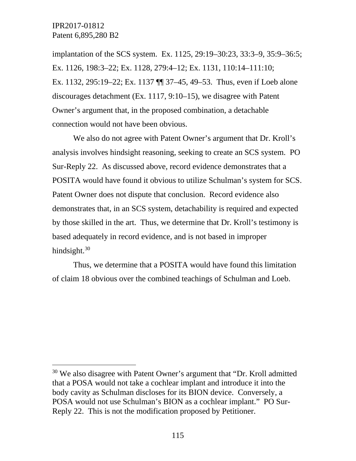implantation of the SCS system. Ex. 1125, 29:19–30:23, 33:3–9, 35:9–36:5; Ex. 1126, 198:3–22; Ex. 1128, 279:4–12; Ex. 1131, 110:14–111:10; Ex. 1132, 295:19–22; Ex. 1137 ¶¶ 37–45, 49–53. Thus, even if Loeb alone discourages detachment (Ex. 1117, 9:10–15), we disagree with Patent Owner's argument that, in the proposed combination, a detachable connection would not have been obvious.

We also do not agree with Patent Owner's argument that Dr. Kroll's analysis involves hindsight reasoning, seeking to create an SCS system. PO Sur-Reply 22. As discussed above, record evidence demonstrates that a POSITA would have found it obvious to utilize Schulman's system for SCS. Patent Owner does not dispute that conclusion. Record evidence also demonstrates that, in an SCS system, detachability is required and expected by those skilled in the art. Thus, we determine that Dr. Kroll's testimony is based adequately in record evidence, and is not based in improper hindsight.<sup>[30](#page-114-0)</sup>

Thus, we determine that a POSITA would have found this limitation of claim 18 obvious over the combined teachings of Schulman and Loeb.

<span id="page-114-0"></span><sup>&</sup>lt;sup>30</sup> We also disagree with Patent Owner's argument that "Dr. Kroll admitted" that a POSA would not take a cochlear implant and introduce it into the body cavity as Schulman discloses for its BION device. Conversely, a POSA would not use Schulman's BION as a cochlear implant." PO Sur-Reply 22. This is not the modification proposed by Petitioner.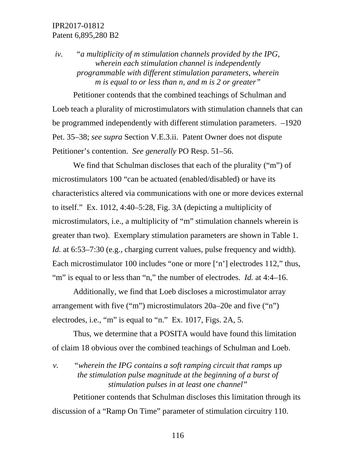*iv. "a multiplicity of m stimulation channels provided by the IPG, wherein each stimulation channel is independently programmable with different stimulation parameters, wherein m is equal to or less than n, and m is 2 or greater"*

Petitioner contends that the combined teachings of Schulman and Loeb teach a plurality of microstimulators with stimulation channels that can be programmed independently with different stimulation parameters. –1920 Pet. 35–38; *see supra* Section V.E.3.ii. Patent Owner does not dispute Petitioner's contention. *See generally* PO Resp. 51–56.

We find that Schulman discloses that each of the plurality ("m") of microstimulators 100 "can be actuated (enabled/disabled) or have its characteristics altered via communications with one or more devices external to itself." Ex. 1012, 4:40–5:28, Fig. 3A (depicting a multiplicity of microstimulators, i.e., a multiplicity of "m" stimulation channels wherein is greater than two). Exemplary stimulation parameters are shown in Table 1. *Id.* at 6:53–7:30 (e.g., charging current values, pulse frequency and width). Each microstimulator 100 includes "one or more ['n'] electrodes 112," thus, "m" is equal to or less than "n," the number of electrodes. *Id.* at 4:4–16.

Additionally, we find that Loeb discloses a microstimulator array arrangement with five ("m") microstimulators 20a–20e and five ("n") electrodes, i.e., "m" is equal to "n." Ex. 1017, Figs. 2A, 5.

Thus, we determine that a POSITA would have found this limitation of claim 18 obvious over the combined teachings of Schulman and Loeb.

*v. "wherein the IPG contains a soft ramping circuit that ramps up the stimulation pulse magnitude at the beginning of a burst of stimulation pulses in at least one channel"*

Petitioner contends that Schulman discloses this limitation through its discussion of a "Ramp On Time" parameter of stimulation circuitry 110.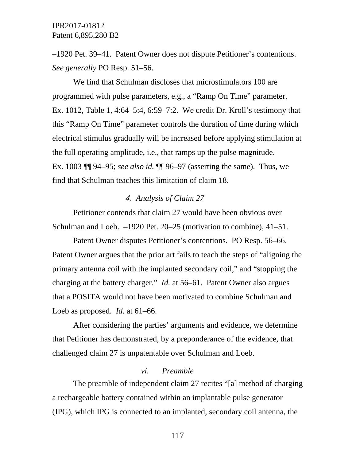–1920 Pet. 39–41. Patent Owner does not dispute Petitioner's contentions. *See generally* PO Resp. 51–56.

We find that Schulman discloses that microstimulators 100 are programmed with pulse parameters, e.g., a "Ramp On Time" parameter. Ex. 1012, Table 1, 4:64–5:4, 6:59–7:2. We credit Dr. Kroll's testimony that this "Ramp On Time" parameter controls the duration of time during which electrical stimulus gradually will be increased before applying stimulation at the full operating amplitude, i.e., that ramps up the pulse magnitude. Ex. 1003 ¶¶ 94–95; *see also id.* ¶¶ 96–97 (asserting the same). Thus, we find that Schulman teaches this limitation of claim 18.

### *Analysis of Claim 27*

Petitioner contends that claim 27 would have been obvious over Schulman and Loeb. –1920 Pet. 20–25 (motivation to combine), 41–51.

Patent Owner disputes Petitioner's contentions. PO Resp. 56–66. Patent Owner argues that the prior art fails to teach the steps of "aligning the primary antenna coil with the implanted secondary coil," and "stopping the charging at the battery charger." *Id.* at 56–61. Patent Owner also argues that a POSITA would not have been motivated to combine Schulman and Loeb as proposed. *Id.* at 61–66.

After considering the parties' arguments and evidence, we determine that Petitioner has demonstrated, by a preponderance of the evidence, that challenged claim 27 is unpatentable over Schulman and Loeb.

### *vi. Preamble*

The preamble of independent claim 27 recites "[a] method of charging a rechargeable battery contained within an implantable pulse generator (IPG), which IPG is connected to an implanted, secondary coil antenna, the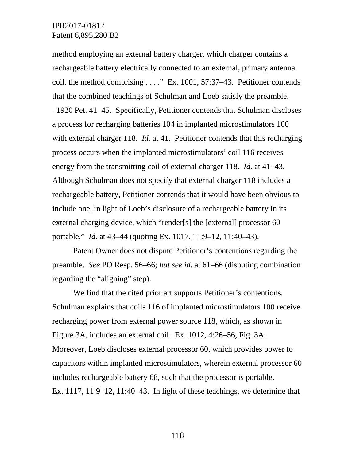method employing an external battery charger, which charger contains a rechargeable battery electrically connected to an external, primary antenna coil, the method comprising . . . ." Ex. 1001, 57:37–43. Petitioner contends that the combined teachings of Schulman and Loeb satisfy the preamble. –1920 Pet. 41–45. Specifically, Petitioner contends that Schulman discloses a process for recharging batteries 104 in implanted microstimulators 100 with external charger 118. *Id.* at 41. Petitioner contends that this recharging process occurs when the implanted microstimulators' coil 116 receives energy from the transmitting coil of external charger 118. *Id.* at 41–43. Although Schulman does not specify that external charger 118 includes a rechargeable battery, Petitioner contends that it would have been obvious to include one, in light of Loeb's disclosure of a rechargeable battery in its external charging device, which "render[s] the [external] processor 60 portable." *Id.* at 43–44 (quoting Ex. 1017, 11:9–12, 11:40–43).

Patent Owner does not dispute Petitioner's contentions regarding the preamble. *See* PO Resp. 56–66; *but see id.* at 61–66 (disputing combination regarding the "aligning" step).

We find that the cited prior art supports Petitioner's contentions. Schulman explains that coils 116 of implanted microstimulators 100 receive recharging power from external power source 118, which, as shown in Figure 3A, includes an external coil. Ex. 1012, 4:26–56, Fig. 3A. Moreover, Loeb discloses external processor 60, which provides power to capacitors within implanted microstimulators, wherein external processor 60 includes rechargeable battery 68, such that the processor is portable. Ex.  $1117$ ,  $11:9-12$ ,  $11:40-43$ . In light of these teachings, we determine that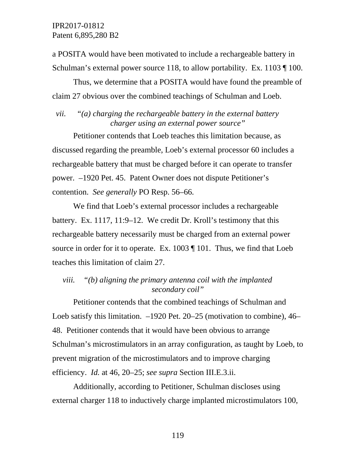a POSITA would have been motivated to include a rechargeable battery in Schulman's external power source 118, to allow portability. Ex. 1103 ¶ 100.

Thus, we determine that a POSITA would have found the preamble of claim 27 obvious over the combined teachings of Schulman and Loeb.

*vii. "(a) charging the rechargeable battery in the external battery charger using an external power source"*

Petitioner contends that Loeb teaches this limitation because, as discussed regarding the preamble, Loeb's external processor 60 includes a rechargeable battery that must be charged before it can operate to transfer power. –1920 Pet. 45. Patent Owner does not dispute Petitioner's contention. *See generally* PO Resp. 56–66.

We find that Loeb's external processor includes a rechargeable battery. Ex. 1117, 11:9–12. We credit Dr. Kroll's testimony that this rechargeable battery necessarily must be charged from an external power source in order for it to operate. Ex. 1003 ¶ 101. Thus, we find that Loeb teaches this limitation of claim 27.

*viii. "(b) aligning the primary antenna coil with the implanted secondary coil"*

Petitioner contends that the combined teachings of Schulman and Loeb satisfy this limitation. –1920 Pet. 20–25 (motivation to combine), 46– 48. Petitioner contends that it would have been obvious to arrange Schulman's microstimulators in an array configuration, as taught by Loeb, to prevent migration of the microstimulators and to improve charging efficiency. *Id.* at 46, 20–25; *see supra* Section III.E.3.ii.

Additionally, according to Petitioner, Schulman discloses using external charger 118 to inductively charge implanted microstimulators 100,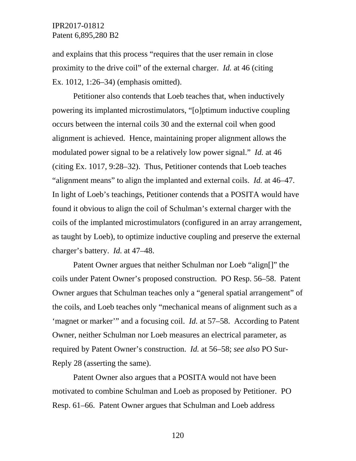and explains that this process "requires that the user remain in close proximity to the drive coil" of the external charger. *Id.* at 46 (citing Ex. 1012, 1:26–34) (emphasis omitted).

Petitioner also contends that Loeb teaches that, when inductively powering its implanted microstimulators, "[o]ptimum inductive coupling occurs between the internal coils 30 and the external coil when good alignment is achieved. Hence, maintaining proper alignment allows the modulated power signal to be a relatively low power signal." *Id.* at 46 (citing Ex. 1017, 9:28–32). Thus, Petitioner contends that Loeb teaches "alignment means" to align the implanted and external coils. *Id.* at 46–47. In light of Loeb's teachings, Petitioner contends that a POSITA would have found it obvious to align the coil of Schulman's external charger with the coils of the implanted microstimulators (configured in an array arrangement, as taught by Loeb), to optimize inductive coupling and preserve the external charger's battery. *Id.* at 47–48.

Patent Owner argues that neither Schulman nor Loeb "align[]" the coils under Patent Owner's proposed construction. PO Resp. 56–58. Patent Owner argues that Schulman teaches only a "general spatial arrangement" of the coils, and Loeb teaches only "mechanical means of alignment such as a 'magnet or marker'" and a focusing coil. *Id.* at 57–58. According to Patent Owner, neither Schulman nor Loeb measures an electrical parameter, as required by Patent Owner's construction. *Id.* at 56–58; *see also* PO Sur-Reply 28 (asserting the same).

Patent Owner also argues that a POSITA would not have been motivated to combine Schulman and Loeb as proposed by Petitioner. PO Resp. 61–66. Patent Owner argues that Schulman and Loeb address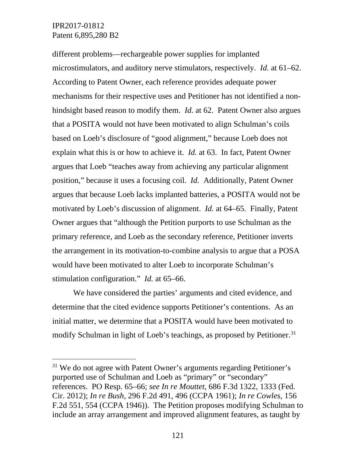different problems—rechargeable power supplies for implanted microstimulators, and auditory nerve stimulators, respectively. *Id.* at 61–62. According to Patent Owner, each reference provides adequate power mechanisms for their respective uses and Petitioner has not identified a nonhindsight based reason to modify them. *Id.* at 62. Patent Owner also argues that a POSITA would not have been motivated to align Schulman's coils based on Loeb's disclosure of "good alignment," because Loeb does not explain what this is or how to achieve it. *Id.* at 63. In fact, Patent Owner argues that Loeb "teaches away from achieving any particular alignment position," because it uses a focusing coil. *Id.* Additionally, Patent Owner argues that because Loeb lacks implanted batteries, a POSITA would not be motivated by Loeb's discussion of alignment. *Id.* at 64–65. Finally, Patent Owner argues that "although the Petition purports to use Schulman as the primary reference, and Loeb as the secondary reference, Petitioner inverts the arrangement in its motivation-to-combine analysis to argue that a POSA would have been motivated to alter Loeb to incorporate Schulman's stimulation configuration." *Id.* at 65–66.

We have considered the parties' arguments and cited evidence, and determine that the cited evidence supports Petitioner's contentions. As an initial matter, we determine that a POSITA would have been motivated to modify Schulman in light of Loeb's teachings, as proposed by Petitioner. [31](#page-120-0)

<span id="page-120-0"></span> $31$  We do not agree with Patent Owner's arguments regarding Petitioner's purported use of Schulman and Loeb as "primary" or "secondary" references. PO Resp. 65–66; *see In re Mouttet*, 686 F.3d 1322, 1333 (Fed. Cir. 2012); *In re Bush*, 296 F.2d 491, 496 (CCPA 1961); *In re Cowles*, 156 F.2d 551, 554 (CCPA 1946)). The Petition proposes modifying Schulman to include an array arrangement and improved alignment features, as taught by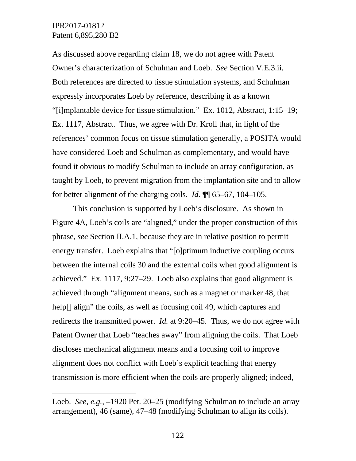$\overline{a}$ 

As discussed above regarding claim 18, we do not agree with Patent Owner's characterization of Schulman and Loeb. *See* Section V.E.3.ii. Both references are directed to tissue stimulation systems, and Schulman expressly incorporates Loeb by reference, describing it as a known "[i]mplantable device for tissue stimulation." Ex. 1012, Abstract, 1:15–19; Ex. 1117, Abstract. Thus, we agree with Dr. Kroll that, in light of the references' common focus on tissue stimulation generally, a POSITA would have considered Loeb and Schulman as complementary, and would have found it obvious to modify Schulman to include an array configuration, as taught by Loeb, to prevent migration from the implantation site and to allow for better alignment of the charging coils. *Id.* ¶¶ 65–67, 104–105.

This conclusion is supported by Loeb's disclosure. As shown in Figure 4A, Loeb's coils are "aligned," under the proper construction of this phrase, *see* Section II.A.1, because they are in relative position to permit energy transfer. Loeb explains that "[o]ptimum inductive coupling occurs between the internal coils 30 and the external coils when good alignment is achieved." Ex. 1117, 9:27–29. Loeb also explains that good alignment is achieved through "alignment means, such as a magnet or marker 48, that help<sup>[]</sup> align" the coils, as well as focusing coil 49, which captures and redirects the transmitted power. *Id.* at 9:20–45. Thus, we do not agree with Patent Owner that Loeb "teaches away" from aligning the coils. That Loeb discloses mechanical alignment means and a focusing coil to improve alignment does not conflict with Loeb's explicit teaching that energy transmission is more efficient when the coils are properly aligned; indeed,

Loeb. *See, e.g.*, –1920 Pet. 20–25 (modifying Schulman to include an array arrangement), 46 (same), 47–48 (modifying Schulman to align its coils).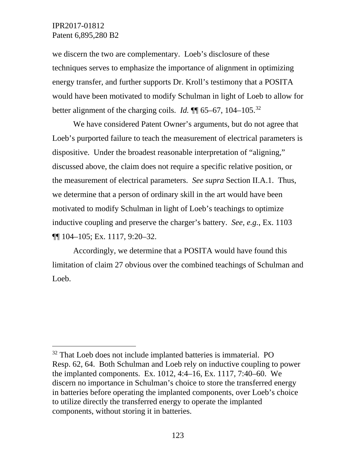we discern the two are complementary. Loeb's disclosure of these techniques serves to emphasize the importance of alignment in optimizing energy transfer, and further supports Dr. Kroll's testimony that a POSITA would have been motivated to modify Schulman in light of Loeb to allow for better alignment of the charging coils. *Id.*  $\P$  65–67, 104–105.<sup>[32](#page-122-0)</sup>

We have considered Patent Owner's arguments, but do not agree that Loeb's purported failure to teach the measurement of electrical parameters is dispositive. Under the broadest reasonable interpretation of "aligning," discussed above, the claim does not require a specific relative position, or the measurement of electrical parameters. *See supra* Section II.A.1. Thus, we determine that a person of ordinary skill in the art would have been motivated to modify Schulman in light of Loeb's teachings to optimize inductive coupling and preserve the charger's battery. *See, e.g.*, Ex. 1103 ¶¶ 104–105; Ex. 1117, 9:20–32.

Accordingly, we determine that a POSITA would have found this limitation of claim 27 obvious over the combined teachings of Schulman and Loeb.

<span id="page-122-0"></span><sup>&</sup>lt;sup>32</sup> That Loeb does not include implanted batteries is immaterial. PO Resp. 62, 64. Both Schulman and Loeb rely on inductive coupling to power the implanted components. Ex. 1012, 4:4–16, Ex. 1117, 7:40–60. We discern no importance in Schulman's choice to store the transferred energy in batteries before operating the implanted components, over Loeb's choice to utilize directly the transferred energy to operate the implanted components, without storing it in batteries.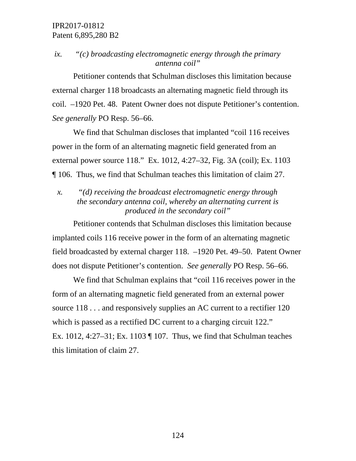# *ix. "(c) broadcasting electromagnetic energy through the primary antenna coil"*

Petitioner contends that Schulman discloses this limitation because external charger 118 broadcasts an alternating magnetic field through its coil. –1920 Pet. 48. Patent Owner does not dispute Petitioner's contention. *See generally* PO Resp. 56–66.

We find that Schulman discloses that implanted "coil 116 receives power in the form of an alternating magnetic field generated from an external power source 118." Ex. 1012, 4:27–32, Fig. 3A (coil); Ex. 1103 ¶ 106. Thus, we find that Schulman teaches this limitation of claim 27.

# *x. "(d) receiving the broadcast electromagnetic energy through the secondary antenna coil, whereby an alternating current is produced in the secondary coil"*

Petitioner contends that Schulman discloses this limitation because implanted coils 116 receive power in the form of an alternating magnetic field broadcasted by external charger 118. –1920 Pet. 49–50. Patent Owner does not dispute Petitioner's contention. *See generally* PO Resp. 56–66.

We find that Schulman explains that "coil 116 receives power in the form of an alternating magnetic field generated from an external power source 118... and responsively supplies an AC current to a rectifier 120 which is passed as a rectified DC current to a charging circuit 122." Ex. 1012, 4:27–31; Ex. 1103 ¶ 107. Thus, we find that Schulman teaches this limitation of claim 27.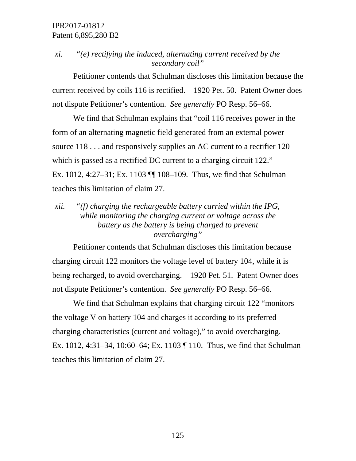# *xi. "(e) rectifying the induced, alternating current received by the secondary coil"*

Petitioner contends that Schulman discloses this limitation because the current received by coils 116 is rectified. –1920 Pet. 50. Patent Owner does not dispute Petitioner's contention. *See generally* PO Resp. 56–66.

We find that Schulman explains that "coil 116 receives power in the form of an alternating magnetic field generated from an external power source 118... and responsively supplies an AC current to a rectifier 120 which is passed as a rectified DC current to a charging circuit 122." Ex. 1012, 4:27–31; Ex. 1103 ¶¶ 108–109. Thus, we find that Schulman teaches this limitation of claim 27.

# *xii. "(f) charging the rechargeable battery carried within the IPG, while monitoring the charging current or voltage across the battery as the battery is being charged to prevent overcharging"*

Petitioner contends that Schulman discloses this limitation because charging circuit 122 monitors the voltage level of battery 104, while it is being recharged, to avoid overcharging. –1920 Pet. 51. Patent Owner does not dispute Petitioner's contention. *See generally* PO Resp. 56–66.

We find that Schulman explains that charging circuit 122 "monitors the voltage V on battery 104 and charges it according to its preferred charging characteristics (current and voltage)," to avoid overcharging. Ex. 1012, 4:31–34, 10:60–64; Ex. 1103 ¶ 110. Thus, we find that Schulman teaches this limitation of claim 27.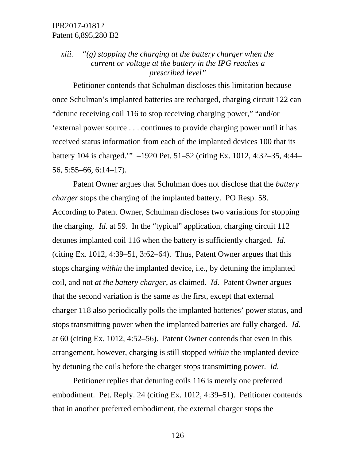# *xiii. "(g) stopping the charging at the battery charger when the current or voltage at the battery in the IPG reaches a prescribed level"*

Petitioner contends that Schulman discloses this limitation because once Schulman's implanted batteries are recharged, charging circuit 122 can "detune receiving coil 116 to stop receiving charging power," "and/or 'external power source . . . continues to provide charging power until it has received status information from each of the implanted devices 100 that its battery 104 is charged.'" –1920 Pet. 51–52 (citing Ex. 1012, 4:32–35, 4:44– 56, 5:55–66, 6:14–17).

Patent Owner argues that Schulman does not disclose that the *battery charger* stops the charging of the implanted battery. PO Resp. 58. According to Patent Owner, Schulman discloses two variations for stopping the charging. *Id.* at 59. In the "typical" application, charging circuit 112 detunes implanted coil 116 when the battery is sufficiently charged. *Id.* (citing Ex. 1012, 4:39–51, 3:62–64). Thus, Patent Owner argues that this stops charging *within* the implanted device, i.e., by detuning the implanted coil, and not *at the battery charger*, as claimed. *Id.* Patent Owner argues that the second variation is the same as the first, except that external charger 118 also periodically polls the implanted batteries' power status, and stops transmitting power when the implanted batteries are fully charged. *Id.* at 60 (citing Ex. 1012, 4:52–56). Patent Owner contends that even in this arrangement, however, charging is still stopped *within* the implanted device by detuning the coils before the charger stops transmitting power. *Id.*

Petitioner replies that detuning coils 116 is merely one preferred embodiment. Pet. Reply. 24 (citing Ex. 1012, 4:39–51). Petitioner contends that in another preferred embodiment, the external charger stops the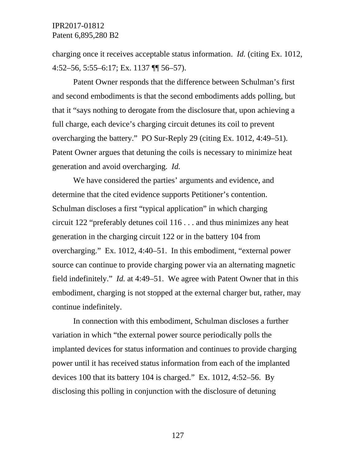charging once it receives acceptable status information. *Id.* (citing Ex. 1012, 4:52–56, 5:55–6:17; Ex. 1137 ¶¶ 56–57).

Patent Owner responds that the difference between Schulman's first and second embodiments is that the second embodiments adds polling, but that it "says nothing to derogate from the disclosure that, upon achieving a full charge, each device's charging circuit detunes its coil to prevent overcharging the battery." PO Sur-Reply 29 (citing Ex. 1012, 4:49–51). Patent Owner argues that detuning the coils is necessary to minimize heat generation and avoid overcharging. *Id.*

We have considered the parties' arguments and evidence, and determine that the cited evidence supports Petitioner's contention. Schulman discloses a first "typical application" in which charging circuit 122 "preferably detunes coil 116 . . . and thus minimizes any heat generation in the charging circuit 122 or in the battery 104 from overcharging." Ex. 1012, 4:40–51. In this embodiment, "external power source can continue to provide charging power via an alternating magnetic field indefinitely." *Id.* at 4:49–51. We agree with Patent Owner that in this embodiment, charging is not stopped at the external charger but, rather, may continue indefinitely.

In connection with this embodiment, Schulman discloses a further variation in which "the external power source periodically polls the implanted devices for status information and continues to provide charging power until it has received status information from each of the implanted devices 100 that its battery 104 is charged." Ex. 1012, 4:52–56. By disclosing this polling in conjunction with the disclosure of detuning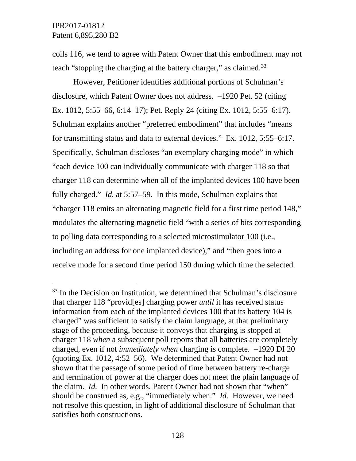coils 116, we tend to agree with Patent Owner that this embodiment may not teach "stopping the charging at the battery charger," as claimed.<sup>[33](#page-127-0)</sup>

However, Petitioner identifies additional portions of Schulman's disclosure, which Patent Owner does not address. –1920 Pet. 52 (citing Ex. 1012, 5:55–66, 6:14–17); Pet. Reply 24 (citing Ex. 1012, 5:55–6:17). Schulman explains another "preferred embodiment" that includes "means for transmitting status and data to external devices." Ex. 1012, 5:55–6:17. Specifically, Schulman discloses "an exemplary charging mode" in which "each device 100 can individually communicate with charger 118 so that charger 118 can determine when all of the implanted devices 100 have been fully charged." *Id.* at 5:57–59. In this mode, Schulman explains that "charger 118 emits an alternating magnetic field for a first time period 148," modulates the alternating magnetic field "with a series of bits corresponding to polling data corresponding to a selected microstimulator 100 (i.e., including an address for one implanted device)," and "then goes into a receive mode for a second time period 150 during which time the selected

<span id="page-127-0"></span> $33$  In the Decision on Institution, we determined that Schulman's disclosure that charger 118 "provid[es] charging power *until* it has received status information from each of the implanted devices 100 that its battery 104 is charged" was sufficient to satisfy the claim language, at that preliminary stage of the proceeding, because it conveys that charging is stopped at charger 118 *when* a subsequent poll reports that all batteries are completely charged, even if not *immediately when* charging is complete. –1920 DI 20 (quoting Ex. 1012, 4:52–56). We determined that Patent Owner had not shown that the passage of some period of time between battery re-charge and termination of power at the charger does not meet the plain language of the claim. *Id.* In other words, Patent Owner had not shown that "when" should be construed as, e.g., "immediately when." *Id.* However, we need not resolve this question, in light of additional disclosure of Schulman that satisfies both constructions.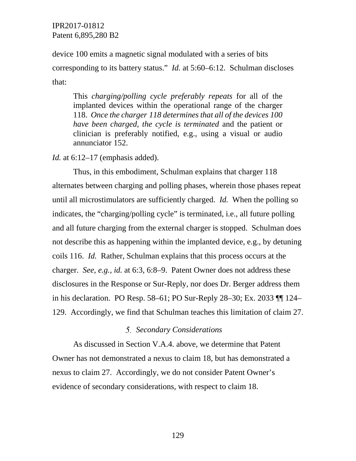device 100 emits a magnetic signal modulated with a series of bits corresponding to its battery status." *Id.* at 5:60–6:12. Schulman discloses that:

This *charging/polling cycle preferably repeats* for all of the implanted devices within the operational range of the charger 118. *Once the charger 118 determines that all of the devices 100 have been charged, the cycle is terminated* and the patient or clinician is preferably notified, e.g., using a visual or audio annunciator 152.

*Id.* at 6:12–17 (emphasis added).

Thus, in this embodiment, Schulman explains that charger 118 alternates between charging and polling phases, wherein those phases repeat until all microstimulators are sufficiently charged. *Id.* When the polling so indicates, the "charging/polling cycle" is terminated, i.e., all future polling and all future charging from the external charger is stopped. Schulman does not describe this as happening within the implanted device, e.g., by detuning coils 116. *Id.* Rather, Schulman explains that this process occurs at the charger. *See, e.g., id.* at 6:3, 6:8–9. Patent Owner does not address these disclosures in the Response or Sur-Reply, nor does Dr. Berger address them in his declaration. PO Resp. 58–61; PO Sur-Reply 28–30; Ex. 2033 ¶¶ 124– 129. Accordingly, we find that Schulman teaches this limitation of claim 27.

#### *Secondary Considerations*

As discussed in Section V.A.4. above, we determine that Patent Owner has not demonstrated a nexus to claim 18, but has demonstrated a nexus to claim 27. Accordingly, we do not consider Patent Owner's evidence of secondary considerations, with respect to claim 18.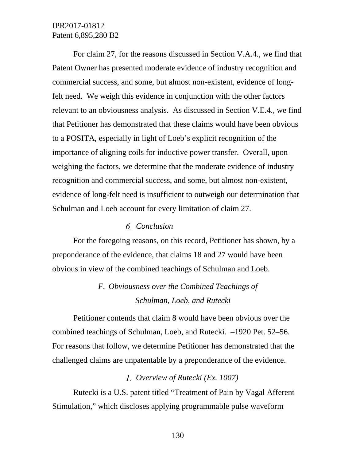For claim 27, for the reasons discussed in Section V.A.4., we find that Patent Owner has presented moderate evidence of industry recognition and commercial success, and some, but almost non-existent, evidence of longfelt need. We weigh this evidence in conjunction with the other factors relevant to an obviousness analysis. As discussed in Section V.E.4., we find that Petitioner has demonstrated that these claims would have been obvious to a POSITA, especially in light of Loeb's explicit recognition of the importance of aligning coils for inductive power transfer. Overall, upon weighing the factors, we determine that the moderate evidence of industry recognition and commercial success, and some, but almost non-existent, evidence of long-felt need is insufficient to outweigh our determination that Schulman and Loeb account for every limitation of claim 27.

#### *Conclusion*

For the foregoing reasons, on this record, Petitioner has shown, by a preponderance of the evidence, that claims 18 and 27 would have been obvious in view of the combined teachings of Schulman and Loeb.

# *F. Obviousness over the Combined Teachings of Schulman, Loeb, and Rutecki*

Petitioner contends that claim 8 would have been obvious over the combined teachings of Schulman, Loeb, and Rutecki. –1920 Pet. 52–56. For reasons that follow, we determine Petitioner has demonstrated that the challenged claims are unpatentable by a preponderance of the evidence.

#### *Overview of Rutecki (Ex. 1007)*

Rutecki is a U.S. patent titled "Treatment of Pain by Vagal Afferent Stimulation," which discloses applying programmable pulse waveform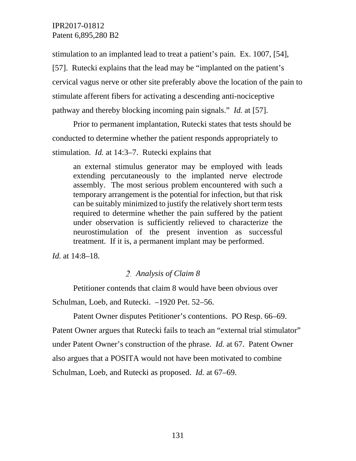stimulation to an implanted lead to treat a patient's pain. Ex. 1007, [54], [57]. Rutecki explains that the lead may be "implanted on the patient's cervical vagus nerve or other site preferably above the location of the pain to

stimulate afferent fibers for activating a descending anti-nociceptive

pathway and thereby blocking incoming pain signals." *Id.* at [57].

Prior to permanent implantation, Rutecki states that tests should be conducted to determine whether the patient responds appropriately to

stimulation. *Id.* at 14:3–7. Rutecki explains that

an external stimulus generator may be employed with leads extending percutaneously to the implanted nerve electrode assembly. The most serious problem encountered with such a temporary arrangement is the potential for infection, but that risk can be suitably minimized to justify the relatively short term tests required to determine whether the pain suffered by the patient under observation is sufficiently relieved to characterize the neurostimulation of the present invention as successful treatment. If it is, a permanent implant may be performed.

*Id.* at 14:8–18.

# *Analysis of Claim 8*

Petitioner contends that claim 8 would have been obvious over Schulman, Loeb, and Rutecki. –1920 Pet. 52–56.

Patent Owner disputes Petitioner's contentions. PO Resp. 66–69. Patent Owner argues that Rutecki fails to teach an "external trial stimulator" under Patent Owner's construction of the phrase. *Id.* at 67. Patent Owner also argues that a POSITA would not have been motivated to combine Schulman, Loeb, and Rutecki as proposed. *Id.* at 67–69.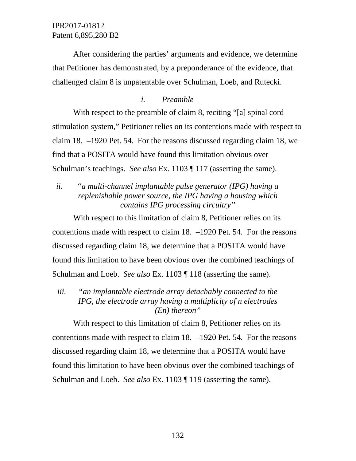After considering the parties' arguments and evidence, we determine that Petitioner has demonstrated, by a preponderance of the evidence, that challenged claim 8 is unpatentable over Schulman, Loeb, and Rutecki.

### *i. Preamble*

With respect to the preamble of claim 8, reciting "[a] spinal cord stimulation system," Petitioner relies on its contentions made with respect to claim 18. –1920 Pet. 54. For the reasons discussed regarding claim 18, we find that a POSITA would have found this limitation obvious over Schulman's teachings. *See also* Ex. 1103 ¶ 117 (asserting the same).

# *ii. "a multi-channel implantable pulse generator (IPG) having a replenishable power source, the IPG having a housing which contains IPG processing circuitry"*

With respect to this limitation of claim 8, Petitioner relies on its contentions made with respect to claim 18. –1920 Pet. 54. For the reasons discussed regarding claim 18, we determine that a POSITA would have found this limitation to have been obvious over the combined teachings of Schulman and Loeb. *See also* Ex. 1103 ¶ 118 (asserting the same).

*iii. "an implantable electrode array detachably connected to the IPG, the electrode array having a multiplicity of n electrodes (En) thereon"*

With respect to this limitation of claim 8, Petitioner relies on its contentions made with respect to claim 18. –1920 Pet. 54. For the reasons discussed regarding claim 18, we determine that a POSITA would have found this limitation to have been obvious over the combined teachings of Schulman and Loeb. *See also* Ex. 1103 ¶ 119 (asserting the same).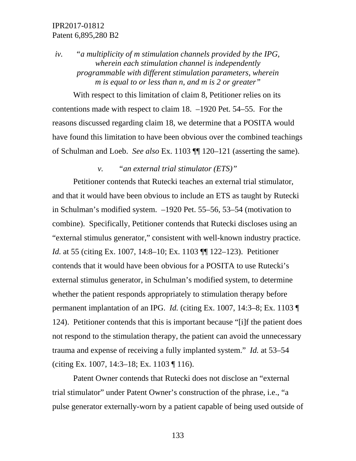*iv. "a multiplicity of m stimulation channels provided by the IPG, wherein each stimulation channel is independently programmable with different stimulation parameters, wherein m is equal to or less than n, and m is 2 or greater"*

With respect to this limitation of claim 8, Petitioner relies on its contentions made with respect to claim 18. –1920 Pet. 54–55. For the reasons discussed regarding claim 18, we determine that a POSITA would have found this limitation to have been obvious over the combined teachings of Schulman and Loeb. *See also* Ex. 1103 ¶¶ 120–121 (asserting the same).

*v. "an external trial stimulator (ETS)"*

Petitioner contends that Rutecki teaches an external trial stimulator, and that it would have been obvious to include an ETS as taught by Rutecki in Schulman's modified system. –1920 Pet. 55–56, 53–54 (motivation to combine). Specifically, Petitioner contends that Rutecki discloses using an "external stimulus generator," consistent with well-known industry practice. *Id.* at 55 (citing Ex. 1007, 14:8–10; Ex. 1103 ¶¶ 122–123). Petitioner contends that it would have been obvious for a POSITA to use Rutecki's external stimulus generator, in Schulman's modified system, to determine whether the patient responds appropriately to stimulation therapy before permanent implantation of an IPG. *Id.* (citing Ex. 1007, 14:3–8; Ex. 1103 ¶ 124). Petitioner contends that this is important because "[i]f the patient does not respond to the stimulation therapy, the patient can avoid the unnecessary trauma and expense of receiving a fully implanted system." *Id.* at 53–54 (citing Ex. 1007, 14:3–18; Ex. 1103 ¶ 116).

Patent Owner contends that Rutecki does not disclose an "external trial stimulator" under Patent Owner's construction of the phrase, i.e., "a pulse generator externally-worn by a patient capable of being used outside of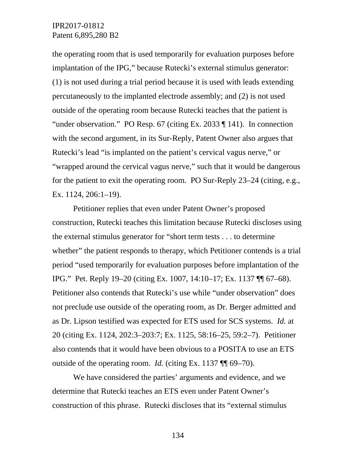the operating room that is used temporarily for evaluation purposes before implantation of the IPG," because Rutecki's external stimulus generator: (1) is not used during a trial period because it is used with leads extending percutaneously to the implanted electrode assembly; and (2) is not used outside of the operating room because Rutecki teaches that the patient is "under observation." PO Resp. 67 (citing Ex. 2033 ¶ 141). In connection with the second argument, in its Sur-Reply, Patent Owner also argues that Rutecki's lead "is implanted on the patient's cervical vagus nerve," or "wrapped around the cervical vagus nerve," such that it would be dangerous for the patient to exit the operating room. PO Sur-Reply 23–24 (citing, e.g., Ex. 1124, 206:1–19).

Petitioner replies that even under Patent Owner's proposed construction, Rutecki teaches this limitation because Rutecki discloses using the external stimulus generator for "short term tests . . . to determine whether" the patient responds to therapy, which Petitioner contends is a trial period "used temporarily for evaluation purposes before implantation of the IPG." Pet. Reply 19–20 (citing Ex. 1007, 14:10–17; Ex. 1137 ¶¶ 67–68). Petitioner also contends that Rutecki's use while "under observation" does not preclude use outside of the operating room, as Dr. Berger admitted and as Dr. Lipson testified was expected for ETS used for SCS systems. *Id.* at 20 (citing Ex. 1124, 202:3–203:7; Ex. 1125, 58:16–25, 59:2–7). Petitioner also contends that it would have been obvious to a POSITA to use an ETS outside of the operating room. *Id.* (citing Ex. 1137 ¶¶ 69–70).

We have considered the parties' arguments and evidence, and we determine that Rutecki teaches an ETS even under Patent Owner's construction of this phrase. Rutecki discloses that its "external stimulus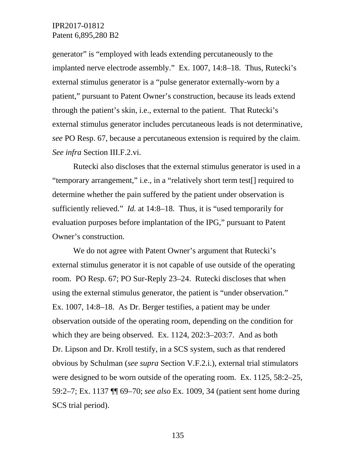generator" is "employed with leads extending percutaneously to the implanted nerve electrode assembly." Ex. 1007, 14:8–18. Thus, Rutecki's external stimulus generator is a "pulse generator externally-worn by a patient," pursuant to Patent Owner's construction, because its leads extend through the patient's skin, i.e., external to the patient. That Rutecki's external stimulus generator includes percutaneous leads is not determinative, *see* PO Resp. 67, because a percutaneous extension is required by the claim. *See infra* Section III.F.2.vi.

Rutecki also discloses that the external stimulus generator is used in a "temporary arrangement," i.e., in a "relatively short term test[] required to determine whether the pain suffered by the patient under observation is sufficiently relieved." *Id.* at 14:8–18. Thus, it is "used temporarily for evaluation purposes before implantation of the IPG," pursuant to Patent Owner's construction.

We do not agree with Patent Owner's argument that Rutecki's external stimulus generator it is not capable of use outside of the operating room. PO Resp. 67; PO Sur-Reply 23–24. Rutecki discloses that when using the external stimulus generator, the patient is "under observation." Ex. 1007, 14:8–18. As Dr. Berger testifies, a patient may be under observation outside of the operating room, depending on the condition for which they are being observed. Ex. 1124, 202:3–203:7. And as both Dr. Lipson and Dr. Kroll testify, in a SCS system, such as that rendered obvious by Schulman (*see supra* Section V.F.2.i.), external trial stimulators were designed to be worn outside of the operating room. Ex. 1125, 58:2–25, 59:2–7; Ex. 1137 ¶¶ 69–70; *see also* Ex. 1009, 34 (patient sent home during SCS trial period).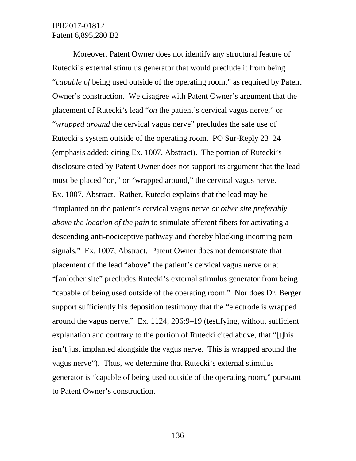Moreover, Patent Owner does not identify any structural feature of Rutecki's external stimulus generator that would preclude it from being "*capable of* being used outside of the operating room," as required by Patent Owner's construction. We disagree with Patent Owner's argument that the placement of Rutecki's lead "*on* the patient's cervical vagus nerve," or "*wrapped around* the cervical vagus nerve" precludes the safe use of Rutecki's system outside of the operating room. PO Sur-Reply 23–24 (emphasis added; citing Ex. 1007, Abstract). The portion of Rutecki's disclosure cited by Patent Owner does not support its argument that the lead must be placed "on," or "wrapped around," the cervical vagus nerve. Ex. 1007, Abstract. Rather, Rutecki explains that the lead may be "implanted on the patient's cervical vagus nerve *or other site preferably above the location of the pain* to stimulate afferent fibers for activating a descending anti-nociceptive pathway and thereby blocking incoming pain signals." Ex. 1007, Abstract. Patent Owner does not demonstrate that placement of the lead "above" the patient's cervical vagus nerve or at "[an]other site" precludes Rutecki's external stimulus generator from being "capable of being used outside of the operating room." Nor does Dr. Berger support sufficiently his deposition testimony that the "electrode is wrapped around the vagus nerve." Ex. 1124, 206:9–19 (testifying, without sufficient explanation and contrary to the portion of Rutecki cited above, that "[t]his isn't just implanted alongside the vagus nerve. This is wrapped around the vagus nerve"). Thus, we determine that Rutecki's external stimulus generator is "capable of being used outside of the operating room," pursuant to Patent Owner's construction.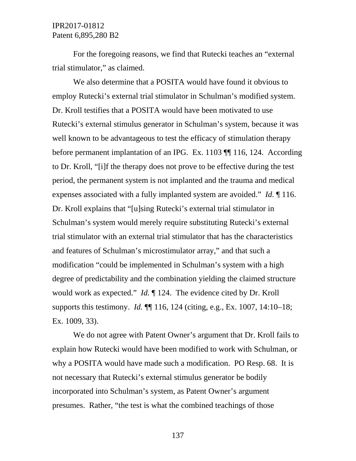For the foregoing reasons, we find that Rutecki teaches an "external trial stimulator," as claimed.

We also determine that a POSITA would have found it obvious to employ Rutecki's external trial stimulator in Schulman's modified system. Dr. Kroll testifies that a POSITA would have been motivated to use Rutecki's external stimulus generator in Schulman's system, because it was well known to be advantageous to test the efficacy of stimulation therapy before permanent implantation of an IPG. Ex. 1103 [[116, 124. According to Dr. Kroll, "[i]f the therapy does not prove to be effective during the test period, the permanent system is not implanted and the trauma and medical expenses associated with a fully implanted system are avoided." *Id.* ¶ 116. Dr. Kroll explains that "[u]sing Rutecki's external trial stimulator in Schulman's system would merely require substituting Rutecki's external trial stimulator with an external trial stimulator that has the characteristics and features of Schulman's microstimulator array," and that such a modification "could be implemented in Schulman's system with a high degree of predictability and the combination yielding the claimed structure would work as expected." *Id.* ¶ 124. The evidence cited by Dr. Kroll supports this testimony. *Id.* ¶¶ 116, 124 (citing, e.g., Ex. 1007, 14:10–18; Ex. 1009, 33).

We do not agree with Patent Owner's argument that Dr. Kroll fails to explain how Rutecki would have been modified to work with Schulman, or why a POSITA would have made such a modification. PO Resp. 68. It is not necessary that Rutecki's external stimulus generator be bodily incorporated into Schulman's system, as Patent Owner's argument presumes. Rather, "the test is what the combined teachings of those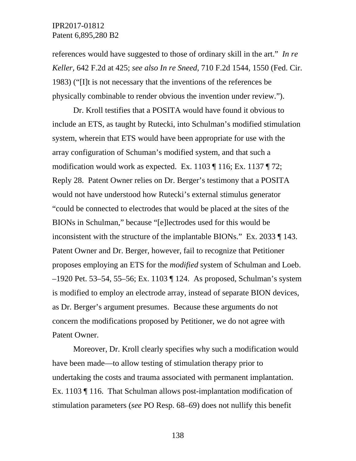references would have suggested to those of ordinary skill in the art." *In re Keller*, 642 F.2d at 425; *see also In re Sneed*, 710 F.2d 1544, 1550 (Fed. Cir. 1983) ("[I]t is not necessary that the inventions of the references be physically combinable to render obvious the invention under review.").

Dr. Kroll testifies that a POSITA would have found it obvious to include an ETS, as taught by Rutecki, into Schulman's modified stimulation system, wherein that ETS would have been appropriate for use with the array configuration of Schuman's modified system, and that such a modification would work as expected. Ex. 1103 ¶ 116; Ex. 1137 ¶ 72; Reply 28. Patent Owner relies on Dr. Berger's testimony that a POSITA would not have understood how Rutecki's external stimulus generator "could be connected to electrodes that would be placed at the sites of the BIONs in Schulman," because "[e]lectrodes used for this would be inconsistent with the structure of the implantable BIONs." Ex. 2033 ¶ 143. Patent Owner and Dr. Berger, however, fail to recognize that Petitioner proposes employing an ETS for the *modified* system of Schulman and Loeb. –1920 Pet. 53–54, 55–56; Ex. 1103 ¶ 124. As proposed, Schulman's system is modified to employ an electrode array, instead of separate BION devices, as Dr. Berger's argument presumes. Because these arguments do not concern the modifications proposed by Petitioner, we do not agree with Patent Owner.

Moreover, Dr. Kroll clearly specifies why such a modification would have been made—to allow testing of stimulation therapy prior to undertaking the costs and trauma associated with permanent implantation. Ex. 1103 ¶ 116. That Schulman allows post-implantation modification of stimulation parameters (*see* PO Resp. 68–69) does not nullify this benefit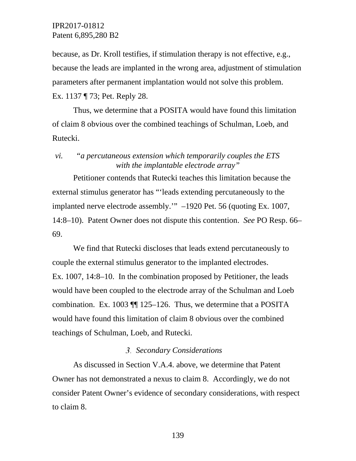because, as Dr. Kroll testifies, if stimulation therapy is not effective, e.g., because the leads are implanted in the wrong area, adjustment of stimulation parameters after permanent implantation would not solve this problem. Ex. 1137 ¶ 73; Pet. Reply 28.

Thus, we determine that a POSITA would have found this limitation of claim 8 obvious over the combined teachings of Schulman, Loeb, and Rutecki.

### *vi. "a percutaneous extension which temporarily couples the ETS with the implantable electrode array"*

Petitioner contends that Rutecki teaches this limitation because the external stimulus generator has "'leads extending percutaneously to the implanted nerve electrode assembly.'" –1920 Pet. 56 (quoting Ex. 1007, 14:8–10). Patent Owner does not dispute this contention. *See* PO Resp. 66– 69.

We find that Rutecki discloses that leads extend percutaneously to couple the external stimulus generator to the implanted electrodes. Ex. 1007, 14:8–10. In the combination proposed by Petitioner, the leads would have been coupled to the electrode array of the Schulman and Loeb combination. Ex. 1003 ¶¶ 125–126. Thus, we determine that a POSITA would have found this limitation of claim 8 obvious over the combined teachings of Schulman, Loeb, and Rutecki.

### *Secondary Considerations*

As discussed in Section V.A.4. above, we determine that Patent Owner has not demonstrated a nexus to claim 8. Accordingly, we do not consider Patent Owner's evidence of secondary considerations, with respect to claim 8.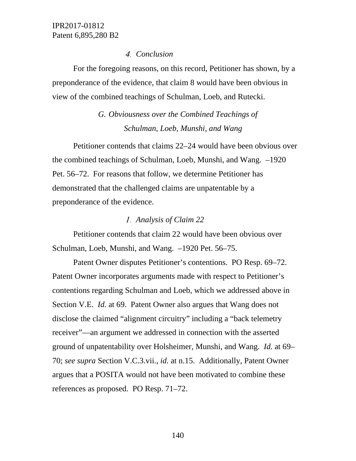### *Conclusion*

For the foregoing reasons, on this record, Petitioner has shown, by a preponderance of the evidence, that claim 8 would have been obvious in view of the combined teachings of Schulman, Loeb, and Rutecki.

# *G. Obviousness over the Combined Teachings of Schulman, Loeb, Munshi, and Wang*

Petitioner contends that claims 22–24 would have been obvious over the combined teachings of Schulman, Loeb, Munshi, and Wang. –1920 Pet. 56–72. For reasons that follow, we determine Petitioner has demonstrated that the challenged claims are unpatentable by a preponderance of the evidence.

# *Analysis of Claim 22*

Petitioner contends that claim 22 would have been obvious over Schulman, Loeb, Munshi, and Wang. –1920 Pet. 56–75.

Patent Owner disputes Petitioner's contentions. PO Resp. 69–72. Patent Owner incorporates arguments made with respect to Petitioner's contentions regarding Schulman and Loeb, which we addressed above in Section V.E. *Id.* at 69. Patent Owner also argues that Wang does not disclose the claimed "alignment circuitry" including a "back telemetry receiver"—an argument we addressed in connection with the asserted ground of unpatentability over Holsheimer, Munshi, and Wang. *Id.* at 69– 70; *see supra* Section V.C.3.vii., *id.* at n.15. Additionally, Patent Owner argues that a POSITA would not have been motivated to combine these references as proposed. PO Resp. 71–72.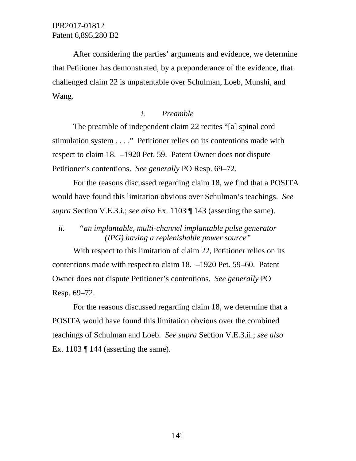After considering the parties' arguments and evidence, we determine that Petitioner has demonstrated, by a preponderance of the evidence, that challenged claim 22 is unpatentable over Schulman, Loeb, Munshi, and Wang.

### *i. Preamble*

The preamble of independent claim 22 recites "[a] spinal cord stimulation system . . . ." Petitioner relies on its contentions made with respect to claim 18. –1920 Pet. 59. Patent Owner does not dispute Petitioner's contentions. *See generally* PO Resp. 69–72.

For the reasons discussed regarding claim 18, we find that a POSITA would have found this limitation obvious over Schulman's teachings. *See supra* Section V.E.3.i.; *see also* Ex. 1103 ¶ 143 (asserting the same).

*ii. "an implantable, multi-channel implantable pulse generator (IPG) having a replenishable power source"*

With respect to this limitation of claim 22, Petitioner relies on its contentions made with respect to claim 18. –1920 Pet. 59–60. Patent Owner does not dispute Petitioner's contentions. *See generally* PO Resp. 69–72.

For the reasons discussed regarding claim 18, we determine that a POSITA would have found this limitation obvious over the combined teachings of Schulman and Loeb. *See supra* Section V.E.3.ii.; *see also*  Ex. 1103  $\P$  144 (asserting the same).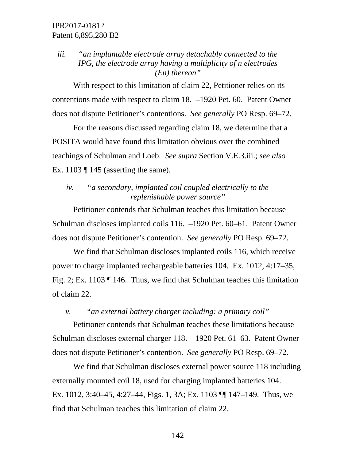# *iii. "an implantable electrode array detachably connected to the IPG, the electrode array having a multiplicity of n electrodes (En) thereon"*

With respect to this limitation of claim 22, Petitioner relies on its contentions made with respect to claim 18. –1920 Pet. 60. Patent Owner does not dispute Petitioner's contentions. *See generally* PO Resp. 69–72.

For the reasons discussed regarding claim 18, we determine that a POSITA would have found this limitation obvious over the combined teachings of Schulman and Loeb. *See supra* Section V.E.3.iii.; *see also*  Ex. 1103  $\P$  145 (asserting the same).

## *iv. "a secondary, implanted coil coupled electrically to the replenishable power source"*

Petitioner contends that Schulman teaches this limitation because Schulman discloses implanted coils 116. –1920 Pet. 60–61. Patent Owner does not dispute Petitioner's contention. *See generally* PO Resp. 69–72.

We find that Schulman discloses implanted coils 116, which receive power to charge implanted rechargeable batteries 104. Ex. 1012, 4:17–35, Fig. 2; Ex. 1103 ¶ 146. Thus, we find that Schulman teaches this limitation of claim 22.

### *v. "an external battery charger including: a primary coil"*

Petitioner contends that Schulman teaches these limitations because Schulman discloses external charger 118. –1920 Pet. 61–63. Patent Owner does not dispute Petitioner's contention. *See generally* PO Resp. 69–72.

We find that Schulman discloses external power source 118 including externally mounted coil 18, used for charging implanted batteries 104. Ex. 1012, 3:40–45, 4:27–44, Figs. 1, 3A; Ex. 1103 ¶¶ 147–149. Thus, we find that Schulman teaches this limitation of claim 22.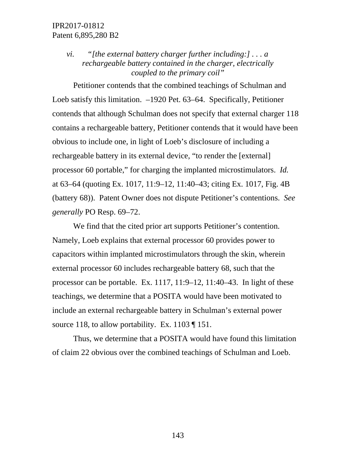# *vi. "[the external battery charger further including:] . . . a rechargeable battery contained in the charger, electrically coupled to the primary coil"*

Petitioner contends that the combined teachings of Schulman and Loeb satisfy this limitation. –1920 Pet. 63–64. Specifically, Petitioner contends that although Schulman does not specify that external charger 118 contains a rechargeable battery, Petitioner contends that it would have been obvious to include one, in light of Loeb's disclosure of including a rechargeable battery in its external device, "to render the [external] processor 60 portable," for charging the implanted microstimulators. *Id.* at 63–64 (quoting Ex. 1017, 11:9–12, 11:40–43; citing Ex. 1017, Fig. 4B (battery 68)). Patent Owner does not dispute Petitioner's contentions. *See generally* PO Resp. 69–72.

We find that the cited prior art supports Petitioner's contention. Namely, Loeb explains that external processor 60 provides power to capacitors within implanted microstimulators through the skin, wherein external processor 60 includes rechargeable battery 68, such that the processor can be portable. Ex. 1117, 11:9–12, 11:40–43. In light of these teachings, we determine that a POSITA would have been motivated to include an external rechargeable battery in Schulman's external power source 118, to allow portability. Ex. 1103  $\P$  151.

Thus, we determine that a POSITA would have found this limitation of claim 22 obvious over the combined teachings of Schulman and Loeb.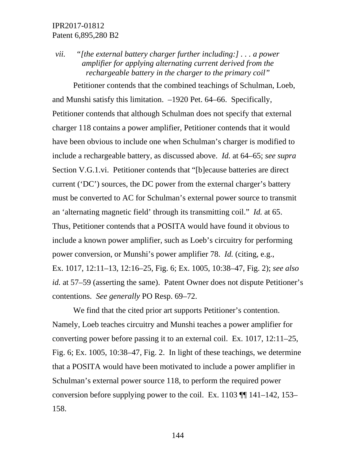*vii. "[the external battery charger further including:] . . . a power amplifier for applying alternating current derived from the rechargeable battery in the charger to the primary coil"*

Petitioner contends that the combined teachings of Schulman, Loeb, and Munshi satisfy this limitation. –1920 Pet. 64–66. Specifically, Petitioner contends that although Schulman does not specify that external charger 118 contains a power amplifier, Petitioner contends that it would have been obvious to include one when Schulman's charger is modified to include a rechargeable battery, as discussed above. *Id.* at 64–65; *see supra*  Section V.G.1.vi. Petitioner contends that "[b]ecause batteries are direct current ('DC') sources, the DC power from the external charger's battery must be converted to AC for Schulman's external power source to transmit an 'alternating magnetic field' through its transmitting coil." *Id.* at 65. Thus, Petitioner contends that a POSITA would have found it obvious to include a known power amplifier, such as Loeb's circuitry for performing power conversion, or Munshi's power amplifier 78. *Id.* (citing, e.g., Ex. 1017, 12:11–13, 12:16–25, Fig. 6; Ex. 1005, 10:38–47, Fig. 2); *see also id.* at 57–59 (asserting the same). Patent Owner does not dispute Petitioner's contentions. *See generally* PO Resp. 69–72.

We find that the cited prior art supports Petitioner's contention. Namely, Loeb teaches circuitry and Munshi teaches a power amplifier for converting power before passing it to an external coil. Ex. 1017, 12:11–25, Fig. 6; Ex. 1005, 10:38–47, Fig. 2. In light of these teachings, we determine that a POSITA would have been motivated to include a power amplifier in Schulman's external power source 118, to perform the required power conversion before supplying power to the coil. Ex. 1103  $\P$  141–142, 153– 158.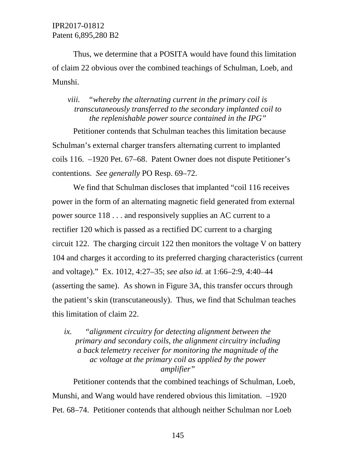Thus, we determine that a POSITA would have found this limitation of claim 22 obvious over the combined teachings of Schulman, Loeb, and Munshi.

## *viii. "whereby the alternating current in the primary coil is transcutaneously transferred to the secondary implanted coil to the replenishable power source contained in the IPG"*

Petitioner contends that Schulman teaches this limitation because Schulman's external charger transfers alternating current to implanted coils 116. –1920 Pet. 67–68. Patent Owner does not dispute Petitioner's contentions. *See generally* PO Resp. 69–72.

We find that Schulman discloses that implanted "coil 116 receives power in the form of an alternating magnetic field generated from external power source 118 . . . and responsively supplies an AC current to a rectifier 120 which is passed as a rectified DC current to a charging circuit 122. The charging circuit 122 then monitors the voltage V on battery 104 and charges it according to its preferred charging characteristics (current and voltage)." Ex. 1012, 4:27–35; *see also id.* at 1:66–2:9, 4:40–44 (asserting the same). As shown in Figure 3A, this transfer occurs through the patient's skin (transcutaneously). Thus, we find that Schulman teaches this limitation of claim 22.

## *ix. "alignment circuitry for detecting alignment between the primary and secondary coils, the alignment circuitry including a back telemetry receiver for monitoring the magnitude of the ac voltage at the primary coil as applied by the power amplifier"*

Petitioner contends that the combined teachings of Schulman, Loeb, Munshi, and Wang would have rendered obvious this limitation. –1920 Pet. 68–74. Petitioner contends that although neither Schulman nor Loeb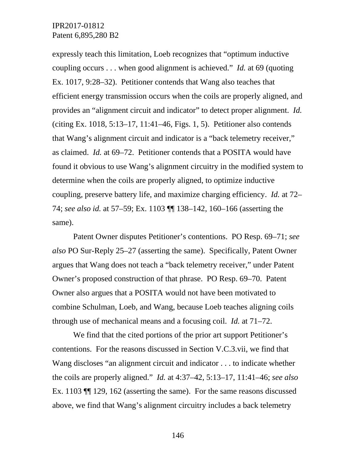expressly teach this limitation, Loeb recognizes that "optimum inductive coupling occurs . . . when good alignment is achieved." *Id.* at 69 (quoting Ex. 1017, 9:28–32). Petitioner contends that Wang also teaches that efficient energy transmission occurs when the coils are properly aligned, and provides an "alignment circuit and indicator" to detect proper alignment. *Id.* (citing Ex. 1018, 5:13–17, 11:41–46, Figs. 1, 5). Petitioner also contends that Wang's alignment circuit and indicator is a "back telemetry receiver," as claimed. *Id.* at 69–72. Petitioner contends that a POSITA would have found it obvious to use Wang's alignment circuitry in the modified system to determine when the coils are properly aligned, to optimize inductive coupling, preserve battery life, and maximize charging efficiency. *Id.* at 72– 74; *see also id.* at 57–59; Ex. 1103 ¶¶ 138–142, 160–166 (asserting the same).

Patent Owner disputes Petitioner's contentions. PO Resp. 69–71; *see also* PO Sur-Reply 25–27 (asserting the same). Specifically, Patent Owner argues that Wang does not teach a "back telemetry receiver," under Patent Owner's proposed construction of that phrase. PO Resp. 69–70. Patent Owner also argues that a POSITA would not have been motivated to combine Schulman, Loeb, and Wang, because Loeb teaches aligning coils through use of mechanical means and a focusing coil. *Id.* at 71–72.

We find that the cited portions of the prior art support Petitioner's contentions. For the reasons discussed in Section V.C.3.vii, we find that Wang discloses "an alignment circuit and indicator . . . to indicate whether the coils are properly aligned." *Id.* at 4:37–42, 5:13–17, 11:41–46; *see also*  Ex. 1103 ¶¶ 129, 162 (asserting the same). For the same reasons discussed above, we find that Wang's alignment circuitry includes a back telemetry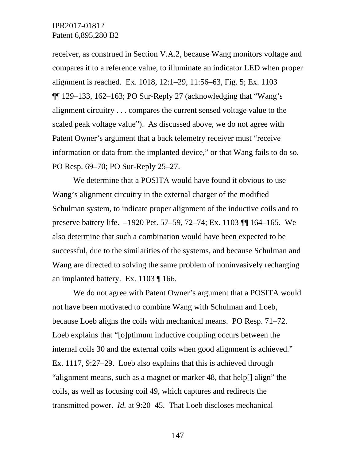receiver, as construed in Section V.A.2, because Wang monitors voltage and compares it to a reference value, to illuminate an indicator LED when proper alignment is reached. Ex. 1018, 12:1–29, 11:56–63, Fig. 5; Ex. 1103  $\P$ [129–133, 162–163; PO Sur-Reply 27 (acknowledging that "Wang's alignment circuitry . . . compares the current sensed voltage value to the scaled peak voltage value"). As discussed above, we do not agree with Patent Owner's argument that a back telemetry receiver must "receive information or data from the implanted device," or that Wang fails to do so. PO Resp. 69–70; PO Sur-Reply 25–27.

We determine that a POSITA would have found it obvious to use Wang's alignment circuitry in the external charger of the modified Schulman system, to indicate proper alignment of the inductive coils and to preserve battery life. –1920 Pet. 57–59, 72–74; Ex. 1103 ¶¶ 164–165. We also determine that such a combination would have been expected to be successful, due to the similarities of the systems, and because Schulman and Wang are directed to solving the same problem of noninvasively recharging an implanted battery. Ex. 1103 ¶ 166.

We do not agree with Patent Owner's argument that a POSITA would not have been motivated to combine Wang with Schulman and Loeb, because Loeb aligns the coils with mechanical means. PO Resp. 71–72. Loeb explains that "[o]ptimum inductive coupling occurs between the internal coils 30 and the external coils when good alignment is achieved." Ex. 1117, 9:27–29. Loeb also explains that this is achieved through "alignment means, such as a magnet or marker 48, that help[] align" the coils, as well as focusing coil 49, which captures and redirects the transmitted power. *Id.* at 9:20–45. That Loeb discloses mechanical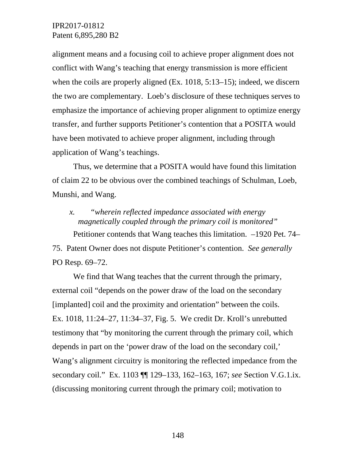alignment means and a focusing coil to achieve proper alignment does not conflict with Wang's teaching that energy transmission is more efficient when the coils are properly aligned (Ex. 1018, 5:13–15); indeed, we discern the two are complementary. Loeb's disclosure of these techniques serves to emphasize the importance of achieving proper alignment to optimize energy transfer, and further supports Petitioner's contention that a POSITA would have been motivated to achieve proper alignment, including through application of Wang's teachings.

Thus, we determine that a POSITA would have found this limitation of claim 22 to be obvious over the combined teachings of Schulman, Loeb, Munshi, and Wang.

# *x. "wherein reflected impedance associated with energy magnetically coupled through the primary coil is monitored"*

Petitioner contends that Wang teaches this limitation. –1920 Pet. 74– 75. Patent Owner does not dispute Petitioner's contention. *See generally*  PO Resp. 69–72.

We find that Wang teaches that the current through the primary, external coil "depends on the power draw of the load on the secondary [implanted] coil and the proximity and orientation" between the coils. Ex. 1018, 11:24–27, 11:34–37, Fig. 5. We credit Dr. Kroll's unrebutted testimony that "by monitoring the current through the primary coil, which depends in part on the 'power draw of the load on the secondary coil,' Wang's alignment circuitry is monitoring the reflected impedance from the secondary coil." Ex. 1103 ¶¶ 129–133, 162–163, 167; *see* Section V.G.1.ix. (discussing monitoring current through the primary coil; motivation to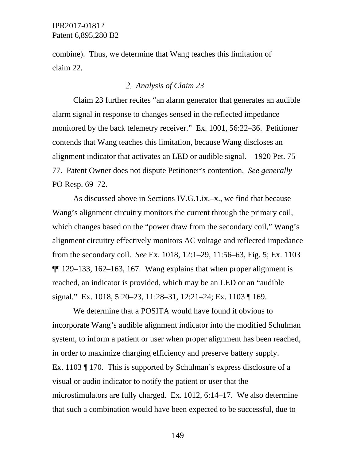combine). Thus, we determine that Wang teaches this limitation of claim 22.

#### *Analysis of Claim 23*

Claim 23 further recites "an alarm generator that generates an audible alarm signal in response to changes sensed in the reflected impedance monitored by the back telemetry receiver." Ex. 1001, 56:22–36. Petitioner contends that Wang teaches this limitation, because Wang discloses an alignment indicator that activates an LED or audible signal. –1920 Pet. 75– 77. Patent Owner does not dispute Petitioner's contention. *See generally*  PO Resp. 69–72.

As discussed above in Sections IV.G.1.ix.–x., we find that because Wang's alignment circuitry monitors the current through the primary coil, which changes based on the "power draw from the secondary coil," Wang's alignment circuitry effectively monitors AC voltage and reflected impedance from the secondary coil. *See* Ex. 1018, 12:1–29, 11:56–63, Fig. 5; Ex. 1103  $\P$ [129–133, 162–163, 167. Wang explains that when proper alignment is reached, an indicator is provided, which may be an LED or an "audible signal." Ex. 1018, 5:20–23, 11:28–31, 12:21–24; Ex. 1103 ¶ 169.

We determine that a POSITA would have found it obvious to incorporate Wang's audible alignment indicator into the modified Schulman system, to inform a patient or user when proper alignment has been reached, in order to maximize charging efficiency and preserve battery supply. Ex. 1103 ¶ 170. This is supported by Schulman's express disclosure of a visual or audio indicator to notify the patient or user that the microstimulators are fully charged. Ex. 1012, 6:14–17. We also determine that such a combination would have been expected to be successful, due to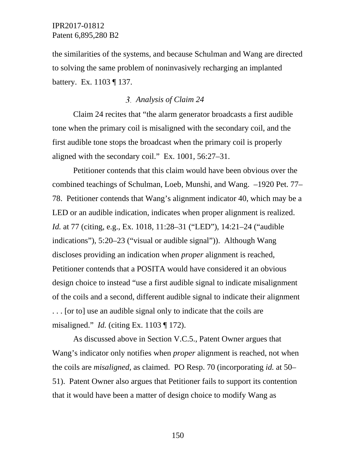the similarities of the systems, and because Schulman and Wang are directed to solving the same problem of noninvasively recharging an implanted battery. Ex. 1103 ¶ 137.

#### *Analysis of Claim 24*

Claim 24 recites that "the alarm generator broadcasts a first audible tone when the primary coil is misaligned with the secondary coil, and the first audible tone stops the broadcast when the primary coil is properly aligned with the secondary coil." Ex. 1001, 56:27–31.

Petitioner contends that this claim would have been obvious over the combined teachings of Schulman, Loeb, Munshi, and Wang. –1920 Pet. 77– 78. Petitioner contends that Wang's alignment indicator 40, which may be a LED or an audible indication, indicates when proper alignment is realized. *Id.* at 77 (citing, e.g., Ex. 1018, 11:28–31 ("LED"), 14:21–24 ("audible indications"), 5:20–23 ("visual or audible signal")). Although Wang discloses providing an indication when *proper* alignment is reached, Petitioner contends that a POSITA would have considered it an obvious design choice to instead "use a first audible signal to indicate misalignment of the coils and a second, different audible signal to indicate their alignment . . . [or to] use an audible signal only to indicate that the coils are misaligned." *Id.* (citing Ex. 1103 ¶ 172).

As discussed above in Section V.C.5., Patent Owner argues that Wang's indicator only notifies when *proper* alignment is reached, not when the coils are *misaligned*, as claimed. PO Resp. 70 (incorporating *id.* at 50– 51). Patent Owner also argues that Petitioner fails to support its contention that it would have been a matter of design choice to modify Wang as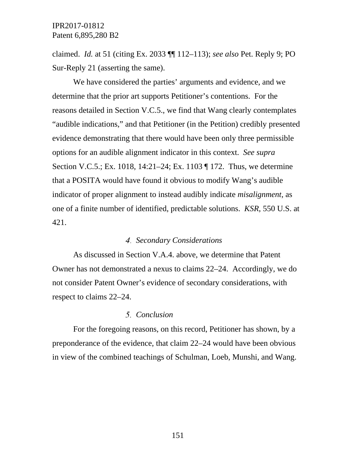claimed. *Id.* at 51 (citing Ex. 2033 ¶¶ 112–113); *see also* Pet. Reply 9; PO Sur-Reply 21 (asserting the same).

We have considered the parties' arguments and evidence, and we determine that the prior art supports Petitioner's contentions. For the reasons detailed in Section V.C.5., we find that Wang clearly contemplates "audible indications," and that Petitioner (in the Petition) credibly presented evidence demonstrating that there would have been only three permissible options for an audible alignment indicator in this context. *See supra*  Section V.C.5.; Ex. 1018, 14:21–24; Ex. 1103 ¶ 172. Thus, we determine that a POSITA would have found it obvious to modify Wang's audible indicator of proper alignment to instead audibly indicate *misalignment*, as one of a finite number of identified, predictable solutions. *KSR*, 550 U.S. at 421.

#### *Secondary Considerations*

As discussed in Section V.A.4. above, we determine that Patent Owner has not demonstrated a nexus to claims 22–24. Accordingly, we do not consider Patent Owner's evidence of secondary considerations, with respect to claims 22–24.

#### *Conclusion*

For the foregoing reasons, on this record, Petitioner has shown, by a preponderance of the evidence, that claim 22–24 would have been obvious in view of the combined teachings of Schulman, Loeb, Munshi, and Wang.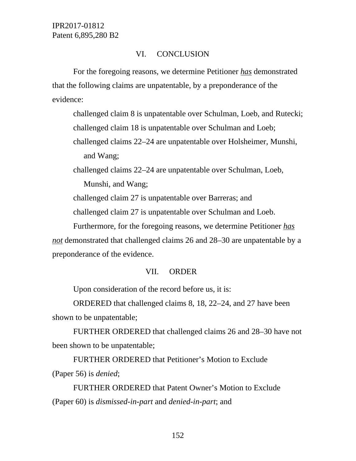## VI. CONCLUSION

For the foregoing reasons, we determine Petitioner *has* demonstrated that the following claims are unpatentable, by a preponderance of the evidence:

challenged claim 8 is unpatentable over Schulman, Loeb, and Rutecki; challenged claim 18 is unpatentable over Schulman and Loeb; challenged claims 22–24 are unpatentable over Holsheimer, Munshi, and Wang;

challenged claims 22–24 are unpatentable over Schulman, Loeb, Munshi, and Wang;

challenged claim 27 is unpatentable over Barreras; and

challenged claim 27 is unpatentable over Schulman and Loeb.

Furthermore, for the foregoing reasons, we determine Petitioner *has not* demonstrated that challenged claims 26 and 28–30 are unpatentable by a preponderance of the evidence.

# VII. ORDER

Upon consideration of the record before us, it is:

ORDERED that challenged claims 8, 18, 22–24, and 27 have been shown to be unpatentable;

FURTHER ORDERED that challenged claims 26 and 28–30 have not been shown to be unpatentable;

FURTHER ORDERED that Petitioner's Motion to Exclude (Paper 56) is *denied*;

FURTHER ORDERED that Patent Owner's Motion to Exclude (Paper 60) is *dismissed-in-part* and *denied-in-part*; and